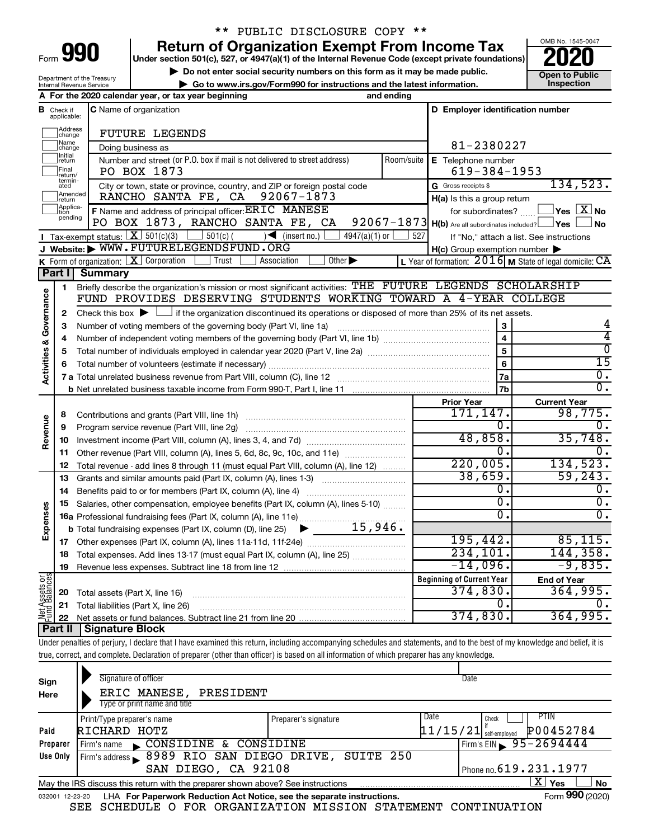| -orm |  |  |
|------|--|--|

Department of the Treasury

┯

# \*\* PUBLIC DISCLOSURE COPY \*\*

**990** Return of Organization Exempt From Income Tax <br>
Under section 501(c), 527, or 4947(a)(1) of the Internal Revenue Code (except private foundations)<br> **PO20** 

**10 Do not enter social security numbers on this form as it may be made public. Concept 1** Open to Public

**| Go to www.irs.gov/Form990 for instructions and the latest information. Inspection**



|                                    |                               | Internal Revenue Service<br>$\blacktriangleright$ Go to www.irs.gov/Form990 for instructions and the latest information.                                                                      |            |                                                                                    | <b>Inspection</b>                                         |
|------------------------------------|-------------------------------|-----------------------------------------------------------------------------------------------------------------------------------------------------------------------------------------------|------------|------------------------------------------------------------------------------------|-----------------------------------------------------------|
|                                    |                               | A For the 2020 calendar year, or tax year beginning                                                                                                                                           | and ending |                                                                                    |                                                           |
|                                    | <b>B</b> Check if applicable: | <b>C</b> Name of organization                                                                                                                                                                 |            | D Employer identification number                                                   |                                                           |
|                                    | Address<br>change             | <b>FUTURE LEGENDS</b>                                                                                                                                                                         |            |                                                                                    |                                                           |
|                                    | Name<br>change                | Doing business as                                                                                                                                                                             |            | 81-2380227                                                                         |                                                           |
|                                    | Initial<br> return            | Number and street (or P.O. box if mail is not delivered to street address)                                                                                                                    | Room/suite | E Telephone number                                                                 |                                                           |
|                                    | Final<br>return/              | PO BOX 1873                                                                                                                                                                                   |            | $619 - 384 - 1953$                                                                 |                                                           |
|                                    | termin-<br>ated               | City or town, state or province, country, and ZIP or foreign postal code                                                                                                                      |            | G Gross receipts \$                                                                | 134,523.                                                  |
|                                    | Amended<br>return             | RANCHO SANTA FE, CA 92067-1873                                                                                                                                                                |            | H(a) Is this a group return                                                        |                                                           |
|                                    | Applica-<br>Ition<br>pending  | F Name and address of principal officer: ERIC MANESE<br>PO BOX 1873, RANCHO SANTA FE, CA                                                                                                      |            | for subordinates?<br>$92067 - 1873$ H(b) Are all subordinates included? $\Box$ Yes | $\overline{\ }$ Yes $\overline{\rm X}$ No<br>⊿ No         |
|                                    |                               | <b>I</b> Tax-exempt status: $X \over 301(c)(3)$<br>$\frac{1}{2}$ 501(c) (<br>$\sqrt{\frac{1}{1}}$ (insert no.)<br>$4947(a)(1)$ or                                                             | 527        |                                                                                    | If "No," attach a list. See instructions                  |
|                                    |                               | J Website: WWW.FUTURELEGENDSFUND.ORG                                                                                                                                                          |            | $H(c)$ Group exemption number $\blacktriangleright$                                |                                                           |
|                                    |                               | K Form of organization: $X$ Corporation<br>Other $\blacktriangleright$<br>Trust<br>Association                                                                                                |            |                                                                                    | L Year of formation: $2016$ M State of legal domicile: CA |
|                                    | Part I                        | <b>Summary</b>                                                                                                                                                                                |            |                                                                                    |                                                           |
|                                    | 1                             | Briefly describe the organization's mission or most significant activities: THE FUTURE LEGENDS SCHOLARSHIP                                                                                    |            |                                                                                    |                                                           |
|                                    |                               | FUND PROVIDES DESERVING STUDENTS WORKING TOWARD A 4-YEAR COLLEGE                                                                                                                              |            |                                                                                    |                                                           |
| <b>Activities &amp; Governance</b> | 2                             | Check this box $\blacktriangleright$ $\Box$ if the organization discontinued its operations or disposed of more than 25% of its net assets.                                                   |            |                                                                                    |                                                           |
|                                    | З                             | Number of voting members of the governing body (Part VI, line 1a)                                                                                                                             |            | 3                                                                                  | 4                                                         |
|                                    | 4                             |                                                                                                                                                                                               |            | $\overline{\mathbf{4}}$                                                            | 4                                                         |
|                                    | 5                             |                                                                                                                                                                                               |            | $\overline{5}$                                                                     | $\overline{0}$<br>$\overline{15}$                         |
|                                    | 6                             |                                                                                                                                                                                               |            | $6\phantom{a}$                                                                     | $\overline{0}$ .                                          |
|                                    |                               |                                                                                                                                                                                               |            | 7a                                                                                 | $\overline{0}$ .                                          |
|                                    |                               |                                                                                                                                                                                               |            | 7b<br><b>Prior Year</b>                                                            |                                                           |
|                                    | 8                             |                                                                                                                                                                                               |            | 171,147.                                                                           | <b>Current Year</b><br>98,775.                            |
|                                    | 9                             | Program service revenue (Part VIII, line 2g)                                                                                                                                                  |            | 0.                                                                                 | 0.                                                        |
| Revenue                            | 10                            |                                                                                                                                                                                               |            | 48,858.                                                                            | 35,748.                                                   |
|                                    | 11                            | Other revenue (Part VIII, column (A), lines 5, 6d, 8c, 9c, 10c, and 11e)                                                                                                                      |            | σ.                                                                                 | 0.                                                        |
|                                    | 12                            | Total revenue - add lines 8 through 11 (must equal Part VIII, column (A), line 12)                                                                                                            |            | 220,005.                                                                           | 134,523.                                                  |
|                                    | 13                            | Grants and similar amounts paid (Part IX, column (A), lines 1-3)                                                                                                                              |            | 38,659.                                                                            | 59,243.                                                   |
|                                    | 14                            | Benefits paid to or for members (Part IX, column (A), line 4)                                                                                                                                 |            | о.                                                                                 | $\overline{\mathbf{0}}$ .                                 |
|                                    | 15                            | Salaries, other compensation, employee benefits (Part IX, column (A), lines 5-10)                                                                                                             |            | σ.                                                                                 | $\overline{0}$ .                                          |
|                                    |                               |                                                                                                                                                                                               |            | $\overline{0}$ .                                                                   | $\overline{\mathfrak{o}}$ .                               |
| Expenses                           |                               |                                                                                                                                                                                               |            |                                                                                    |                                                           |
|                                    |                               |                                                                                                                                                                                               |            | 195,442.                                                                           | 85,115.                                                   |
|                                    |                               | 18 Total expenses. Add lines 13-17 (must equal Part IX, column (A), line 25)                                                                                                                  |            | 234, 101.                                                                          | 144,358.                                                  |
|                                    | 19                            |                                                                                                                                                                                               |            | $-14,096$ .                                                                        | $-9,835.$                                                 |
| Net Assets or                      |                               |                                                                                                                                                                                               |            | <b>Beginning of Current Year</b>                                                   | <b>End of Year</b>                                        |
|                                    | 20                            | Total assets (Part X, line 16)                                                                                                                                                                |            | 374,830.                                                                           | 364,995.                                                  |
|                                    | 21                            | Total liabilities (Part X, line 26)                                                                                                                                                           |            | $\mathbf 0$ .                                                                      |                                                           |
|                                    | 22                            |                                                                                                                                                                                               |            | 374,830.                                                                           | 364,995.                                                  |
|                                    | Part II                       | <b>Signature Block</b><br>panelties of porting I deelers that I have assemined this rature, including assempanying eshadyles and astamente, and to the heat of my knowledge and helief, it is |            |                                                                                    |                                                           |

Under penalties of perjury, I declare that I have examined this return, including accompanying schedules and statements, and to the best of my knowledge and belief, it is true, correct, and complete. Declaration of preparer (other than officer) is based on all information of which preparer has any knowledge.

| Sign     | Signature of officer                                                                                             |                      | Date                     |                                |  |  |  |  |
|----------|------------------------------------------------------------------------------------------------------------------|----------------------|--------------------------|--------------------------------|--|--|--|--|
| Here     | ERIC MANESE, PRESIDENT                                                                                           |                      |                          |                                |  |  |  |  |
|          | Type or print name and title                                                                                     |                      |                          |                                |  |  |  |  |
|          | Print/Type preparer's name                                                                                       | Preparer's signature | Date<br>Check            | PIIN                           |  |  |  |  |
| Paid     | RICHARD HOTZ                                                                                                     |                      | $11/15/21$ self-employed | P00452784                      |  |  |  |  |
| Preparer | CONSIDINE & CONSIDINE<br>Firm's name                                                                             |                      |                          | Firm's EIN $\sqrt{95-2694444}$ |  |  |  |  |
| Use Only | Firm's address 8989 RIO SAN DIEGO DRIVE, SUITE 250                                                               |                      |                          |                                |  |  |  |  |
|          | Phone no. 619.231.1977<br>SAN DIEGO, CA 92108                                                                    |                      |                          |                                |  |  |  |  |
|          | $\mathbf{X}$ Yes<br><b>No</b><br>May the IRS discuss this return with the preparer shown above? See instructions |                      |                          |                                |  |  |  |  |
|          | Form 990 (2020)<br>LHA For Paperwork Reduction Act Notice, see the separate instructions.<br>032001 12-23-20     |                      |                          |                                |  |  |  |  |

SEE SCHEDULE O FOR ORGANIZATION MISSION STATEMENT CONTINUATION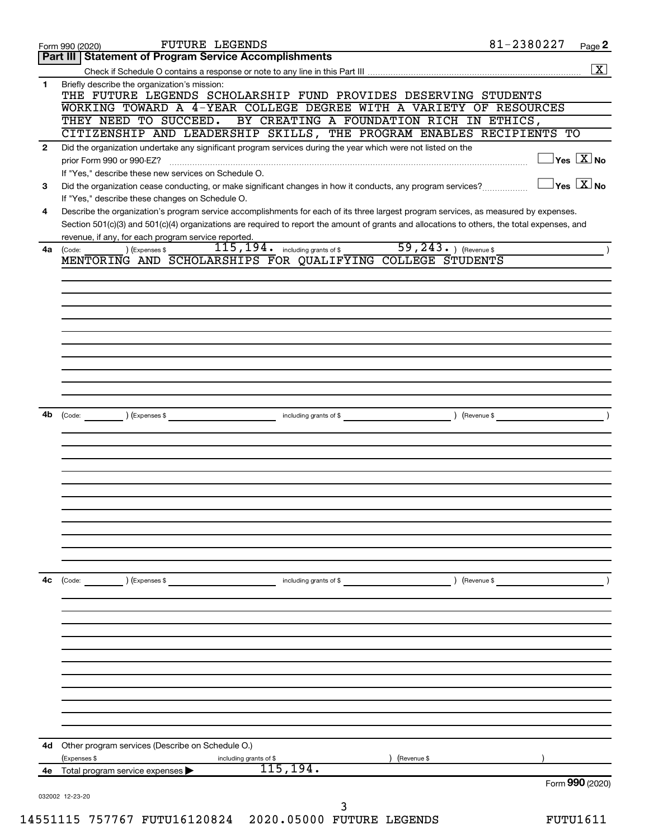|                | <b>FUTURE LEGENDS</b><br>Form 990 (2020)                                                                                                                                                                                                                                                                                                                                                             | 81-2380227             | Page 2                                           |
|----------------|------------------------------------------------------------------------------------------------------------------------------------------------------------------------------------------------------------------------------------------------------------------------------------------------------------------------------------------------------------------------------------------------------|------------------------|--------------------------------------------------|
|                | Part III   Statement of Program Service Accomplishments                                                                                                                                                                                                                                                                                                                                              |                        |                                                  |
|                |                                                                                                                                                                                                                                                                                                                                                                                                      |                        | $\boxed{\text{X}}$                               |
| 1.             | Briefly describe the organization's mission:<br>THE FUTURE LEGENDS SCHOLARSHIP FUND PROVIDES DESERVING STUDENTS                                                                                                                                                                                                                                                                                      |                        |                                                  |
|                | WORKING TOWARD A 4-YEAR COLLEGE DEGREE WITH A VARIETY OF RESOURCES<br>THEY NEED TO SUCCEED.<br>BY CREATING A FOUNDATION RICH IN ETHICS,                                                                                                                                                                                                                                                              |                        |                                                  |
|                | CITIZENSHIP AND LEADERSHIP SKILLS, THE PROGRAM ENABLES RECIPIENTS TO                                                                                                                                                                                                                                                                                                                                 |                        |                                                  |
|                |                                                                                                                                                                                                                                                                                                                                                                                                      |                        |                                                  |
| $\overline{2}$ | Did the organization undertake any significant program services during the year which were not listed on the<br>prior Form 990 or 990-EZ?                                                                                                                                                                                                                                                            |                        | $\overline{\ }$ Yes $\overline{\rm X}$ No        |
|                | If "Yes," describe these new services on Schedule O.                                                                                                                                                                                                                                                                                                                                                 |                        | $\sqrt{}$ Yes $\sqrt{}$ $\overline{\text{X}}$ No |
| 3              | Did the organization cease conducting, or make significant changes in how it conducts, any program services?                                                                                                                                                                                                                                                                                         |                        |                                                  |
| 4              | If "Yes," describe these changes on Schedule O.<br>Describe the organization's program service accomplishments for each of its three largest program services, as measured by expenses.                                                                                                                                                                                                              |                        |                                                  |
|                | Section 501(c)(3) and 501(c)(4) organizations are required to report the amount of grants and allocations to others, the total expenses, and                                                                                                                                                                                                                                                         |                        |                                                  |
|                | revenue, if any, for each program service reported.                                                                                                                                                                                                                                                                                                                                                  |                        |                                                  |
| 4a             | $115, 194$ $\cdot$ including grants of \$<br>) (Expenses \$<br>(Code:<br>MENTORING AND SCHOLARSHIPS FOR QUALIFYING COLLEGE STUDENTS                                                                                                                                                                                                                                                                  | 59, 243. ) (Revenue \$ |                                                  |
|                |                                                                                                                                                                                                                                                                                                                                                                                                      |                        |                                                  |
|                |                                                                                                                                                                                                                                                                                                                                                                                                      |                        |                                                  |
|                |                                                                                                                                                                                                                                                                                                                                                                                                      |                        |                                                  |
|                |                                                                                                                                                                                                                                                                                                                                                                                                      |                        |                                                  |
|                |                                                                                                                                                                                                                                                                                                                                                                                                      |                        |                                                  |
|                |                                                                                                                                                                                                                                                                                                                                                                                                      |                        |                                                  |
|                |                                                                                                                                                                                                                                                                                                                                                                                                      |                        |                                                  |
|                |                                                                                                                                                                                                                                                                                                                                                                                                      |                        |                                                  |
|                |                                                                                                                                                                                                                                                                                                                                                                                                      |                        |                                                  |
|                |                                                                                                                                                                                                                                                                                                                                                                                                      |                        |                                                  |
|                |                                                                                                                                                                                                                                                                                                                                                                                                      |                        |                                                  |
| 4b             | (Expenses \$<br>including grants of \$<br>$\begin{array}{ c c }\n\hline\n\text{Code:} & \text{\quad} & \text{\quad} \quad\end{array}$                                                                                                                                                                                                                                                                | ) (Revenue \$          |                                                  |
|                |                                                                                                                                                                                                                                                                                                                                                                                                      |                        |                                                  |
|                |                                                                                                                                                                                                                                                                                                                                                                                                      |                        |                                                  |
|                |                                                                                                                                                                                                                                                                                                                                                                                                      |                        |                                                  |
|                |                                                                                                                                                                                                                                                                                                                                                                                                      |                        |                                                  |
|                |                                                                                                                                                                                                                                                                                                                                                                                                      |                        |                                                  |
|                |                                                                                                                                                                                                                                                                                                                                                                                                      |                        |                                                  |
|                |                                                                                                                                                                                                                                                                                                                                                                                                      |                        |                                                  |
|                |                                                                                                                                                                                                                                                                                                                                                                                                      |                        |                                                  |
|                |                                                                                                                                                                                                                                                                                                                                                                                                      |                        |                                                  |
|                |                                                                                                                                                                                                                                                                                                                                                                                                      |                        |                                                  |
|                |                                                                                                                                                                                                                                                                                                                                                                                                      |                        |                                                  |
| 4c             | ) (Expenses \$<br>including grants of \$<br>$\begin{picture}(18,17) \put(0,0){\line(1,0){15}} \put(0,0){\line(1,0){15}} \put(0,0){\line(1,0){15}} \put(0,0){\line(1,0){15}} \put(0,0){\line(1,0){15}} \put(0,0){\line(1,0){15}} \put(0,0){\line(1,0){15}} \put(0,0){\line(1,0){15}} \put(0,0){\line(1,0){15}} \put(0,0){\line(1,0){15}} \put(0,0){\line(1,0){15}} \put(0,0){\line(1,0){15}} \put(0,$ | ) (Revenue \$          |                                                  |
|                |                                                                                                                                                                                                                                                                                                                                                                                                      |                        |                                                  |
|                |                                                                                                                                                                                                                                                                                                                                                                                                      |                        |                                                  |
|                |                                                                                                                                                                                                                                                                                                                                                                                                      |                        |                                                  |
|                |                                                                                                                                                                                                                                                                                                                                                                                                      |                        |                                                  |
|                |                                                                                                                                                                                                                                                                                                                                                                                                      |                        |                                                  |
|                |                                                                                                                                                                                                                                                                                                                                                                                                      |                        |                                                  |
|                |                                                                                                                                                                                                                                                                                                                                                                                                      |                        |                                                  |
|                |                                                                                                                                                                                                                                                                                                                                                                                                      |                        |                                                  |
|                |                                                                                                                                                                                                                                                                                                                                                                                                      |                        |                                                  |
|                |                                                                                                                                                                                                                                                                                                                                                                                                      |                        |                                                  |
|                |                                                                                                                                                                                                                                                                                                                                                                                                      |                        |                                                  |
| 4d             | Other program services (Describe on Schedule O.)                                                                                                                                                                                                                                                                                                                                                     |                        |                                                  |
|                | (Expenses \$<br>including grants of \$<br>(Revenue \$                                                                                                                                                                                                                                                                                                                                                |                        |                                                  |
| 4e             | 115, 194.<br>Total program service expenses                                                                                                                                                                                                                                                                                                                                                          |                        |                                                  |
|                |                                                                                                                                                                                                                                                                                                                                                                                                      |                        | Form 990 (2020)                                  |
|                | 032002 12-23-20<br>3                                                                                                                                                                                                                                                                                                                                                                                 |                        |                                                  |
|                | EE1115 757767 FIIMII16100801 0000 O5000 FIIMIIDF I FOFNDC                                                                                                                                                                                                                                                                                                                                            |                        | <b>ETIMIT1611</b>                                |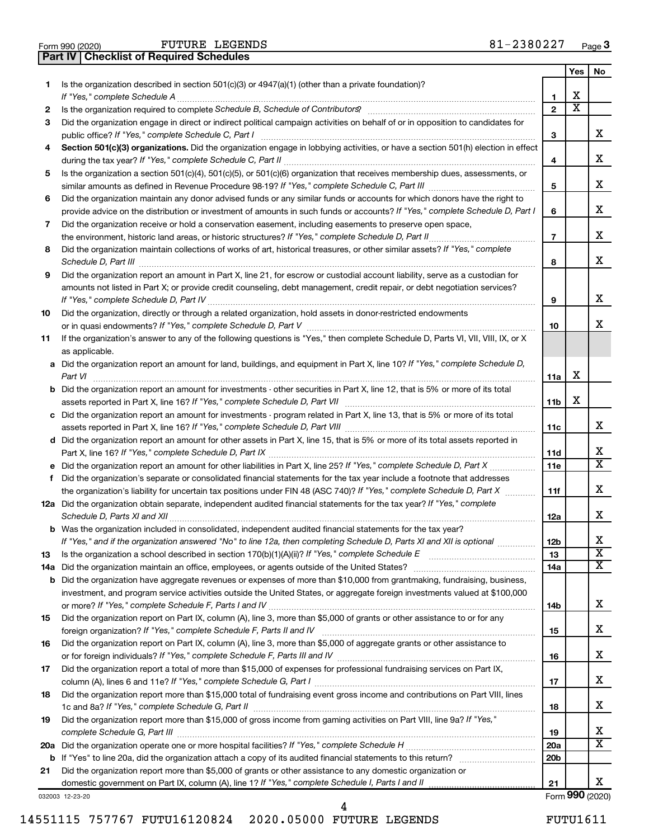| Form 990 (2020) | <b>FUTURE LEGEN</b>                              |  |
|-----------------|--------------------------------------------------|--|
|                 | <b>Part IV   Checklist of Required Schedules</b> |  |

FUTURE LEGENDS

|     |                                                                                                                                       |                 | Yes    | No                      |
|-----|---------------------------------------------------------------------------------------------------------------------------------------|-----------------|--------|-------------------------|
| 1.  | Is the organization described in section 501(c)(3) or 4947(a)(1) (other than a private foundation)?                                   |                 |        |                         |
|     | If "Yes," complete Schedule A                                                                                                         | 1               | x<br>X |                         |
| 2   |                                                                                                                                       | $\mathbf{2}$    |        |                         |
| 3   | Did the organization engage in direct or indirect political campaign activities on behalf of or in opposition to candidates for       |                 |        | х                       |
|     | public office? If "Yes," complete Schedule C, Part I                                                                                  | З               |        |                         |
| 4   | Section 501(c)(3) organizations. Did the organization engage in lobbying activities, or have a section 501(h) election in effect      | 4               |        | х                       |
| 5   | Is the organization a section 501(c)(4), 501(c)(5), or 501(c)(6) organization that receives membership dues, assessments, or          |                 |        |                         |
|     |                                                                                                                                       | 5               |        | х                       |
| 6   | Did the organization maintain any donor advised funds or any similar funds or accounts for which donors have the right to             |                 |        | х                       |
|     | provide advice on the distribution or investment of amounts in such funds or accounts? If "Yes," complete Schedule D, Part I          | 6               |        |                         |
| 7   | Did the organization receive or hold a conservation easement, including easements to preserve open space,                             | $\overline{7}$  |        | х                       |
| 8   | Did the organization maintain collections of works of art, historical treasures, or other similar assets? If "Yes," complete          |                 |        |                         |
|     |                                                                                                                                       | 8               |        | х                       |
| 9   | Did the organization report an amount in Part X, line 21, for escrow or custodial account liability, serve as a custodian for         |                 |        |                         |
|     | amounts not listed in Part X; or provide credit counseling, debt management, credit repair, or debt negotiation services?             |                 |        |                         |
|     |                                                                                                                                       | 9               |        | x                       |
| 10  | Did the organization, directly or through a related organization, hold assets in donor-restricted endowments                          |                 |        |                         |
|     |                                                                                                                                       | 10              |        | x                       |
| 11  | If the organization's answer to any of the following questions is "Yes," then complete Schedule D, Parts VI, VII, VIII, IX, or X      |                 |        |                         |
|     | as applicable.                                                                                                                        |                 |        |                         |
|     | a Did the organization report an amount for land, buildings, and equipment in Part X, line 10? If "Yes," complete Schedule D,         |                 |        |                         |
|     |                                                                                                                                       | 11a             | X      |                         |
|     | <b>b</b> Did the organization report an amount for investments - other securities in Part X, line 12, that is 5% or more of its total |                 |        |                         |
|     |                                                                                                                                       | 11 <sub>b</sub> | х      |                         |
|     | c Did the organization report an amount for investments - program related in Part X, line 13, that is 5% or more of its total         |                 |        | x                       |
|     |                                                                                                                                       | 11c             |        |                         |
|     | d Did the organization report an amount for other assets in Part X, line 15, that is 5% or more of its total assets reported in       | 11d             |        | х                       |
|     |                                                                                                                                       | 11e             |        | $\overline{\textbf{X}}$ |
| f   | Did the organization's separate or consolidated financial statements for the tax year include a footnote that addresses               |                 |        |                         |
|     | the organization's liability for uncertain tax positions under FIN 48 (ASC 740)? If "Yes," complete Schedule D, Part X                | 11f             |        | х                       |
|     | 12a Did the organization obtain separate, independent audited financial statements for the tax year? If "Yes," complete               |                 |        |                         |
|     |                                                                                                                                       | <b>12a</b>      |        | х                       |
|     | <b>b</b> Was the organization included in consolidated, independent audited financial statements for the tax year?                    |                 |        |                         |
|     | If "Yes," and if the organization answered "No" to line 12a, then completing Schedule D, Parts XI and XII is optional                 | 12 <sub>b</sub> |        | х                       |
| 13  |                                                                                                                                       | 13              |        | $\overline{\text{x}}$   |
| 14a |                                                                                                                                       | 14a             |        | x                       |
| b   | Did the organization have aggregate revenues or expenses of more than \$10,000 from grantmaking, fundraising, business,               |                 |        |                         |
|     | investment, and program service activities outside the United States, or aggregate foreign investments valued at \$100,000            |                 |        |                         |
|     |                                                                                                                                       | 14b             |        | х                       |
| 15  | Did the organization report on Part IX, column (A), line 3, more than \$5,000 of grants or other assistance to or for any             |                 |        |                         |
|     |                                                                                                                                       | 15              |        | х                       |
| 16  | Did the organization report on Part IX, column (A), line 3, more than \$5,000 of aggregate grants or other assistance to              |                 |        | х                       |
|     | Did the organization report a total of more than \$15,000 of expenses for professional fundraising services on Part IX,               | 16              |        |                         |
| 17  |                                                                                                                                       | 17              |        | х                       |
| 18  | Did the organization report more than \$15,000 total of fundraising event gross income and contributions on Part VIII, lines          |                 |        |                         |
|     |                                                                                                                                       | 18              |        | х                       |
| 19  | Did the organization report more than \$15,000 of gross income from gaming activities on Part VIII, line 9a? If "Yes,"                |                 |        |                         |
|     |                                                                                                                                       | 19              |        | х                       |
| 20a |                                                                                                                                       | 20a             |        | х                       |
| b   |                                                                                                                                       | 20 <sub>b</sub> |        |                         |
| 21  | Did the organization report more than \$5,000 of grants or other assistance to any domestic organization or                           |                 |        |                         |
|     |                                                                                                                                       | 21              |        | x                       |

032003 12-23-20

Form (2020) **990**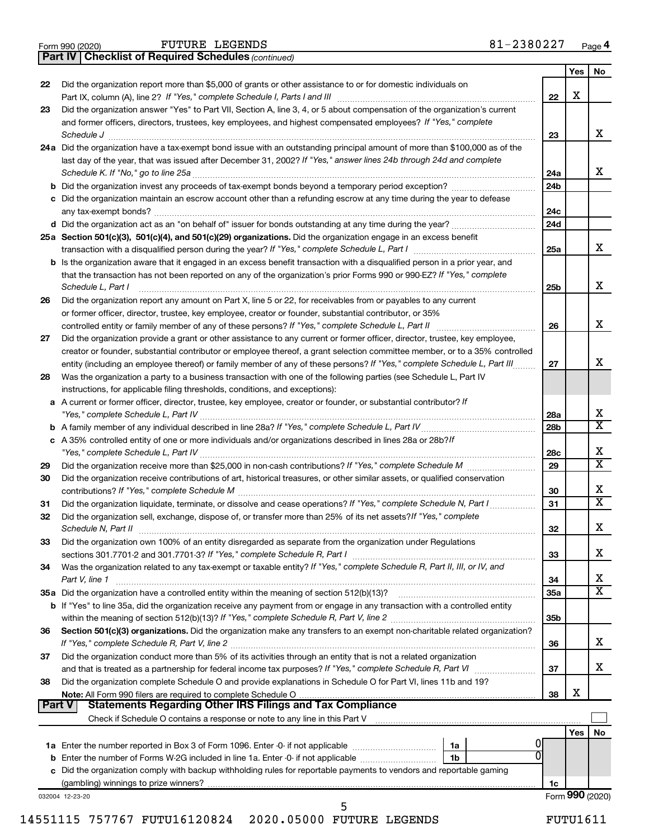|  | Form 990 (2020) |  |
|--|-----------------|--|
|  |                 |  |

*(continued)* **Part IV Checklist of Required Schedules**

|               |                                                                                                                                     |                 | Yes | No                           |
|---------------|-------------------------------------------------------------------------------------------------------------------------------------|-----------------|-----|------------------------------|
| 22            | Did the organization report more than \$5,000 of grants or other assistance to or for domestic individuals on                       |                 |     |                              |
|               |                                                                                                                                     | 22              | х   |                              |
| 23            | Did the organization answer "Yes" to Part VII, Section A, line 3, 4, or 5 about compensation of the organization's current          |                 |     |                              |
|               | and former officers, directors, trustees, key employees, and highest compensated employees? If "Yes," complete                      |                 |     |                              |
|               | Schedule J                                                                                                                          | 23              |     | x                            |
|               | 24a Did the organization have a tax-exempt bond issue with an outstanding principal amount of more than \$100,000 as of the         |                 |     |                              |
|               | last day of the year, that was issued after December 31, 2002? If "Yes," answer lines 24b through 24d and complete                  |                 |     |                              |
|               | Schedule K. If "No," go to line 25a                                                                                                 | 24a             |     | x                            |
|               | <b>b</b> Did the organization invest any proceeds of tax-exempt bonds beyond a temporary period exception?                          | 24b             |     |                              |
|               | c Did the organization maintain an escrow account other than a refunding escrow at any time during the year to defease              |                 |     |                              |
|               | any tax-exempt bonds?                                                                                                               | 24c             |     |                              |
|               | d Did the organization act as an "on behalf of" issuer for bonds outstanding at any time during the year?                           | 24 <sub>d</sub> |     |                              |
|               | 25a Section 501(c)(3), 501(c)(4), and 501(c)(29) organizations. Did the organization engage in an excess benefit                    | 25a             |     | x                            |
|               | <b>b</b> Is the organization aware that it engaged in an excess benefit transaction with a disqualified person in a prior year, and |                 |     |                              |
|               | that the transaction has not been reported on any of the organization's prior Forms 990 or 990-EZ? If "Yes," complete               |                 |     |                              |
|               | Schedule L, Part I                                                                                                                  | 25b             |     | x                            |
| 26            | Did the organization report any amount on Part X, line 5 or 22, for receivables from or payables to any current                     |                 |     |                              |
|               | or former officer, director, trustee, key employee, creator or founder, substantial contributor, or 35%                             |                 |     |                              |
|               | controlled entity or family member of any of these persons? If "Yes," complete Schedule L, Part II                                  | 26              |     | x                            |
| 27            | Did the organization provide a grant or other assistance to any current or former officer, director, trustee, key employee,         |                 |     |                              |
|               | creator or founder, substantial contributor or employee thereof, a grant selection committee member, or to a 35% controlled         |                 |     |                              |
|               | entity (including an employee thereof) or family member of any of these persons? If "Yes," complete Schedule L, Part III            | 27              |     | x                            |
| 28            | Was the organization a party to a business transaction with one of the following parties (see Schedule L, Part IV                   |                 |     |                              |
|               | instructions, for applicable filing thresholds, conditions, and exceptions):                                                        |                 |     |                              |
|               | a A current or former officer, director, trustee, key employee, creator or founder, or substantial contributor? If                  |                 |     |                              |
|               |                                                                                                                                     | 28a             |     | x                            |
|               |                                                                                                                                     | 28b             |     | $\overline{\mathtt{x}}$      |
|               | c A 35% controlled entity of one or more individuals and/or organizations described in lines 28a or 28b? <i>If</i>                  |                 |     |                              |
|               |                                                                                                                                     | 28c             |     | х                            |
| 29            |                                                                                                                                     | 29              |     | $\overline{\mathtt{x}}$      |
| 30            | Did the organization receive contributions of art, historical treasures, or other similar assets, or qualified conservation         |                 |     |                              |
|               |                                                                                                                                     | 30              |     | х                            |
| 31            | Did the organization liquidate, terminate, or dissolve and cease operations? If "Yes," complete Schedule N, Part I                  | 31              |     | $\overline{\mathtt{x}}$      |
| 32            | Did the organization sell, exchange, dispose of, or transfer more than 25% of its net assets? If "Yes," complete                    |                 |     |                              |
|               | Schedule N, Part II                                                                                                                 | 32              |     | X                            |
| 33            | Did the organization own 100% of an entity disregarded as separate from the organization under Regulations                          |                 |     |                              |
|               |                                                                                                                                     | 33              |     | х                            |
| 34            | Was the organization related to any tax-exempt or taxable entity? If "Yes," complete Schedule R, Part II, III, or IV, and           |                 |     |                              |
|               | Part V, line 1                                                                                                                      | 34              |     | x<br>$\overline{\mathtt{x}}$ |
|               |                                                                                                                                     | 35a             |     |                              |
|               | b If "Yes" to line 35a, did the organization receive any payment from or engage in any transaction with a controlled entity         |                 |     |                              |
| 36            | Section 501(c)(3) organizations. Did the organization make any transfers to an exempt non-charitable related organization?          | 35b             |     |                              |
|               |                                                                                                                                     | 36              |     | x                            |
| 37            | Did the organization conduct more than 5% of its activities through an entity that is not a related organization                    |                 |     |                              |
|               | and that is treated as a partnership for federal income tax purposes? If "Yes," complete Schedule R, Part VI                        | 37              |     | x                            |
| 38            | Did the organization complete Schedule O and provide explanations in Schedule O for Part VI, lines 11b and 19?                      |                 |     |                              |
|               |                                                                                                                                     | 38              | х   |                              |
| <b>Part V</b> | <b>Statements Regarding Other IRS Filings and Tax Compliance</b>                                                                    |                 |     |                              |
|               |                                                                                                                                     |                 |     |                              |
|               |                                                                                                                                     |                 | Yes | No                           |
|               | 1a                                                                                                                                  |                 |     |                              |
|               | 0l<br><b>b</b> Enter the number of Forms W-2G included in line 1a. Enter -0- if not applicable <i>manumeranom</i><br>1 <sub>b</sub> |                 |     |                              |
|               | c Did the organization comply with backup withholding rules for reportable payments to vendors and reportable gaming                |                 |     |                              |
|               |                                                                                                                                     | 1c              |     |                              |
|               | 032004 12-23-20                                                                                                                     |                 |     | Form 990 (2020)              |

5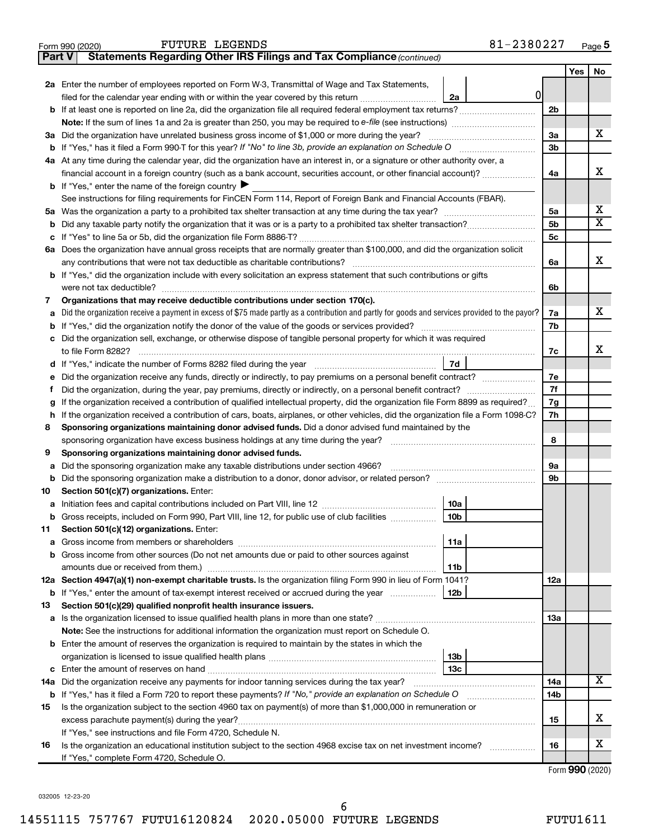|    | filed for the calendar year ending with or within the year covered by this return<br>2a                                                         | 01 |                |  |  |  |
|----|-------------------------------------------------------------------------------------------------------------------------------------------------|----|----------------|--|--|--|
|    | <b>b</b> If at least one is reported on line 2a, did the organization file all required federal employment tax returns?                         |    | 2b             |  |  |  |
|    |                                                                                                                                                 |    |                |  |  |  |
|    |                                                                                                                                                 |    | За             |  |  |  |
|    |                                                                                                                                                 |    | 3 <sub>b</sub> |  |  |  |
|    | 4a At any time during the calendar year, did the organization have an interest in, or a signature or other authority over, a                    |    |                |  |  |  |
|    | financial account in a foreign country (such as a bank account, securities account, or other financial account)?                                |    | 4a             |  |  |  |
|    | <b>b</b> If "Yes," enter the name of the foreign country $\blacktriangleright$                                                                  |    |                |  |  |  |
|    | See instructions for filing requirements for FinCEN Form 114, Report of Foreign Bank and Financial Accounts (FBAR).                             |    |                |  |  |  |
|    |                                                                                                                                                 |    | 5a             |  |  |  |
|    |                                                                                                                                                 |    | 5 <sub>b</sub> |  |  |  |
|    |                                                                                                                                                 |    | 5c             |  |  |  |
|    | 6a Does the organization have annual gross receipts that are normally greater than \$100,000, and did the organization solicit                  |    |                |  |  |  |
|    |                                                                                                                                                 |    | 6a             |  |  |  |
|    | <b>b</b> If "Yes," did the organization include with every solicitation an express statement that such contributions or gifts                   |    |                |  |  |  |
|    |                                                                                                                                                 |    | 6b             |  |  |  |
| 7  | Organizations that may receive deductible contributions under section 170(c).                                                                   |    |                |  |  |  |
| a  | Did the organization receive a payment in excess of \$75 made partly as a contribution and partly for goods and services provided to the payor? |    | 7a             |  |  |  |
|    |                                                                                                                                                 |    | 7b             |  |  |  |
|    | c Did the organization sell, exchange, or otherwise dispose of tangible personal property for which it was required                             |    |                |  |  |  |
|    |                                                                                                                                                 |    | 7c             |  |  |  |
|    | 7d                                                                                                                                              |    |                |  |  |  |
| е  | Did the organization receive any funds, directly or indirectly, to pay premiums on a personal benefit contract?<br>7e                           |    |                |  |  |  |
| f. | Did the organization, during the year, pay premiums, directly or indirectly, on a personal benefit contract?                                    |    | 7f             |  |  |  |
| g  | If the organization received a contribution of qualified intellectual property, did the organization file Form 8899 as required?<br>7g          |    |                |  |  |  |
|    | h If the organization received a contribution of cars, boats, airplanes, or other vehicles, did the organization file a Form 1098-C?<br>7h      |    |                |  |  |  |
| 8  | Sponsoring organizations maintaining donor advised funds. Did a donor advised fund maintained by the                                            |    |                |  |  |  |
|    |                                                                                                                                                 |    | 8              |  |  |  |
| 9  | Sponsoring organizations maintaining donor advised funds.                                                                                       |    |                |  |  |  |
| a  | Did the sponsoring organization make any taxable distributions under section 4966?                                                              |    | 9а             |  |  |  |
|    | b Did the sponsoring organization make a distribution to a donor, donor advisor, or related person? [111] [12]                                  |    | 9 <sub>b</sub> |  |  |  |
| 10 | Section 501(c)(7) organizations. Enter:                                                                                                         |    |                |  |  |  |
| а  | 10a                                                                                                                                             |    |                |  |  |  |
| b  | 10 <sub>b</sub><br>Gross receipts, included on Form 990, Part VIII, line 12, for public use of club facilities                                  |    |                |  |  |  |
| 11 | Section 501(c)(12) organizations. Enter:                                                                                                        |    |                |  |  |  |
| а  | 11a                                                                                                                                             |    |                |  |  |  |
|    | <b>b</b> Gross income from other sources (Do not net amounts due or paid to other sources against                                               |    |                |  |  |  |
|    |                                                                                                                                                 |    |                |  |  |  |
|    | 12a Section 4947(a)(1) non-exempt charitable trusts. Is the organization filing Form 990 in lieu of Form 1041?                                  |    | 12a            |  |  |  |
|    | <b>b</b> If "Yes," enter the amount of tax-exempt interest received or accrued during the year<br>12b                                           |    |                |  |  |  |
| 13 | Section 501(c)(29) qualified nonprofit health insurance issuers.                                                                                |    |                |  |  |  |
|    | a Is the organization licensed to issue qualified health plans in more than one state?                                                          |    | 13a            |  |  |  |
|    | Note: See the instructions for additional information the organization must report on Schedule O.                                               |    |                |  |  |  |
|    | <b>b</b> Enter the amount of reserves the organization is required to maintain by the states in which the                                       |    |                |  |  |  |
|    | 13b                                                                                                                                             |    |                |  |  |  |
|    | 13 <sub>c</sub>                                                                                                                                 |    |                |  |  |  |
|    | 14a Did the organization receive any payments for indoor tanning services during the tax year?                                                  |    | 14a            |  |  |  |
|    | <b>b</b> If "Yes," has it filed a Form 720 to report these payments? If "No," provide an explanation on Schedule O                              |    | 14b            |  |  |  |
| 15 | Is the organization subject to the section 4960 tax on payment(s) of more than \$1,000,000 in remuneration or                                   |    |                |  |  |  |
|    | excess parachute payment(s) during the year?                                                                                                    |    | 15             |  |  |  |
|    | If "Yes," see instructions and file Form 4720, Schedule N.                                                                                      |    |                |  |  |  |
| 16 | Is the organization an educational institution subject to the section 4968 excise tax on net investment income?                                 |    | 16             |  |  |  |

Form (2020) **990**

X

X

X

032005 12-23-20

If "Yes," complete Form 4720, Schedule O.

|  | 14551115 757767 FUTU16120824 2020.05000 FUTURE LEGENDS |  | FUTU1611 |
|--|--------------------------------------------------------|--|----------|

 $|0|$ 

**Yes No**

X

X

X X

X

X

X

**2 a** Enter the number of employees reported on Form W-3, Transmittal of Wage and Tax Statements,

**Part V** Statements Regarding Other IRS Filings and Tax Compliance (continued)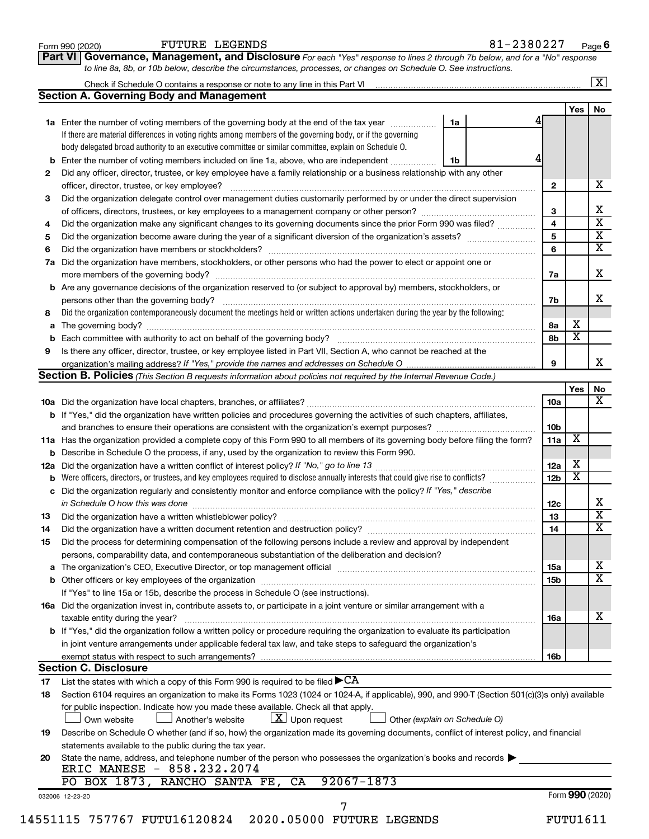|    |                                                                                                                                                  |    |  |                 |                         | $\boxed{\text{X}}$      |
|----|--------------------------------------------------------------------------------------------------------------------------------------------------|----|--|-----------------|-------------------------|-------------------------|
|    | <b>Section A. Governing Body and Management</b>                                                                                                  |    |  |                 |                         |                         |
|    |                                                                                                                                                  |    |  |                 | Yes                     | No                      |
|    | 1a Enter the number of voting members of the governing body at the end of the tax year                                                           | 1a |  |                 |                         |                         |
|    | If there are material differences in voting rights among members of the governing body, or if the governing                                      |    |  |                 |                         |                         |
|    | body delegated broad authority to an executive committee or similar committee, explain on Schedule O.                                            |    |  |                 |                         |                         |
| b  | Enter the number of voting members included on line 1a, above, who are independent                                                               | 1b |  |                 |                         |                         |
| 2  | Did any officer, director, trustee, or key employee have a family relationship or a business relationship with any other                         |    |  |                 |                         |                         |
|    | officer, director, trustee, or key employee?                                                                                                     |    |  | $\mathbf{2}$    |                         | х                       |
| 3  | Did the organization delegate control over management duties customarily performed by or under the direct supervision                            |    |  |                 |                         |                         |
|    |                                                                                                                                                  |    |  | 3               |                         | X                       |
| 4  | Did the organization make any significant changes to its governing documents since the prior Form 990 was filed?                                 |    |  | $\overline{4}$  |                         | $\overline{\textbf{x}}$ |
| 5  |                                                                                                                                                  |    |  | 5               |                         | $\overline{\mathbf{X}}$ |
| 6  |                                                                                                                                                  |    |  | 6               |                         | $\overline{\mathbf{X}}$ |
|    | 7a Did the organization have members, stockholders, or other persons who had the power to elect or appoint one or                                |    |  |                 |                         |                         |
|    |                                                                                                                                                  |    |  | 7a              |                         | X                       |
|    | <b>b</b> Are any governance decisions of the organization reserved to (or subject to approval by) members, stockholders, or                      |    |  |                 |                         |                         |
|    |                                                                                                                                                  |    |  | 7b              |                         | x                       |
| 8  | Did the organization contemporaneously document the meetings held or written actions undertaken during the year by the following:                |    |  |                 |                         |                         |
| а  |                                                                                                                                                  |    |  | 8а              | х                       |                         |
| b  |                                                                                                                                                  |    |  | 8b              | $\overline{\textbf{x}}$ |                         |
| 9  | Is there any officer, director, trustee, or key employee listed in Part VII, Section A, who cannot be reached at the                             |    |  |                 |                         |                         |
|    |                                                                                                                                                  |    |  | 9               |                         | x                       |
|    | Section B. Policies (This Section B requests information about policies not required by the Internal Revenue Code.)                              |    |  |                 |                         |                         |
|    |                                                                                                                                                  |    |  |                 | Yes                     | No                      |
|    |                                                                                                                                                  |    |  | 10a             |                         | $\overline{\mathbf{X}}$ |
|    | <b>b</b> If "Yes," did the organization have written policies and procedures governing the activities of such chapters, affiliates,              |    |  |                 |                         |                         |
|    |                                                                                                                                                  |    |  | 10 <sub>b</sub> |                         |                         |
|    | 11a Has the organization provided a complete copy of this Form 990 to all members of its governing body before filing the form?                  |    |  | 11a             | $\overline{\mathbf{X}}$ |                         |
|    | <b>b</b> Describe in Schedule O the process, if any, used by the organization to review this Form 990.                                           |    |  |                 |                         |                         |
|    |                                                                                                                                                  |    |  | 12a             | х                       |                         |
|    | <b>b</b> Were officers, directors, or trustees, and key employees required to disclose annually interests that could give rise to conflicts?     |    |  | 12 <sub>b</sub> | $\overline{\textbf{x}}$ |                         |
|    | c Did the organization regularly and consistently monitor and enforce compliance with the policy? If "Yes," describe                             |    |  |                 |                         |                         |
|    |                                                                                                                                                  |    |  | 12c             |                         | х                       |
| 13 |                                                                                                                                                  |    |  | 13              |                         | $\overline{\textbf{x}}$ |
|    | Did the organization have a written document retention and destruction policy? [111] [12] manument contains an                                   |    |  | 14              |                         | $\overline{\text{x}}$   |
| 15 | Did the process for determining compensation of the following persons include a review and approval by independent                               |    |  |                 |                         |                         |
|    | persons, comparability data, and contemporaneous substantiation of the deliberation and decision?                                                |    |  |                 |                         |                         |
| а  |                                                                                                                                                  |    |  | 15a             |                         | х                       |
|    |                                                                                                                                                  |    |  | 15b             |                         | $\overline{\mathtt{x}}$ |
|    | If "Yes" to line 15a or 15b, describe the process in Schedule O (see instructions).                                                              |    |  |                 |                         |                         |
|    | 16a Did the organization invest in, contribute assets to, or participate in a joint venture or similar arrangement with a                        |    |  |                 |                         |                         |
|    | taxable entity during the year?                                                                                                                  |    |  | 16a             |                         | х                       |
|    | b If "Yes," did the organization follow a written policy or procedure requiring the organization to evaluate its participation                   |    |  |                 |                         |                         |
|    | in joint venture arrangements under applicable federal tax law, and take steps to safeguard the organization's                                   |    |  |                 |                         |                         |
|    |                                                                                                                                                  |    |  | 16b             |                         |                         |
|    | exempt status with respect to such arrangements?<br><b>Section C. Disclosure</b>                                                                 |    |  |                 |                         |                         |
| 17 | List the states with which a copy of this Form 990 is required to be filed $\blacktriangleright$ CA                                              |    |  |                 |                         |                         |
| 18 | Section 6104 requires an organization to make its Forms 1023 (1024 or 1024-A, if applicable), 990, and 990-T (Section 501(c)(3)s only) available |    |  |                 |                         |                         |
|    | for public inspection. Indicate how you made these available. Check all that apply.                                                              |    |  |                 |                         |                         |
|    | $ \underline{X} $ Upon request<br>Another's website<br>Other (explain on Schedule O)<br>Own website                                              |    |  |                 |                         |                         |
| 19 | Describe on Schedule O whether (and if so, how) the organization made its governing documents, conflict of interest policy, and financial        |    |  |                 |                         |                         |
|    | statements available to the public during the tax year.                                                                                          |    |  |                 |                         |                         |
| 20 | State the name, address, and telephone number of the person who possesses the organization's books and records                                   |    |  |                 |                         |                         |
|    | ERIC MANESE - 858.232.2074                                                                                                                       |    |  |                 |                         |                         |
|    | 92067-1873<br>PO BOX 1873, RANCHO SANTA FE, CA                                                                                                   |    |  |                 |                         |                         |
|    | 032006 12-23-20                                                                                                                                  |    |  |                 | Form 990 (2020)         |                         |
|    | 7                                                                                                                                                |    |  |                 |                         |                         |
|    |                                                                                                                                                  |    |  |                 | <b>FUTU1611</b>         |                         |

Form 990 (2020) Page **6**

FUTURE LEGENDS 81-2380227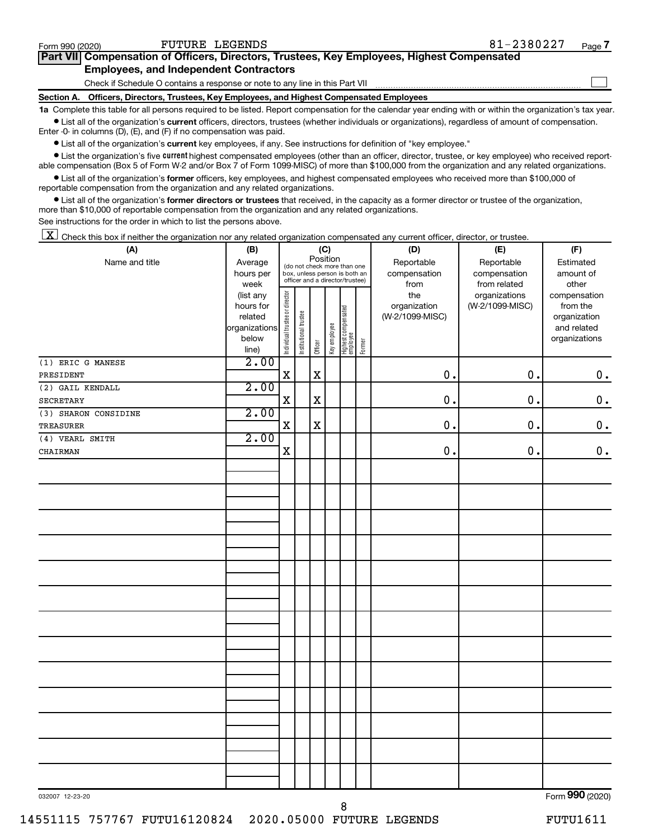| Form 990 (2020)   | <b>FUTURE LEGENDS</b>                                                                      | 81-2380227 | Page 7 |
|-------------------|--------------------------------------------------------------------------------------------|------------|--------|
|                   | Part VII Compensation of Officers, Directors, Trustees, Key Employees, Highest Compensated |            |        |
|                   | <b>Employees, and Independent Contractors</b>                                              |            |        |
|                   | Check if Schedule O contains a response or note to any line in this Part VII               |            |        |
| <b>Section A.</b> | Officers, Directors, Trustees, Key Employees, and Highest Compensated Employees            |            |        |

**1a**  Complete this table for all persons required to be listed. Report compensation for the calendar year ending with or within the organization's tax year.  $\bullet$  List all of the organization's current officers, directors, trustees (whether individuals or organizations), regardless of amount of compensation.

Enter -0- in columns (D), (E), and (F) if no compensation was paid.

**•** List all of the organization's current key employees, if any. See instructions for definition of "key employee."

• List the organization's five *current* highest compensated employees (other than an officer, director, trustee, or key employee) who received reportable compensation (Box 5 of Form W-2 and/or Box 7 of Form 1099-MISC) of more than \$100,000 from the organization and any related organizations.

 $\bullet$  List all of the organization's former officers, key employees, and highest compensated employees who received more than \$100,000 of reportable compensation from the organization and any related organizations.

**•** List all of the organization's former directors or trustees that received, in the capacity as a former director or trustee of the organization, more than \$10,000 of reportable compensation from the organization and any related organizations.

See instructions for the order in which to list the persons above.

 $\boxed{\textbf{X}}$  Check this box if neither the organization nor any related organization compensated any current officer, director, or trustee.

| (A)                  | (B)                    | (C)                                     |                       |             |              |                                                                  |        | (D)                 | (E)                              | (F)                      |  |  |
|----------------------|------------------------|-----------------------------------------|-----------------------|-------------|--------------|------------------------------------------------------------------|--------|---------------------|----------------------------------|--------------------------|--|--|
| Name and title       | Average                | Position<br>(do not check more than one |                       |             |              |                                                                  |        | Reportable          | Reportable                       | Estimated                |  |  |
|                      | hours per              |                                         |                       |             |              | box, unless person is both an<br>officer and a director/trustee) |        | compensation        | compensation                     | amount of                |  |  |
|                      | week                   |                                         |                       |             |              |                                                                  |        | from                | from related                     | other                    |  |  |
|                      | (list any<br>hours for | Individual trustee or director          |                       |             |              |                                                                  |        | the<br>organization | organizations<br>(W-2/1099-MISC) | compensation<br>from the |  |  |
|                      | related                |                                         |                       |             |              |                                                                  |        | (W-2/1099-MISC)     |                                  | organization             |  |  |
|                      | organizations          |                                         |                       |             |              |                                                                  |        |                     |                                  | and related              |  |  |
|                      | below                  |                                         | Institutional trustee |             | Key employee |                                                                  |        |                     |                                  | organizations            |  |  |
|                      | line)                  |                                         |                       | Officer     |              | Highest compensated<br>  employee                                | Former |                     |                                  |                          |  |  |
| (1) ERIC G MANESE    | 2.00                   |                                         |                       |             |              |                                                                  |        |                     |                                  |                          |  |  |
| PRESIDENT            |                        | $\mathbf X$                             |                       | $\mathbf X$ |              |                                                                  |        | 0.                  | 0.                               | $\mathbf 0$ .            |  |  |
| (2) GAIL KENDALL     | 2.00                   |                                         |                       |             |              |                                                                  |        |                     |                                  |                          |  |  |
| <b>SECRETARY</b>     |                        | $\mathbf X$                             |                       | $\mathbf X$ |              |                                                                  |        | 0.                  | 0.                               | $\mathbf 0$ .            |  |  |
| (3) SHARON CONSIDINE | 2.00                   |                                         |                       |             |              |                                                                  |        |                     |                                  |                          |  |  |
| TREASURER            |                        | $\mathbf x$                             |                       | $\mathbf X$ |              |                                                                  |        | 0.                  | 0.                               | $\mathbf 0$ .            |  |  |
| (4) VEARL SMITH      | 2.00                   |                                         |                       |             |              |                                                                  |        |                     |                                  |                          |  |  |
| CHAIRMAN             |                        | $\mathbf X$                             |                       |             |              |                                                                  |        | 0.                  | 0.                               | $\mathbf 0$ .            |  |  |
|                      |                        |                                         |                       |             |              |                                                                  |        |                     |                                  |                          |  |  |
|                      |                        |                                         |                       |             |              |                                                                  |        |                     |                                  |                          |  |  |
|                      |                        |                                         |                       |             |              |                                                                  |        |                     |                                  |                          |  |  |
|                      |                        |                                         |                       |             |              |                                                                  |        |                     |                                  |                          |  |  |
|                      |                        |                                         |                       |             |              |                                                                  |        |                     |                                  |                          |  |  |
|                      |                        |                                         |                       |             |              |                                                                  |        |                     |                                  |                          |  |  |
|                      |                        |                                         |                       |             |              |                                                                  |        |                     |                                  |                          |  |  |
|                      |                        |                                         |                       |             |              |                                                                  |        |                     |                                  |                          |  |  |
|                      |                        |                                         |                       |             |              |                                                                  |        |                     |                                  |                          |  |  |
|                      |                        |                                         |                       |             |              |                                                                  |        |                     |                                  |                          |  |  |
|                      |                        |                                         |                       |             |              |                                                                  |        |                     |                                  |                          |  |  |
|                      |                        |                                         |                       |             |              |                                                                  |        |                     |                                  |                          |  |  |
|                      |                        |                                         |                       |             |              |                                                                  |        |                     |                                  |                          |  |  |
|                      |                        |                                         |                       |             |              |                                                                  |        |                     |                                  |                          |  |  |
|                      |                        |                                         |                       |             |              |                                                                  |        |                     |                                  |                          |  |  |
|                      |                        |                                         |                       |             |              |                                                                  |        |                     |                                  |                          |  |  |
|                      |                        |                                         |                       |             |              |                                                                  |        |                     |                                  |                          |  |  |
|                      |                        |                                         |                       |             |              |                                                                  |        |                     |                                  |                          |  |  |
|                      |                        |                                         |                       |             |              |                                                                  |        |                     |                                  |                          |  |  |
|                      |                        |                                         |                       |             |              |                                                                  |        |                     |                                  |                          |  |  |
|                      |                        |                                         |                       |             |              |                                                                  |        |                     |                                  |                          |  |  |
|                      |                        |                                         |                       |             |              |                                                                  |        |                     |                                  |                          |  |  |
|                      |                        |                                         |                       |             |              |                                                                  |        |                     |                                  |                          |  |  |
|                      |                        |                                         |                       |             |              |                                                                  |        |                     |                                  |                          |  |  |
|                      |                        |                                         |                       |             |              |                                                                  |        |                     |                                  |                          |  |  |
|                      |                        |                                         |                       |             |              |                                                                  |        |                     |                                  |                          |  |  |
|                      |                        |                                         |                       |             |              |                                                                  |        |                     |                                  | $F_{2}$ 000 (0000)       |  |  |

8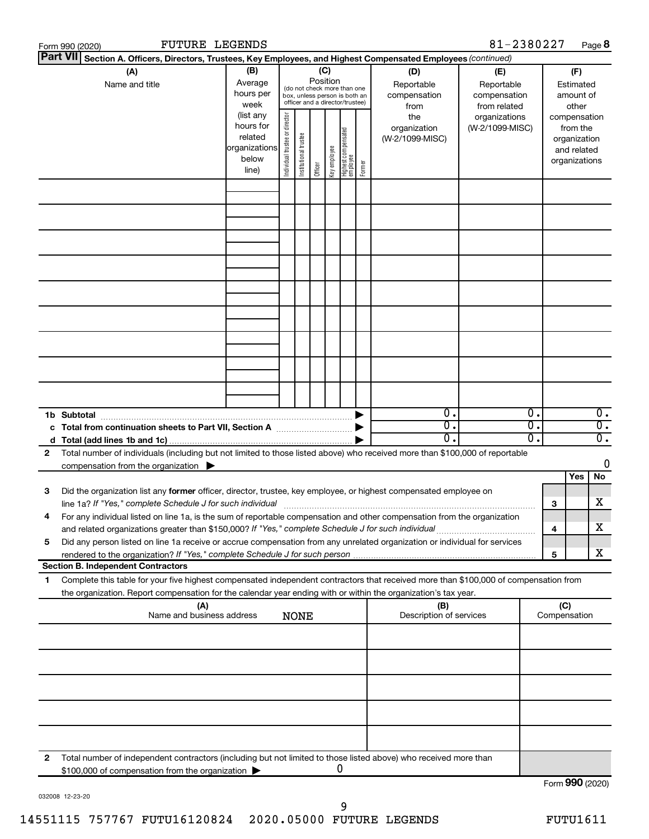|                 | <b>FUTURE LEGENDS</b><br>Form 990 (2020)                                                                                                                                                                                        |                                                               |                                                                                                                                                                 |                       |         |             |                                   |        |                                 | 81-2380227                                                         |                 |                                                          | Page 8                               |
|-----------------|---------------------------------------------------------------------------------------------------------------------------------------------------------------------------------------------------------------------------------|---------------------------------------------------------------|-----------------------------------------------------------------------------------------------------------------------------------------------------------------|-----------------------|---------|-------------|-----------------------------------|--------|---------------------------------|--------------------------------------------------------------------|-----------------|----------------------------------------------------------|--------------------------------------|
| <b>Part VII</b> | Section A. Officers, Directors, Trustees, Key Employees, and Highest Compensated Employees (continued)                                                                                                                          |                                                               |                                                                                                                                                                 |                       |         |             |                                   |        |                                 |                                                                    |                 |                                                          |                                      |
|                 | (A)<br>Name and title                                                                                                                                                                                                           | (B)<br>Average<br>hours per<br>week<br>(list any<br>hours for | (C)<br>Position<br>Reportable<br>(do not check more than one<br>compensation<br>box, unless person is both an<br>officer and a director/trustee)<br>from<br>the |                       |         |             |                                   |        | (D)                             | (E)<br>Reportable<br>compensation<br>from related<br>organizations |                 | (F)<br>Estimated<br>amount of<br>other<br>compensation   |                                      |
|                 |                                                                                                                                                                                                                                 | related<br>organizations<br>below<br>line)                    | Individual trustee or director                                                                                                                                  | Institutional trustee | Officer | Keyemployee | Highest compensated<br>  employee | Former | organization<br>(W-2/1099-MISC) | (W-2/1099-MISC)                                                    |                 | from the<br>organization<br>and related<br>organizations |                                      |
|                 |                                                                                                                                                                                                                                 |                                                               |                                                                                                                                                                 |                       |         |             |                                   |        |                                 |                                                                    |                 |                                                          |                                      |
|                 |                                                                                                                                                                                                                                 |                                                               |                                                                                                                                                                 |                       |         |             |                                   |        |                                 |                                                                    |                 |                                                          |                                      |
|                 |                                                                                                                                                                                                                                 |                                                               |                                                                                                                                                                 |                       |         |             |                                   |        |                                 |                                                                    |                 |                                                          |                                      |
|                 |                                                                                                                                                                                                                                 |                                                               |                                                                                                                                                                 |                       |         |             |                                   |        |                                 |                                                                    |                 |                                                          |                                      |
|                 |                                                                                                                                                                                                                                 |                                                               |                                                                                                                                                                 |                       |         |             |                                   |        |                                 |                                                                    |                 |                                                          |                                      |
|                 |                                                                                                                                                                                                                                 |                                                               |                                                                                                                                                                 |                       |         |             |                                   | ▶      | σ.<br>σ.                        |                                                                    | 0.<br>σ.        |                                                          | $\overline{0}$ .<br>$\overline{0}$ . |
|                 | c Total from continuation sheets to Part VII, Section A manuscreen by                                                                                                                                                           |                                                               |                                                                                                                                                                 |                       |         |             |                                   |        | 0.                              |                                                                    | Ο.              |                                                          | $\overline{0}$ .                     |
| 2               | Total number of individuals (including but not limited to those listed above) who received more than \$100,000 of reportable                                                                                                    |                                                               |                                                                                                                                                                 |                       |         |             |                                   |        |                                 |                                                                    |                 |                                                          |                                      |
|                 | compensation from the organization $\blacktriangleright$                                                                                                                                                                        |                                                               |                                                                                                                                                                 |                       |         |             |                                   |        |                                 |                                                                    |                 |                                                          | 0                                    |
|                 |                                                                                                                                                                                                                                 |                                                               |                                                                                                                                                                 |                       |         |             |                                   |        |                                 |                                                                    |                 | Yes                                                      | No                                   |
| 3               | Did the organization list any former officer, director, trustee, key employee, or highest compensated employee on                                                                                                               |                                                               |                                                                                                                                                                 |                       |         |             |                                   |        |                                 |                                                                    |                 |                                                          |                                      |
|                 |                                                                                                                                                                                                                                 |                                                               |                                                                                                                                                                 |                       |         |             |                                   |        |                                 |                                                                    | 3               |                                                          | х                                    |
|                 | For any individual listed on line 1a, is the sum of reportable compensation and other compensation from the organization<br>and related organizations greater than \$150,000? If "Yes," complete Schedule J for such individual |                                                               |                                                                                                                                                                 |                       |         |             |                                   |        |                                 |                                                                    | 4               |                                                          | х                                    |
| 5               | Did any person listed on line 1a receive or accrue compensation from any unrelated organization or individual for services                                                                                                      |                                                               |                                                                                                                                                                 |                       |         |             |                                   |        |                                 |                                                                    |                 |                                                          |                                      |
|                 |                                                                                                                                                                                                                                 |                                                               |                                                                                                                                                                 |                       |         |             |                                   |        |                                 |                                                                    | 5               |                                                          | х                                    |
|                 | <b>Section B. Independent Contractors</b>                                                                                                                                                                                       |                                                               |                                                                                                                                                                 |                       |         |             |                                   |        |                                 |                                                                    |                 |                                                          |                                      |
| 1.              | Complete this table for your five highest compensated independent contractors that received more than \$100,000 of compensation from                                                                                            |                                                               |                                                                                                                                                                 |                       |         |             |                                   |        |                                 |                                                                    |                 |                                                          |                                      |
|                 | the organization. Report compensation for the calendar year ending with or within the organization's tax year.<br>(A)                                                                                                           |                                                               |                                                                                                                                                                 |                       |         |             |                                   |        | (B)                             |                                                                    | (C)             |                                                          |                                      |
|                 | Name and business address                                                                                                                                                                                                       |                                                               |                                                                                                                                                                 | <b>NONE</b>           |         |             |                                   |        | Description of services         |                                                                    | Compensation    |                                                          |                                      |
|                 |                                                                                                                                                                                                                                 |                                                               |                                                                                                                                                                 |                       |         |             |                                   |        |                                 |                                                                    |                 |                                                          |                                      |
|                 |                                                                                                                                                                                                                                 |                                                               |                                                                                                                                                                 |                       |         |             |                                   |        |                                 |                                                                    |                 |                                                          |                                      |
|                 |                                                                                                                                                                                                                                 |                                                               |                                                                                                                                                                 |                       |         |             |                                   |        |                                 |                                                                    |                 |                                                          |                                      |
|                 |                                                                                                                                                                                                                                 |                                                               |                                                                                                                                                                 |                       |         |             |                                   |        |                                 |                                                                    |                 |                                                          |                                      |
|                 |                                                                                                                                                                                                                                 |                                                               |                                                                                                                                                                 |                       |         |             |                                   |        |                                 |                                                                    |                 |                                                          |                                      |
|                 |                                                                                                                                                                                                                                 |                                                               |                                                                                                                                                                 |                       |         |             |                                   |        |                                 |                                                                    |                 |                                                          |                                      |
| 2               | Total number of independent contractors (including but not limited to those listed above) who received more than<br>\$100,000 of compensation from the organization                                                             |                                                               |                                                                                                                                                                 |                       |         |             | 0                                 |        |                                 |                                                                    |                 |                                                          |                                      |
|                 |                                                                                                                                                                                                                                 |                                                               |                                                                                                                                                                 |                       |         |             |                                   |        |                                 |                                                                    | Form 990 (2020) |                                                          |                                      |

032008 12-23-20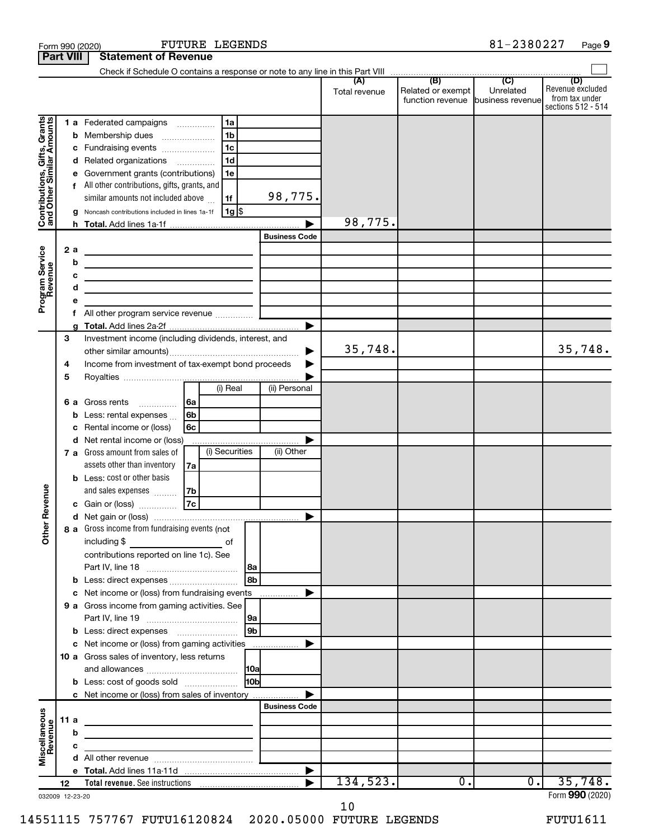| <b>Part VIII</b><br>(D)<br>Revenue excluded<br>Related or exempt<br>Unrelated<br>Total revenue<br>from tax under<br>function revenue business revenue<br>sections 512 - 514<br>Contributions, Gifts, Grants<br>and Other Similar Amounts<br>1a<br>1 a Federated campaigns<br>1 <sub>b</sub><br>Membership dues<br>b<br>1 <sub>c</sub><br>c Fundraising events<br>1 <sub>d</sub><br>d Related organizations<br>Government grants (contributions)<br>1e<br>е<br>All other contributions, gifts, grants, and<br>98,775.<br>similar amounts not included above<br>1f<br>$1g$ \$<br>Noncash contributions included in lines 1a-1f<br>98,775.<br><b>Business Code</b><br>Program Service<br>Revenue<br>2 a<br>b<br>the control of the control of the control of the control of the control of<br>c<br>the control of the control of the control of the control of the control of<br>d<br>the control of the control of the control of the control of the control of<br>е<br>f<br>g<br>3<br>Investment income (including dividends, interest, and<br>35,748.<br>35,748.<br>▶<br>Income from investment of tax-exempt bond proceeds<br>4<br>5<br>(i) Real<br>(ii) Personal<br>  6a<br>Gross rents<br>6а<br>$\overline{\phantom{a}}$<br>6 <sub>b</sub><br>Less: rental expenses<br>6c<br>Rental income or (loss)<br>с<br>Net rental income or (loss)<br>d<br>(i) Securities<br>(ii) Other<br>Gross amount from sales of<br>7 а<br>assets other than inventory<br>7a<br>Less: cost or other basis<br>evenue<br>and sales expenses<br>7b<br>7c<br>c Gain or (loss)<br>Other R<br>8 a Gross income from fundraising events (not<br>including \$<br>of<br>contributions reported on line 1c). See<br>l 8b<br>b<br>Net income or (loss) from fundraising events<br>c<br>9 a Gross income from gaming activities. See<br>l 9b<br><b>b</b> Less: direct expenses <b>contained b</b> Less: direct expenses<br>c Net income or (loss) from gaming activities<br>10 a Gross sales of inventory, less returns<br><b>HObl</b><br><b>b</b> Less: cost of goods sold<br>c Net income or (loss) from sales of inventory<br><b>Business Code</b><br>Miscellaneous<br>Revenue<br>11a<br>b<br>c<br>$\blacktriangleright$<br>134,523.<br>35,748.<br>0.<br>0.<br>12<br>032009 12-23-20 |  |  | <b>FUTURE LEGENDS</b><br>Form 990 (2020) |  |  | 81-2380227 | Page 9          |
|-----------------------------------------------------------------------------------------------------------------------------------------------------------------------------------------------------------------------------------------------------------------------------------------------------------------------------------------------------------------------------------------------------------------------------------------------------------------------------------------------------------------------------------------------------------------------------------------------------------------------------------------------------------------------------------------------------------------------------------------------------------------------------------------------------------------------------------------------------------------------------------------------------------------------------------------------------------------------------------------------------------------------------------------------------------------------------------------------------------------------------------------------------------------------------------------------------------------------------------------------------------------------------------------------------------------------------------------------------------------------------------------------------------------------------------------------------------------------------------------------------------------------------------------------------------------------------------------------------------------------------------------------------------------------------------------------------------------------------------------------------------------------------------------------------------------------------------------------------------------------------------------------------------------------------------------------------------------------------------------------------------------------------------------------------------------------------------------------------------------------------------------------------------------------------------------------------------------------------------------------------------|--|--|------------------------------------------|--|--|------------|-----------------|
|                                                                                                                                                                                                                                                                                                                                                                                                                                                                                                                                                                                                                                                                                                                                                                                                                                                                                                                                                                                                                                                                                                                                                                                                                                                                                                                                                                                                                                                                                                                                                                                                                                                                                                                                                                                                                                                                                                                                                                                                                                                                                                                                                                                                                                                           |  |  | <b>Statement of Revenue</b>              |  |  |            |                 |
|                                                                                                                                                                                                                                                                                                                                                                                                                                                                                                                                                                                                                                                                                                                                                                                                                                                                                                                                                                                                                                                                                                                                                                                                                                                                                                                                                                                                                                                                                                                                                                                                                                                                                                                                                                                                                                                                                                                                                                                                                                                                                                                                                                                                                                                           |  |  |                                          |  |  |            |                 |
|                                                                                                                                                                                                                                                                                                                                                                                                                                                                                                                                                                                                                                                                                                                                                                                                                                                                                                                                                                                                                                                                                                                                                                                                                                                                                                                                                                                                                                                                                                                                                                                                                                                                                                                                                                                                                                                                                                                                                                                                                                                                                                                                                                                                                                                           |  |  |                                          |  |  |            |                 |
|                                                                                                                                                                                                                                                                                                                                                                                                                                                                                                                                                                                                                                                                                                                                                                                                                                                                                                                                                                                                                                                                                                                                                                                                                                                                                                                                                                                                                                                                                                                                                                                                                                                                                                                                                                                                                                                                                                                                                                                                                                                                                                                                                                                                                                                           |  |  |                                          |  |  |            |                 |
|                                                                                                                                                                                                                                                                                                                                                                                                                                                                                                                                                                                                                                                                                                                                                                                                                                                                                                                                                                                                                                                                                                                                                                                                                                                                                                                                                                                                                                                                                                                                                                                                                                                                                                                                                                                                                                                                                                                                                                                                                                                                                                                                                                                                                                                           |  |  |                                          |  |  |            |                 |
|                                                                                                                                                                                                                                                                                                                                                                                                                                                                                                                                                                                                                                                                                                                                                                                                                                                                                                                                                                                                                                                                                                                                                                                                                                                                                                                                                                                                                                                                                                                                                                                                                                                                                                                                                                                                                                                                                                                                                                                                                                                                                                                                                                                                                                                           |  |  |                                          |  |  |            |                 |
|                                                                                                                                                                                                                                                                                                                                                                                                                                                                                                                                                                                                                                                                                                                                                                                                                                                                                                                                                                                                                                                                                                                                                                                                                                                                                                                                                                                                                                                                                                                                                                                                                                                                                                                                                                                                                                                                                                                                                                                                                                                                                                                                                                                                                                                           |  |  |                                          |  |  |            |                 |
|                                                                                                                                                                                                                                                                                                                                                                                                                                                                                                                                                                                                                                                                                                                                                                                                                                                                                                                                                                                                                                                                                                                                                                                                                                                                                                                                                                                                                                                                                                                                                                                                                                                                                                                                                                                                                                                                                                                                                                                                                                                                                                                                                                                                                                                           |  |  |                                          |  |  |            |                 |
|                                                                                                                                                                                                                                                                                                                                                                                                                                                                                                                                                                                                                                                                                                                                                                                                                                                                                                                                                                                                                                                                                                                                                                                                                                                                                                                                                                                                                                                                                                                                                                                                                                                                                                                                                                                                                                                                                                                                                                                                                                                                                                                                                                                                                                                           |  |  |                                          |  |  |            |                 |
|                                                                                                                                                                                                                                                                                                                                                                                                                                                                                                                                                                                                                                                                                                                                                                                                                                                                                                                                                                                                                                                                                                                                                                                                                                                                                                                                                                                                                                                                                                                                                                                                                                                                                                                                                                                                                                                                                                                                                                                                                                                                                                                                                                                                                                                           |  |  |                                          |  |  |            |                 |
|                                                                                                                                                                                                                                                                                                                                                                                                                                                                                                                                                                                                                                                                                                                                                                                                                                                                                                                                                                                                                                                                                                                                                                                                                                                                                                                                                                                                                                                                                                                                                                                                                                                                                                                                                                                                                                                                                                                                                                                                                                                                                                                                                                                                                                                           |  |  |                                          |  |  |            |                 |
|                                                                                                                                                                                                                                                                                                                                                                                                                                                                                                                                                                                                                                                                                                                                                                                                                                                                                                                                                                                                                                                                                                                                                                                                                                                                                                                                                                                                                                                                                                                                                                                                                                                                                                                                                                                                                                                                                                                                                                                                                                                                                                                                                                                                                                                           |  |  |                                          |  |  |            |                 |
|                                                                                                                                                                                                                                                                                                                                                                                                                                                                                                                                                                                                                                                                                                                                                                                                                                                                                                                                                                                                                                                                                                                                                                                                                                                                                                                                                                                                                                                                                                                                                                                                                                                                                                                                                                                                                                                                                                                                                                                                                                                                                                                                                                                                                                                           |  |  |                                          |  |  |            |                 |
|                                                                                                                                                                                                                                                                                                                                                                                                                                                                                                                                                                                                                                                                                                                                                                                                                                                                                                                                                                                                                                                                                                                                                                                                                                                                                                                                                                                                                                                                                                                                                                                                                                                                                                                                                                                                                                                                                                                                                                                                                                                                                                                                                                                                                                                           |  |  |                                          |  |  |            |                 |
|                                                                                                                                                                                                                                                                                                                                                                                                                                                                                                                                                                                                                                                                                                                                                                                                                                                                                                                                                                                                                                                                                                                                                                                                                                                                                                                                                                                                                                                                                                                                                                                                                                                                                                                                                                                                                                                                                                                                                                                                                                                                                                                                                                                                                                                           |  |  |                                          |  |  |            |                 |
|                                                                                                                                                                                                                                                                                                                                                                                                                                                                                                                                                                                                                                                                                                                                                                                                                                                                                                                                                                                                                                                                                                                                                                                                                                                                                                                                                                                                                                                                                                                                                                                                                                                                                                                                                                                                                                                                                                                                                                                                                                                                                                                                                                                                                                                           |  |  |                                          |  |  |            |                 |
|                                                                                                                                                                                                                                                                                                                                                                                                                                                                                                                                                                                                                                                                                                                                                                                                                                                                                                                                                                                                                                                                                                                                                                                                                                                                                                                                                                                                                                                                                                                                                                                                                                                                                                                                                                                                                                                                                                                                                                                                                                                                                                                                                                                                                                                           |  |  |                                          |  |  |            |                 |
|                                                                                                                                                                                                                                                                                                                                                                                                                                                                                                                                                                                                                                                                                                                                                                                                                                                                                                                                                                                                                                                                                                                                                                                                                                                                                                                                                                                                                                                                                                                                                                                                                                                                                                                                                                                                                                                                                                                                                                                                                                                                                                                                                                                                                                                           |  |  |                                          |  |  |            |                 |
|                                                                                                                                                                                                                                                                                                                                                                                                                                                                                                                                                                                                                                                                                                                                                                                                                                                                                                                                                                                                                                                                                                                                                                                                                                                                                                                                                                                                                                                                                                                                                                                                                                                                                                                                                                                                                                                                                                                                                                                                                                                                                                                                                                                                                                                           |  |  |                                          |  |  |            |                 |
|                                                                                                                                                                                                                                                                                                                                                                                                                                                                                                                                                                                                                                                                                                                                                                                                                                                                                                                                                                                                                                                                                                                                                                                                                                                                                                                                                                                                                                                                                                                                                                                                                                                                                                                                                                                                                                                                                                                                                                                                                                                                                                                                                                                                                                                           |  |  |                                          |  |  |            |                 |
|                                                                                                                                                                                                                                                                                                                                                                                                                                                                                                                                                                                                                                                                                                                                                                                                                                                                                                                                                                                                                                                                                                                                                                                                                                                                                                                                                                                                                                                                                                                                                                                                                                                                                                                                                                                                                                                                                                                                                                                                                                                                                                                                                                                                                                                           |  |  |                                          |  |  |            |                 |
|                                                                                                                                                                                                                                                                                                                                                                                                                                                                                                                                                                                                                                                                                                                                                                                                                                                                                                                                                                                                                                                                                                                                                                                                                                                                                                                                                                                                                                                                                                                                                                                                                                                                                                                                                                                                                                                                                                                                                                                                                                                                                                                                                                                                                                                           |  |  |                                          |  |  |            |                 |
|                                                                                                                                                                                                                                                                                                                                                                                                                                                                                                                                                                                                                                                                                                                                                                                                                                                                                                                                                                                                                                                                                                                                                                                                                                                                                                                                                                                                                                                                                                                                                                                                                                                                                                                                                                                                                                                                                                                                                                                                                                                                                                                                                                                                                                                           |  |  |                                          |  |  |            |                 |
|                                                                                                                                                                                                                                                                                                                                                                                                                                                                                                                                                                                                                                                                                                                                                                                                                                                                                                                                                                                                                                                                                                                                                                                                                                                                                                                                                                                                                                                                                                                                                                                                                                                                                                                                                                                                                                                                                                                                                                                                                                                                                                                                                                                                                                                           |  |  |                                          |  |  |            |                 |
|                                                                                                                                                                                                                                                                                                                                                                                                                                                                                                                                                                                                                                                                                                                                                                                                                                                                                                                                                                                                                                                                                                                                                                                                                                                                                                                                                                                                                                                                                                                                                                                                                                                                                                                                                                                                                                                                                                                                                                                                                                                                                                                                                                                                                                                           |  |  |                                          |  |  |            |                 |
|                                                                                                                                                                                                                                                                                                                                                                                                                                                                                                                                                                                                                                                                                                                                                                                                                                                                                                                                                                                                                                                                                                                                                                                                                                                                                                                                                                                                                                                                                                                                                                                                                                                                                                                                                                                                                                                                                                                                                                                                                                                                                                                                                                                                                                                           |  |  |                                          |  |  |            |                 |
|                                                                                                                                                                                                                                                                                                                                                                                                                                                                                                                                                                                                                                                                                                                                                                                                                                                                                                                                                                                                                                                                                                                                                                                                                                                                                                                                                                                                                                                                                                                                                                                                                                                                                                                                                                                                                                                                                                                                                                                                                                                                                                                                                                                                                                                           |  |  |                                          |  |  |            |                 |
|                                                                                                                                                                                                                                                                                                                                                                                                                                                                                                                                                                                                                                                                                                                                                                                                                                                                                                                                                                                                                                                                                                                                                                                                                                                                                                                                                                                                                                                                                                                                                                                                                                                                                                                                                                                                                                                                                                                                                                                                                                                                                                                                                                                                                                                           |  |  |                                          |  |  |            |                 |
|                                                                                                                                                                                                                                                                                                                                                                                                                                                                                                                                                                                                                                                                                                                                                                                                                                                                                                                                                                                                                                                                                                                                                                                                                                                                                                                                                                                                                                                                                                                                                                                                                                                                                                                                                                                                                                                                                                                                                                                                                                                                                                                                                                                                                                                           |  |  |                                          |  |  |            |                 |
|                                                                                                                                                                                                                                                                                                                                                                                                                                                                                                                                                                                                                                                                                                                                                                                                                                                                                                                                                                                                                                                                                                                                                                                                                                                                                                                                                                                                                                                                                                                                                                                                                                                                                                                                                                                                                                                                                                                                                                                                                                                                                                                                                                                                                                                           |  |  |                                          |  |  |            |                 |
|                                                                                                                                                                                                                                                                                                                                                                                                                                                                                                                                                                                                                                                                                                                                                                                                                                                                                                                                                                                                                                                                                                                                                                                                                                                                                                                                                                                                                                                                                                                                                                                                                                                                                                                                                                                                                                                                                                                                                                                                                                                                                                                                                                                                                                                           |  |  |                                          |  |  |            |                 |
|                                                                                                                                                                                                                                                                                                                                                                                                                                                                                                                                                                                                                                                                                                                                                                                                                                                                                                                                                                                                                                                                                                                                                                                                                                                                                                                                                                                                                                                                                                                                                                                                                                                                                                                                                                                                                                                                                                                                                                                                                                                                                                                                                                                                                                                           |  |  |                                          |  |  |            |                 |
|                                                                                                                                                                                                                                                                                                                                                                                                                                                                                                                                                                                                                                                                                                                                                                                                                                                                                                                                                                                                                                                                                                                                                                                                                                                                                                                                                                                                                                                                                                                                                                                                                                                                                                                                                                                                                                                                                                                                                                                                                                                                                                                                                                                                                                                           |  |  |                                          |  |  |            |                 |
|                                                                                                                                                                                                                                                                                                                                                                                                                                                                                                                                                                                                                                                                                                                                                                                                                                                                                                                                                                                                                                                                                                                                                                                                                                                                                                                                                                                                                                                                                                                                                                                                                                                                                                                                                                                                                                                                                                                                                                                                                                                                                                                                                                                                                                                           |  |  |                                          |  |  |            |                 |
|                                                                                                                                                                                                                                                                                                                                                                                                                                                                                                                                                                                                                                                                                                                                                                                                                                                                                                                                                                                                                                                                                                                                                                                                                                                                                                                                                                                                                                                                                                                                                                                                                                                                                                                                                                                                                                                                                                                                                                                                                                                                                                                                                                                                                                                           |  |  |                                          |  |  |            |                 |
|                                                                                                                                                                                                                                                                                                                                                                                                                                                                                                                                                                                                                                                                                                                                                                                                                                                                                                                                                                                                                                                                                                                                                                                                                                                                                                                                                                                                                                                                                                                                                                                                                                                                                                                                                                                                                                                                                                                                                                                                                                                                                                                                                                                                                                                           |  |  |                                          |  |  |            |                 |
|                                                                                                                                                                                                                                                                                                                                                                                                                                                                                                                                                                                                                                                                                                                                                                                                                                                                                                                                                                                                                                                                                                                                                                                                                                                                                                                                                                                                                                                                                                                                                                                                                                                                                                                                                                                                                                                                                                                                                                                                                                                                                                                                                                                                                                                           |  |  |                                          |  |  |            |                 |
|                                                                                                                                                                                                                                                                                                                                                                                                                                                                                                                                                                                                                                                                                                                                                                                                                                                                                                                                                                                                                                                                                                                                                                                                                                                                                                                                                                                                                                                                                                                                                                                                                                                                                                                                                                                                                                                                                                                                                                                                                                                                                                                                                                                                                                                           |  |  |                                          |  |  |            |                 |
|                                                                                                                                                                                                                                                                                                                                                                                                                                                                                                                                                                                                                                                                                                                                                                                                                                                                                                                                                                                                                                                                                                                                                                                                                                                                                                                                                                                                                                                                                                                                                                                                                                                                                                                                                                                                                                                                                                                                                                                                                                                                                                                                                                                                                                                           |  |  |                                          |  |  |            |                 |
|                                                                                                                                                                                                                                                                                                                                                                                                                                                                                                                                                                                                                                                                                                                                                                                                                                                                                                                                                                                                                                                                                                                                                                                                                                                                                                                                                                                                                                                                                                                                                                                                                                                                                                                                                                                                                                                                                                                                                                                                                                                                                                                                                                                                                                                           |  |  |                                          |  |  |            |                 |
|                                                                                                                                                                                                                                                                                                                                                                                                                                                                                                                                                                                                                                                                                                                                                                                                                                                                                                                                                                                                                                                                                                                                                                                                                                                                                                                                                                                                                                                                                                                                                                                                                                                                                                                                                                                                                                                                                                                                                                                                                                                                                                                                                                                                                                                           |  |  |                                          |  |  |            |                 |
|                                                                                                                                                                                                                                                                                                                                                                                                                                                                                                                                                                                                                                                                                                                                                                                                                                                                                                                                                                                                                                                                                                                                                                                                                                                                                                                                                                                                                                                                                                                                                                                                                                                                                                                                                                                                                                                                                                                                                                                                                                                                                                                                                                                                                                                           |  |  |                                          |  |  |            |                 |
|                                                                                                                                                                                                                                                                                                                                                                                                                                                                                                                                                                                                                                                                                                                                                                                                                                                                                                                                                                                                                                                                                                                                                                                                                                                                                                                                                                                                                                                                                                                                                                                                                                                                                                                                                                                                                                                                                                                                                                                                                                                                                                                                                                                                                                                           |  |  |                                          |  |  |            |                 |
|                                                                                                                                                                                                                                                                                                                                                                                                                                                                                                                                                                                                                                                                                                                                                                                                                                                                                                                                                                                                                                                                                                                                                                                                                                                                                                                                                                                                                                                                                                                                                                                                                                                                                                                                                                                                                                                                                                                                                                                                                                                                                                                                                                                                                                                           |  |  |                                          |  |  |            |                 |
|                                                                                                                                                                                                                                                                                                                                                                                                                                                                                                                                                                                                                                                                                                                                                                                                                                                                                                                                                                                                                                                                                                                                                                                                                                                                                                                                                                                                                                                                                                                                                                                                                                                                                                                                                                                                                                                                                                                                                                                                                                                                                                                                                                                                                                                           |  |  |                                          |  |  |            |                 |
|                                                                                                                                                                                                                                                                                                                                                                                                                                                                                                                                                                                                                                                                                                                                                                                                                                                                                                                                                                                                                                                                                                                                                                                                                                                                                                                                                                                                                                                                                                                                                                                                                                                                                                                                                                                                                                                                                                                                                                                                                                                                                                                                                                                                                                                           |  |  |                                          |  |  |            |                 |
|                                                                                                                                                                                                                                                                                                                                                                                                                                                                                                                                                                                                                                                                                                                                                                                                                                                                                                                                                                                                                                                                                                                                                                                                                                                                                                                                                                                                                                                                                                                                                                                                                                                                                                                                                                                                                                                                                                                                                                                                                                                                                                                                                                                                                                                           |  |  |                                          |  |  |            |                 |
|                                                                                                                                                                                                                                                                                                                                                                                                                                                                                                                                                                                                                                                                                                                                                                                                                                                                                                                                                                                                                                                                                                                                                                                                                                                                                                                                                                                                                                                                                                                                                                                                                                                                                                                                                                                                                                                                                                                                                                                                                                                                                                                                                                                                                                                           |  |  |                                          |  |  |            |                 |
|                                                                                                                                                                                                                                                                                                                                                                                                                                                                                                                                                                                                                                                                                                                                                                                                                                                                                                                                                                                                                                                                                                                                                                                                                                                                                                                                                                                                                                                                                                                                                                                                                                                                                                                                                                                                                                                                                                                                                                                                                                                                                                                                                                                                                                                           |  |  |                                          |  |  |            |                 |
|                                                                                                                                                                                                                                                                                                                                                                                                                                                                                                                                                                                                                                                                                                                                                                                                                                                                                                                                                                                                                                                                                                                                                                                                                                                                                                                                                                                                                                                                                                                                                                                                                                                                                                                                                                                                                                                                                                                                                                                                                                                                                                                                                                                                                                                           |  |  |                                          |  |  |            |                 |
|                                                                                                                                                                                                                                                                                                                                                                                                                                                                                                                                                                                                                                                                                                                                                                                                                                                                                                                                                                                                                                                                                                                                                                                                                                                                                                                                                                                                                                                                                                                                                                                                                                                                                                                                                                                                                                                                                                                                                                                                                                                                                                                                                                                                                                                           |  |  |                                          |  |  |            |                 |
|                                                                                                                                                                                                                                                                                                                                                                                                                                                                                                                                                                                                                                                                                                                                                                                                                                                                                                                                                                                                                                                                                                                                                                                                                                                                                                                                                                                                                                                                                                                                                                                                                                                                                                                                                                                                                                                                                                                                                                                                                                                                                                                                                                                                                                                           |  |  |                                          |  |  |            |                 |
|                                                                                                                                                                                                                                                                                                                                                                                                                                                                                                                                                                                                                                                                                                                                                                                                                                                                                                                                                                                                                                                                                                                                                                                                                                                                                                                                                                                                                                                                                                                                                                                                                                                                                                                                                                                                                                                                                                                                                                                                                                                                                                                                                                                                                                                           |  |  |                                          |  |  |            |                 |
|                                                                                                                                                                                                                                                                                                                                                                                                                                                                                                                                                                                                                                                                                                                                                                                                                                                                                                                                                                                                                                                                                                                                                                                                                                                                                                                                                                                                                                                                                                                                                                                                                                                                                                                                                                                                                                                                                                                                                                                                                                                                                                                                                                                                                                                           |  |  |                                          |  |  |            |                 |
|                                                                                                                                                                                                                                                                                                                                                                                                                                                                                                                                                                                                                                                                                                                                                                                                                                                                                                                                                                                                                                                                                                                                                                                                                                                                                                                                                                                                                                                                                                                                                                                                                                                                                                                                                                                                                                                                                                                                                                                                                                                                                                                                                                                                                                                           |  |  |                                          |  |  |            |                 |
|                                                                                                                                                                                                                                                                                                                                                                                                                                                                                                                                                                                                                                                                                                                                                                                                                                                                                                                                                                                                                                                                                                                                                                                                                                                                                                                                                                                                                                                                                                                                                                                                                                                                                                                                                                                                                                                                                                                                                                                                                                                                                                                                                                                                                                                           |  |  |                                          |  |  |            | Form 990 (2020) |

032009 12-23-20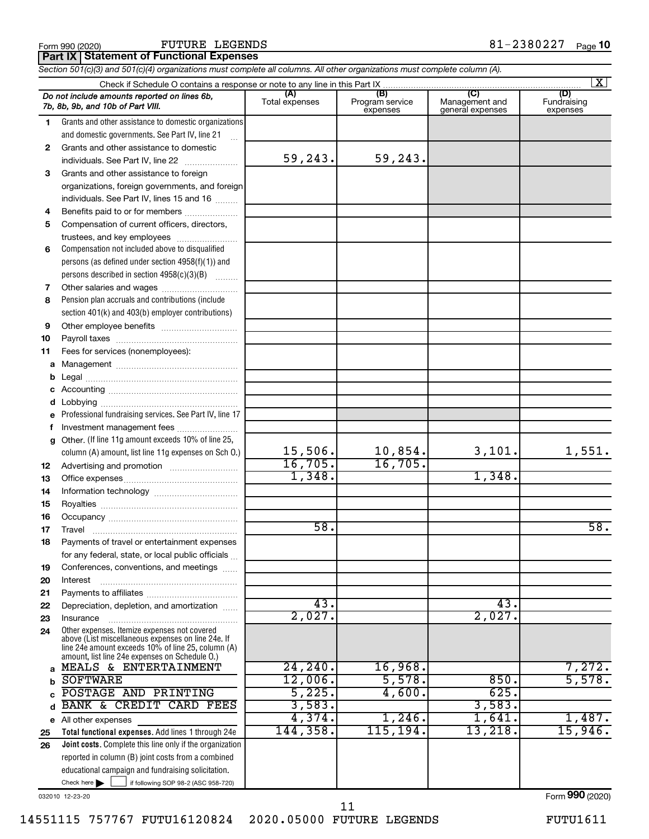FUTURE LEGENDS

**Part IX Statement of Functional Expenses**

|          | Section 501(c)(3) and 501(c)(4) organizations must complete all columns. All other organizations must complete column (A).                                 |                       |                                    |                                                      |                                |
|----------|------------------------------------------------------------------------------------------------------------------------------------------------------------|-----------------------|------------------------------------|------------------------------------------------------|--------------------------------|
|          | Check if Schedule O contains a response or note to any line in this Part IX                                                                                |                       |                                    |                                                      | $\mathbf{X}$                   |
|          | Do not include amounts reported on lines 6b,<br>7b, 8b, 9b, and 10b of Part VIII.                                                                          | (A)<br>Total expenses | (B)<br>Program service<br>expenses | $\overline{C}$<br>Management and<br>general expenses | (D)<br>Fundraising<br>expenses |
| 1        | Grants and other assistance to domestic organizations                                                                                                      |                       |                                    |                                                      |                                |
|          | and domestic governments. See Part IV, line 21                                                                                                             |                       |                                    |                                                      |                                |
| 2        | Grants and other assistance to domestic                                                                                                                    |                       |                                    |                                                      |                                |
|          | individuals. See Part IV, line 22                                                                                                                          | 59, 243.              | 59,243.                            |                                                      |                                |
| З        | Grants and other assistance to foreign                                                                                                                     |                       |                                    |                                                      |                                |
|          | organizations, foreign governments, and foreign                                                                                                            |                       |                                    |                                                      |                                |
|          | individuals. See Part IV, lines 15 and 16                                                                                                                  |                       |                                    |                                                      |                                |
| 4        | Benefits paid to or for members                                                                                                                            |                       |                                    |                                                      |                                |
| 5        | Compensation of current officers, directors,                                                                                                               |                       |                                    |                                                      |                                |
|          | trustees, and key employees                                                                                                                                |                       |                                    |                                                      |                                |
| 6        | Compensation not included above to disqualified                                                                                                            |                       |                                    |                                                      |                                |
|          | persons (as defined under section $4958(f)(1)$ ) and                                                                                                       |                       |                                    |                                                      |                                |
|          | persons described in section 4958(c)(3)(B)                                                                                                                 |                       |                                    |                                                      |                                |
| 7        |                                                                                                                                                            |                       |                                    |                                                      |                                |
| 8        | Pension plan accruals and contributions (include                                                                                                           |                       |                                    |                                                      |                                |
|          | section 401(k) and 403(b) employer contributions)                                                                                                          |                       |                                    |                                                      |                                |
| 9        |                                                                                                                                                            |                       |                                    |                                                      |                                |
| 10       |                                                                                                                                                            |                       |                                    |                                                      |                                |
| 11       | Fees for services (nonemployees):                                                                                                                          |                       |                                    |                                                      |                                |
| a        |                                                                                                                                                            |                       |                                    |                                                      |                                |
| b        |                                                                                                                                                            |                       |                                    |                                                      |                                |
|          |                                                                                                                                                            |                       |                                    |                                                      |                                |
|          |                                                                                                                                                            |                       |                                    |                                                      |                                |
| е        | Professional fundraising services. See Part IV, line 17                                                                                                    |                       |                                    |                                                      |                                |
|          | Investment management fees                                                                                                                                 |                       |                                    |                                                      |                                |
| g        | Other. (If line 11g amount exceeds 10% of line 25,                                                                                                         |                       |                                    |                                                      |                                |
|          | column (A) amount, list line 11g expenses on Sch O.)                                                                                                       | 15,506.               | $\frac{10,854.}{16,705.}$          | 3,101.                                               | 1,551.                         |
| 12       |                                                                                                                                                            | 16,705.               |                                    |                                                      |                                |
| 13       |                                                                                                                                                            | 1,348.                |                                    | 1,348.                                               |                                |
| 14       |                                                                                                                                                            |                       |                                    |                                                      |                                |
| 15       |                                                                                                                                                            |                       |                                    |                                                      |                                |
| 16       |                                                                                                                                                            |                       |                                    |                                                      |                                |
| 17       |                                                                                                                                                            | 58.                   |                                    |                                                      | 58.                            |
| 18       | Payments of travel or entertainment expenses                                                                                                               |                       |                                    |                                                      |                                |
|          | for any federal, state, or local public officials                                                                                                          |                       |                                    |                                                      |                                |
| 19       | Conferences, conventions, and meetings                                                                                                                     |                       |                                    |                                                      |                                |
| 20       | Interest                                                                                                                                                   |                       |                                    |                                                      |                                |
| 21       |                                                                                                                                                            | 43.                   |                                    | 43.                                                  |                                |
| 22       | Depreciation, depletion, and amortization                                                                                                                  | 2,027.                |                                    | 2,027.                                               |                                |
| 23<br>24 | Insurance<br>Other expenses. Itemize expenses not covered                                                                                                  |                       |                                    |                                                      |                                |
|          | above (List miscellaneous expenses on line 24e. If<br>line 24e amount exceeds 10% of line 25, column (A)<br>amount, list line 24e expenses on Schedule O.) |                       |                                    |                                                      |                                |
| a        | MEALS & ENTERTAINMENT                                                                                                                                      | 24, 240.              | 16,968.                            |                                                      | 7,272.                         |
| h        | <b>SOFTWARE</b>                                                                                                                                            | 12,006.               | 5,578.                             | 850.                                                 | 5,578.                         |
|          | POSTAGE AND PRINTING                                                                                                                                       | 5,225.                | 4,600.                             | 625.                                                 |                                |
| d        | BANK & CREDIT CARD FEES                                                                                                                                    | 3,583.                |                                    | 3,583.                                               |                                |
|          | e All other expenses                                                                                                                                       | 4,374.                | 1,246.                             | 1,641.                                               | 1,487.                         |
| 25       | Total functional expenses. Add lines 1 through 24e                                                                                                         | 144,358.              | 115,194.                           | 13,218.                                              | 15,946.                        |
| 26       | <b>Joint costs.</b> Complete this line only if the organization                                                                                            |                       |                                    |                                                      |                                |
|          | reported in column (B) joint costs from a combined                                                                                                         |                       |                                    |                                                      |                                |
|          | educational campaign and fundraising solicitation.                                                                                                         |                       |                                    |                                                      |                                |
|          | Check here $\blacktriangleright$<br>if following SOP 98-2 (ASC 958-720)                                                                                    |                       |                                    |                                                      |                                |
|          | 032010 12-23-20                                                                                                                                            |                       |                                    |                                                      | Form 990 (2020)                |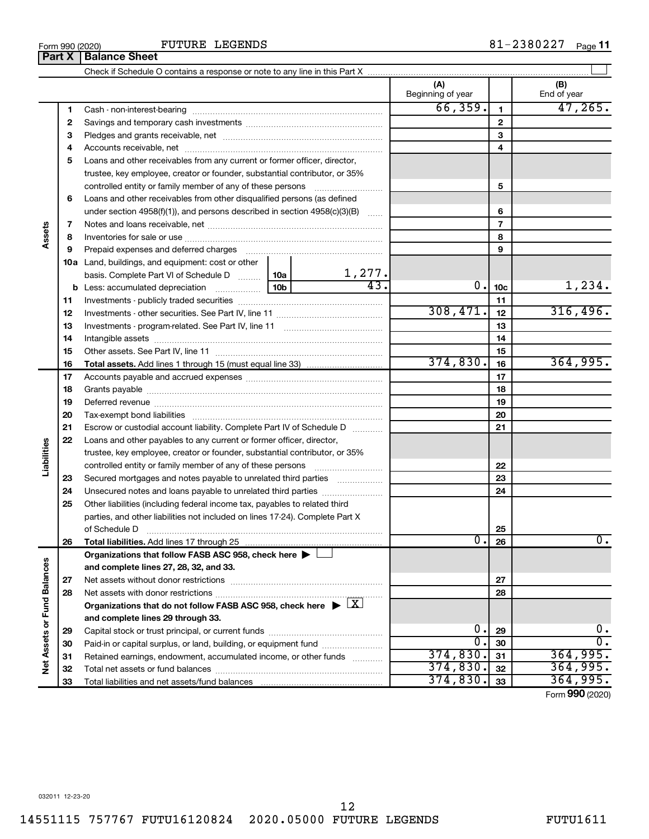|  | <b>FUTURE LEGENDS</b><br>Form 990 (2020) |                         | 81-2380227<br>Page 11 |
|--|------------------------------------------|-------------------------|-----------------------|
|  | <b>Part X   Balance Sheet</b>            |                         |                       |
|  |                                          |                         |                       |
|  |                                          | (A<br>Beginning of year | (B)<br>End of year    |
|  | Cash - non-interest-bearing              | 66,359                  |                       |
|  |                                          |                         |                       |

|                           |    |                                                                                                                                                                                                                               |  |               | Beginning of year |                 | End of year      |
|---------------------------|----|-------------------------------------------------------------------------------------------------------------------------------------------------------------------------------------------------------------------------------|--|---------------|-------------------|-----------------|------------------|
|                           | 1  |                                                                                                                                                                                                                               |  |               | 66, 359.          | 1               | 47, 265.         |
|                           | 2  |                                                                                                                                                                                                                               |  |               |                   | $\mathbf{2}$    |                  |
|                           | З  |                                                                                                                                                                                                                               |  |               |                   | 3               |                  |
|                           | 4  |                                                                                                                                                                                                                               |  |               |                   | 4               |                  |
|                           | 5  | Loans and other receivables from any current or former officer, director,                                                                                                                                                     |  |               |                   |                 |                  |
|                           |    | trustee, key employee, creator or founder, substantial contributor, or 35%                                                                                                                                                    |  |               |                   |                 |                  |
|                           |    | controlled entity or family member of any of these persons [                                                                                                                                                                  |  |               |                   | 5               |                  |
|                           | 6  | Loans and other receivables from other disqualified persons (as defined                                                                                                                                                       |  |               |                   |                 |                  |
|                           |    | under section 4958(f)(1)), and persons described in section 4958(c)(3)(B)                                                                                                                                                     |  |               |                   | 6               |                  |
|                           | 7  |                                                                                                                                                                                                                               |  |               |                   | $\overline{7}$  |                  |
| Assets                    | 8  |                                                                                                                                                                                                                               |  |               |                   | 8               |                  |
|                           | 9  | Prepaid expenses and deferred charges [11] [11] Prepaid expenses and deferred charges [11] [11] Martin Marian Marian Marian Marian Marian Marian Marian Marian Marian Marian Marian Marian Marian Marian Marian Marian Marian |  |               |                   | 9               |                  |
|                           |    | <b>10a</b> Land, buildings, and equipment: cost or other                                                                                                                                                                      |  |               |                   |                 |                  |
|                           |    | basis. Complete Part VI of Schedule D  10a                                                                                                                                                                                    |  | <u>1,277.</u> |                   |                 |                  |
|                           |    |                                                                                                                                                                                                                               |  | 43.           | 0.                | 10 <sub>c</sub> | 1,234.           |
|                           | 11 |                                                                                                                                                                                                                               |  |               |                   | 11              |                  |
|                           | 12 |                                                                                                                                                                                                                               |  |               | 308,471.          | 12              | 316,496.         |
|                           | 13 |                                                                                                                                                                                                                               |  |               | 13                |                 |                  |
|                           | 14 |                                                                                                                                                                                                                               |  | 14            |                   |                 |                  |
|                           | 15 |                                                                                                                                                                                                                               |  |               |                   | 15              |                  |
|                           | 16 |                                                                                                                                                                                                                               |  |               | 374,830.          | 16              | 364,995.         |
|                           | 17 |                                                                                                                                                                                                                               |  |               |                   | 17              |                  |
|                           | 18 |                                                                                                                                                                                                                               |  |               |                   | 18              |                  |
|                           | 19 |                                                                                                                                                                                                                               |  |               |                   | 19              |                  |
|                           | 20 |                                                                                                                                                                                                                               |  | 20            |                   |                 |                  |
|                           | 21 | Escrow or custodial account liability. Complete Part IV of Schedule D                                                                                                                                                         |  |               |                   | 21              |                  |
|                           | 22 | Loans and other payables to any current or former officer, director,                                                                                                                                                          |  |               |                   |                 |                  |
| Liabilities               |    | trustee, key employee, creator or founder, substantial contributor, or 35%                                                                                                                                                    |  |               |                   |                 |                  |
|                           |    |                                                                                                                                                                                                                               |  |               |                   | 22              |                  |
|                           | 23 | Secured mortgages and notes payable to unrelated third parties                                                                                                                                                                |  |               |                   | 23              |                  |
|                           | 24 | Unsecured notes and loans payable to unrelated third parties                                                                                                                                                                  |  |               |                   | 24              |                  |
|                           | 25 | Other liabilities (including federal income tax, payables to related third                                                                                                                                                    |  |               |                   |                 |                  |
|                           |    | parties, and other liabilities not included on lines 17-24). Complete Part X                                                                                                                                                  |  |               |                   |                 |                  |
|                           |    | of Schedule D                                                                                                                                                                                                                 |  |               |                   | 25              |                  |
|                           | 26 |                                                                                                                                                                                                                               |  |               | $\overline{0}$ .  | 26              | $\overline{0}$ . |
| <b>ပိ</b>                 |    | Organizations that follow FASB ASC 958, check here ▶ □                                                                                                                                                                        |  |               |                   |                 |                  |
|                           |    | and complete lines 27, 28, 32, and 33.                                                                                                                                                                                        |  |               |                   |                 |                  |
|                           | 27 |                                                                                                                                                                                                                               |  |               |                   | 27              |                  |
|                           | 28 |                                                                                                                                                                                                                               |  |               |                   | 28              |                  |
|                           |    | Organizations that do not follow FASB ASC 958, check here $\blacktriangleright \lfloor X \rfloor$                                                                                                                             |  |               |                   |                 |                  |
| Net Assets or Fund Balanc |    | and complete lines 29 through 33.                                                                                                                                                                                             |  |               | 0.                |                 | 0.               |
|                           | 29 |                                                                                                                                                                                                                               |  |               | σ.                | 29              | $\overline{0}$ . |
|                           | 30 | Paid-in or capital surplus, or land, building, or equipment fund                                                                                                                                                              |  |               | 374,830.          | 30              | 364,995.         |
|                           | 31 | Retained earnings, endowment, accumulated income, or other funds                                                                                                                                                              |  |               | 374,830.          | 31              | 364,995.         |
|                           | 32 |                                                                                                                                                                                                                               |  |               | 374,830.          | 32              | 364,995.         |
|                           | 33 |                                                                                                                                                                                                                               |  |               |                   | 33              |                  |

Form (2020) **990**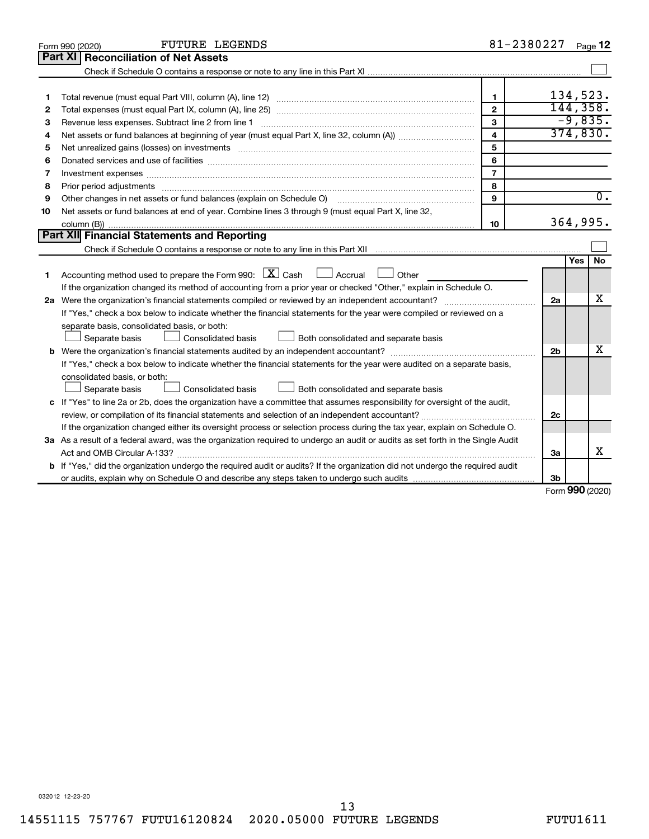|    | <b>FUTURE LEGENDS</b><br>Form 990 (2020)                                                                                                                                                                                       |                         | 81-2380227     |              | Page 12          |
|----|--------------------------------------------------------------------------------------------------------------------------------------------------------------------------------------------------------------------------------|-------------------------|----------------|--------------|------------------|
|    | Part XI<br><b>Reconciliation of Net Assets</b>                                                                                                                                                                                 |                         |                |              |                  |
|    |                                                                                                                                                                                                                                |                         |                |              |                  |
|    |                                                                                                                                                                                                                                |                         |                |              |                  |
| 1  |                                                                                                                                                                                                                                | 1                       |                |              | 134,523.         |
| 2  |                                                                                                                                                                                                                                | $\mathbf{2}$            |                |              | 144, 358.        |
| З  |                                                                                                                                                                                                                                | 3                       |                |              | $-9,835.$        |
| 4  |                                                                                                                                                                                                                                | $\overline{\mathbf{4}}$ |                |              | 374,830.         |
| 5  | Net unrealized gains (losses) on investments [11] matter contracts and the state of the state of the state of the state of the state of the state of the state of the state of the state of the state of the state of the stat | 5                       |                |              |                  |
| 6  |                                                                                                                                                                                                                                | 6                       |                |              |                  |
| 7  | Investment expenses www.communication.com/www.communication.com/www.communication.com/www.com                                                                                                                                  | $\overline{7}$          |                |              |                  |
| 8  |                                                                                                                                                                                                                                | 8                       |                |              |                  |
| 9  | Other changes in net assets or fund balances (explain on Schedule O)                                                                                                                                                           | 9                       |                |              | $\overline{0}$ . |
| 10 | Net assets or fund balances at end of year. Combine lines 3 through 9 (must equal Part X, line 32,                                                                                                                             |                         |                |              |                  |
|    |                                                                                                                                                                                                                                | 10                      |                |              | 364,995.         |
|    | Part XII Financial Statements and Reporting                                                                                                                                                                                    |                         |                |              |                  |
|    |                                                                                                                                                                                                                                |                         |                |              |                  |
|    |                                                                                                                                                                                                                                |                         |                | <b>Yes</b>   | No.              |
| 1. | Accounting method used to prepare the Form 990: $X \subset X$ Cash<br>Accrual L<br>Other                                                                                                                                       |                         |                |              |                  |
|    | If the organization changed its method of accounting from a prior year or checked "Other," explain in Schedule O.                                                                                                              |                         |                |              |                  |
|    |                                                                                                                                                                                                                                |                         | 2a             |              | x                |
|    | If "Yes," check a box below to indicate whether the financial statements for the year were compiled or reviewed on a                                                                                                           |                         |                |              |                  |
|    | separate basis, consolidated basis, or both:                                                                                                                                                                                   |                         |                |              |                  |
|    | Both consolidated and separate basis<br>Consolidated basis<br>Separate basis                                                                                                                                                   |                         |                |              |                  |
|    |                                                                                                                                                                                                                                |                         | 2 <sub>b</sub> |              | x                |
|    | If "Yes," check a box below to indicate whether the financial statements for the year were audited on a separate basis,                                                                                                        |                         |                |              |                  |
|    | consolidated basis, or both:                                                                                                                                                                                                   |                         |                |              |                  |
|    | <b>Consolidated basis</b><br>Both consolidated and separate basis<br>Separate basis                                                                                                                                            |                         |                |              |                  |
|    | c If "Yes" to line 2a or 2b, does the organization have a committee that assumes responsibility for oversight of the audit,                                                                                                    |                         |                |              |                  |
|    |                                                                                                                                                                                                                                |                         | 2c             |              |                  |
|    | If the organization changed either its oversight process or selection process during the tax year, explain on Schedule O.                                                                                                      |                         |                |              |                  |
|    | 3a As a result of a federal award, was the organization required to undergo an audit or audits as set forth in the Single Audit                                                                                                |                         |                |              |                  |
|    |                                                                                                                                                                                                                                |                         | За             |              | x                |
|    | <b>b</b> If "Yes," did the organization undergo the required audit or audits? If the organization did not undergo the required audit                                                                                           |                         |                |              |                  |
|    |                                                                                                                                                                                                                                |                         | 3b             | $000 \text{$ |                  |
|    |                                                                                                                                                                                                                                |                         |                |              |                  |

Form (2020) **990**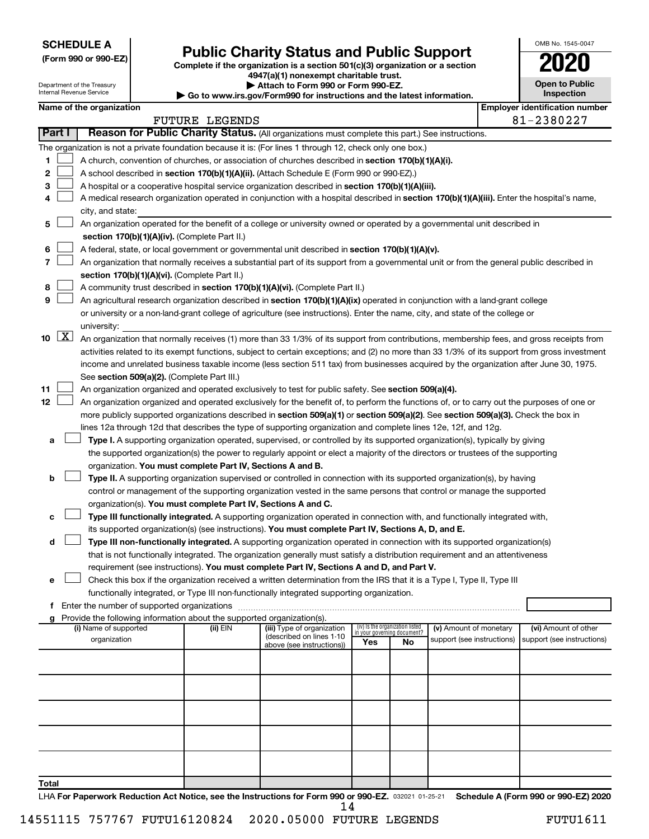**SCHEDULE A**

Department of the Treasury

# Form 990 or 990-EZ) **Public Charity Status and Public Support**<br>
Complete if the organization is a section 501(c)(3) organization or a section<br> **2020**

**4947(a)(1) nonexempt charitable trust.**

**| Attach to Form 990 or Form 990-EZ. | Go to www.irs.gov/Form990 for instructions and the latest information.**

| OMB No. 1545-0047                   |
|-------------------------------------|
| 2020                                |
| <b>Open to Public</b><br>Inspection |
|                                     |

|                |                     | Internal Revenue Service                                                                                                       |  | Go to www.irs.gov/Form990 for instructions and the latest information. | Inspection                                                                                                                                   |     |                                                                |                            |  |            |                                       |
|----------------|---------------------|--------------------------------------------------------------------------------------------------------------------------------|--|------------------------------------------------------------------------|----------------------------------------------------------------------------------------------------------------------------------------------|-----|----------------------------------------------------------------|----------------------------|--|------------|---------------------------------------|
|                |                     | Name of the organization                                                                                                       |  |                                                                        |                                                                                                                                              |     |                                                                |                            |  |            | <b>Employer identification number</b> |
|                |                     |                                                                                                                                |  | <b>FUTURE LEGENDS</b>                                                  |                                                                                                                                              |     |                                                                |                            |  | 81-2380227 |                                       |
|                | Part I              |                                                                                                                                |  |                                                                        | Reason for Public Charity Status. (All organizations must complete this part.) See instructions.                                             |     |                                                                |                            |  |            |                                       |
|                |                     |                                                                                                                                |  |                                                                        | The organization is not a private foundation because it is: (For lines 1 through 12, check only one box.)                                    |     |                                                                |                            |  |            |                                       |
| 1.             |                     |                                                                                                                                |  |                                                                        | A church, convention of churches, or association of churches described in section 170(b)(1)(A)(i).                                           |     |                                                                |                            |  |            |                                       |
| 2              |                     |                                                                                                                                |  |                                                                        | A school described in section 170(b)(1)(A)(ii). (Attach Schedule E (Form 990 or 990-EZ).)                                                    |     |                                                                |                            |  |            |                                       |
| з              |                     |                                                                                                                                |  |                                                                        | A hospital or a cooperative hospital service organization described in section 170(b)(1)(A)(iii).                                            |     |                                                                |                            |  |            |                                       |
| 4              |                     | city, and state:                                                                                                               |  |                                                                        | A medical research organization operated in conjunction with a hospital described in section 170(b)(1)(A)(iii). Enter the hospital's name,   |     |                                                                |                            |  |            |                                       |
| 5              |                     |                                                                                                                                |  |                                                                        | An organization operated for the benefit of a college or university owned or operated by a governmental unit described in                    |     |                                                                |                            |  |            |                                       |
|                |                     |                                                                                                                                |  | section 170(b)(1)(A)(iv). (Complete Part II.)                          |                                                                                                                                              |     |                                                                |                            |  |            |                                       |
| 6              |                     |                                                                                                                                |  |                                                                        | A federal, state, or local government or governmental unit described in section 170(b)(1)(A)(v).                                             |     |                                                                |                            |  |            |                                       |
| $\overline{7}$ |                     |                                                                                                                                |  |                                                                        | An organization that normally receives a substantial part of its support from a governmental unit or from the general public described in    |     |                                                                |                            |  |            |                                       |
|                |                     |                                                                                                                                |  | section 170(b)(1)(A)(vi). (Complete Part II.)                          |                                                                                                                                              |     |                                                                |                            |  |            |                                       |
| 8              |                     |                                                                                                                                |  |                                                                        | A community trust described in section 170(b)(1)(A)(vi). (Complete Part II.)                                                                 |     |                                                                |                            |  |            |                                       |
| 9              |                     |                                                                                                                                |  |                                                                        | An agricultural research organization described in section 170(b)(1)(A)(ix) operated in conjunction with a land-grant college                |     |                                                                |                            |  |            |                                       |
|                |                     | or university or a non-land-grant college of agriculture (see instructions). Enter the name, city, and state of the college or |  |                                                                        |                                                                                                                                              |     |                                                                |                            |  |            |                                       |
|                |                     | university:                                                                                                                    |  |                                                                        |                                                                                                                                              |     |                                                                |                            |  |            |                                       |
| 10             | $\lfloor x \rfloor$ |                                                                                                                                |  |                                                                        | An organization that normally receives (1) more than 33 1/3% of its support from contributions, membership fees, and gross receipts from     |     |                                                                |                            |  |            |                                       |
|                |                     |                                                                                                                                |  |                                                                        | activities related to its exempt functions, subject to certain exceptions; and (2) no more than 33 1/3% of its support from gross investment |     |                                                                |                            |  |            |                                       |
|                |                     |                                                                                                                                |  |                                                                        | income and unrelated business taxable income (less section 511 tax) from businesses acquired by the organization after June 30, 1975.        |     |                                                                |                            |  |            |                                       |
|                |                     |                                                                                                                                |  | See section 509(a)(2). (Complete Part III.)                            |                                                                                                                                              |     |                                                                |                            |  |            |                                       |
| 11             |                     |                                                                                                                                |  |                                                                        | An organization organized and operated exclusively to test for public safety. See section 509(a)(4).                                         |     |                                                                |                            |  |            |                                       |
| 12             |                     |                                                                                                                                |  |                                                                        | An organization organized and operated exclusively for the benefit of, to perform the functions of, or to carry out the purposes of one or   |     |                                                                |                            |  |            |                                       |
|                |                     |                                                                                                                                |  |                                                                        | more publicly supported organizations described in section 509(a)(1) or section 509(a)(2). See section 509(a)(3). Check the box in           |     |                                                                |                            |  |            |                                       |
|                |                     |                                                                                                                                |  |                                                                        | lines 12a through 12d that describes the type of supporting organization and complete lines 12e, 12f, and 12g.                               |     |                                                                |                            |  |            |                                       |
| а              |                     |                                                                                                                                |  |                                                                        | Type I. A supporting organization operated, supervised, or controlled by its supported organization(s), typically by giving                  |     |                                                                |                            |  |            |                                       |
|                |                     |                                                                                                                                |  |                                                                        | the supported organization(s) the power to regularly appoint or elect a majority of the directors or trustees of the supporting              |     |                                                                |                            |  |            |                                       |
|                |                     |                                                                                                                                |  | organization. You must complete Part IV, Sections A and B.             |                                                                                                                                              |     |                                                                |                            |  |            |                                       |
| b              |                     |                                                                                                                                |  |                                                                        | Type II. A supporting organization supervised or controlled in connection with its supported organization(s), by having                      |     |                                                                |                            |  |            |                                       |
|                |                     |                                                                                                                                |  |                                                                        | control or management of the supporting organization vested in the same persons that control or manage the supported                         |     |                                                                |                            |  |            |                                       |
|                |                     |                                                                                                                                |  |                                                                        | organization(s). You must complete Part IV, Sections A and C.                                                                                |     |                                                                |                            |  |            |                                       |
| с              |                     |                                                                                                                                |  |                                                                        | Type III functionally integrated. A supporting organization operated in connection with, and functionally integrated with,                   |     |                                                                |                            |  |            |                                       |
|                |                     |                                                                                                                                |  |                                                                        | its supported organization(s) (see instructions). You must complete Part IV, Sections A, D, and E.                                           |     |                                                                |                            |  |            |                                       |
| d              |                     |                                                                                                                                |  |                                                                        | Type III non-functionally integrated. A supporting organization operated in connection with its supported organization(s)                    |     |                                                                |                            |  |            |                                       |
|                |                     |                                                                                                                                |  |                                                                        | that is not functionally integrated. The organization generally must satisfy a distribution requirement and an attentiveness                 |     |                                                                |                            |  |            |                                       |
|                |                     |                                                                                                                                |  |                                                                        | requirement (see instructions). You must complete Part IV, Sections A and D, and Part V.                                                     |     |                                                                |                            |  |            |                                       |
| е              |                     |                                                                                                                                |  |                                                                        | Check this box if the organization received a written determination from the IRS that it is a Type I, Type II, Type III                      |     |                                                                |                            |  |            |                                       |
|                |                     |                                                                                                                                |  |                                                                        | functionally integrated, or Type III non-functionally integrated supporting organization.                                                    |     |                                                                |                            |  |            |                                       |
|                |                     | f Enter the number of supported organizations                                                                                  |  |                                                                        |                                                                                                                                              |     |                                                                |                            |  |            |                                       |
|                |                     |                                                                                                                                |  | Provide the following information about the supported organization(s). |                                                                                                                                              |     |                                                                |                            |  |            |                                       |
|                |                     | (i) Name of supported                                                                                                          |  | (ii) EIN                                                               | (iii) Type of organization                                                                                                                   |     | (iv) Is the organization listed<br>in your governing document? | (v) Amount of monetary     |  |            | (vi) Amount of other                  |
|                |                     | organization                                                                                                                   |  |                                                                        | (described on lines 1-10<br>above (see instructions))                                                                                        | Yes | No                                                             | support (see instructions) |  |            | support (see instructions)            |
|                |                     |                                                                                                                                |  |                                                                        |                                                                                                                                              |     |                                                                |                            |  |            |                                       |
|                |                     |                                                                                                                                |  |                                                                        |                                                                                                                                              |     |                                                                |                            |  |            |                                       |
|                |                     |                                                                                                                                |  |                                                                        |                                                                                                                                              |     |                                                                |                            |  |            |                                       |
|                |                     |                                                                                                                                |  |                                                                        |                                                                                                                                              |     |                                                                |                            |  |            |                                       |
|                |                     |                                                                                                                                |  |                                                                        |                                                                                                                                              |     |                                                                |                            |  |            |                                       |
|                |                     |                                                                                                                                |  |                                                                        |                                                                                                                                              |     |                                                                |                            |  |            |                                       |
|                |                     |                                                                                                                                |  |                                                                        |                                                                                                                                              |     |                                                                |                            |  |            |                                       |
| Total          |                     |                                                                                                                                |  |                                                                        |                                                                                                                                              |     |                                                                |                            |  |            |                                       |

LHA For Paperwork Reduction Act Notice, see the Instructions for Form 990 or 990-EZ. 032021 01-25-21 Schedule A (Form 990 or 990-EZ) 2020 14

 $\Box$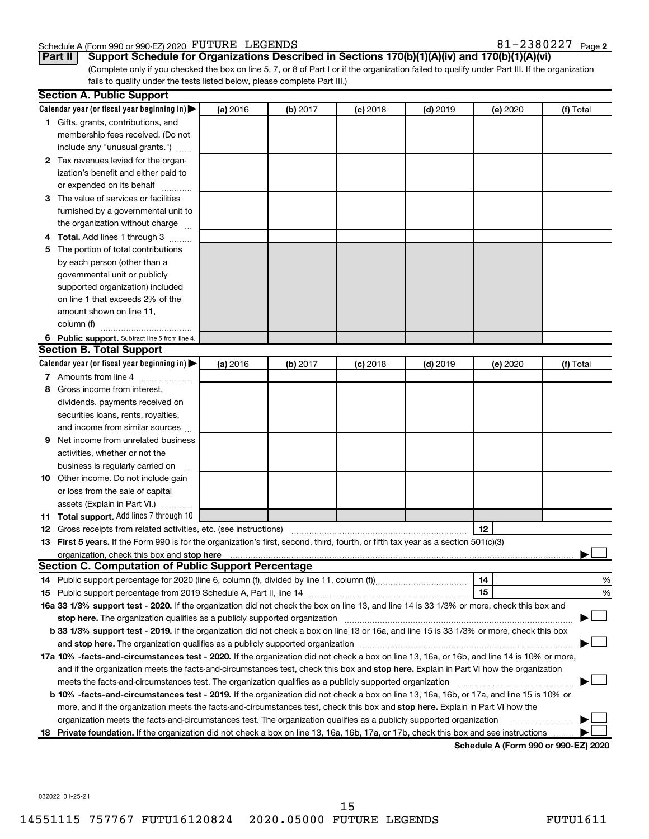# Schedule A (Form 990 or 990-EZ) 2020 Page FUTURE LEGENDS 81-2380227

81-2380227 Page 2

(Complete only if you checked the box on line 5, 7, or 8 of Part I or if the organization failed to qualify under Part III. If the organization fails to qualify under the tests listed below, please complete Part III.) **Part II Support Schedule for Organizations Described in Sections 170(b)(1)(A)(iv) and 170(b)(1)(A)(vi)**

|    | <b>Section A. Public Support</b>                                                                                                                                                                                              |          |          |            |            |          |           |
|----|-------------------------------------------------------------------------------------------------------------------------------------------------------------------------------------------------------------------------------|----------|----------|------------|------------|----------|-----------|
|    | Calendar year (or fiscal year beginning in)                                                                                                                                                                                   | (a) 2016 | (b) 2017 | $(c)$ 2018 | $(d)$ 2019 | (e) 2020 | (f) Total |
|    | 1 Gifts, grants, contributions, and                                                                                                                                                                                           |          |          |            |            |          |           |
|    | membership fees received. (Do not                                                                                                                                                                                             |          |          |            |            |          |           |
|    | include any "unusual grants.")                                                                                                                                                                                                |          |          |            |            |          |           |
|    | 2 Tax revenues levied for the organ-                                                                                                                                                                                          |          |          |            |            |          |           |
|    | ization's benefit and either paid to                                                                                                                                                                                          |          |          |            |            |          |           |
|    | or expended on its behalf                                                                                                                                                                                                     |          |          |            |            |          |           |
|    | 3 The value of services or facilities                                                                                                                                                                                         |          |          |            |            |          |           |
|    | furnished by a governmental unit to                                                                                                                                                                                           |          |          |            |            |          |           |
|    | the organization without charge                                                                                                                                                                                               |          |          |            |            |          |           |
|    | Total. Add lines 1 through 3                                                                                                                                                                                                  |          |          |            |            |          |           |
| 5  | The portion of total contributions                                                                                                                                                                                            |          |          |            |            |          |           |
|    | by each person (other than a                                                                                                                                                                                                  |          |          |            |            |          |           |
|    | governmental unit or publicly                                                                                                                                                                                                 |          |          |            |            |          |           |
|    | supported organization) included                                                                                                                                                                                              |          |          |            |            |          |           |
|    | on line 1 that exceeds 2% of the                                                                                                                                                                                              |          |          |            |            |          |           |
|    | amount shown on line 11,                                                                                                                                                                                                      |          |          |            |            |          |           |
|    |                                                                                                                                                                                                                               |          |          |            |            |          |           |
|    | 6 Public support. Subtract line 5 from line 4.                                                                                                                                                                                |          |          |            |            |          |           |
|    | <b>Section B. Total Support</b>                                                                                                                                                                                               |          |          |            |            |          |           |
|    | Calendar year (or fiscal year beginning in)                                                                                                                                                                                   | (a) 2016 | (b) 2017 | $(c)$ 2018 | $(d)$ 2019 | (e) 2020 | (f) Total |
|    | 7 Amounts from line 4                                                                                                                                                                                                         |          |          |            |            |          |           |
| 8  | Gross income from interest,                                                                                                                                                                                                   |          |          |            |            |          |           |
|    | dividends, payments received on                                                                                                                                                                                               |          |          |            |            |          |           |
|    | securities loans, rents, royalties,                                                                                                                                                                                           |          |          |            |            |          |           |
|    | and income from similar sources                                                                                                                                                                                               |          |          |            |            |          |           |
| 9  | Net income from unrelated business                                                                                                                                                                                            |          |          |            |            |          |           |
|    | activities, whether or not the                                                                                                                                                                                                |          |          |            |            |          |           |
|    | business is regularly carried on                                                                                                                                                                                              |          |          |            |            |          |           |
| 10 | Other income. Do not include gain                                                                                                                                                                                             |          |          |            |            |          |           |
|    | or loss from the sale of capital                                                                                                                                                                                              |          |          |            |            |          |           |
|    | assets (Explain in Part VI.)                                                                                                                                                                                                  |          |          |            |            |          |           |
|    | 11 Total support. Add lines 7 through 10                                                                                                                                                                                      |          |          |            |            |          |           |
| 12 | Gross receipts from related activities, etc. (see instructions)                                                                                                                                                               |          |          |            |            | 12       |           |
|    | 13 First 5 years. If the Form 990 is for the organization's first, second, third, fourth, or fifth tax year as a section 501(c)(3)                                                                                            |          |          |            |            |          |           |
|    | organization, check this box and stop here match and the content of the content of the content of the content of the content of the content of the content of the content of the content of the content of the content of the |          |          |            |            |          |           |
|    | Section C. Computation of Public Support Percentage                                                                                                                                                                           |          |          |            |            |          |           |
|    |                                                                                                                                                                                                                               |          |          |            |            | 14       | %         |
|    |                                                                                                                                                                                                                               |          |          |            |            | 15       | %         |
|    | 16a 33 1/3% support test - 2020. If the organization did not check the box on line 13, and line 14 is 33 1/3% or more, check this box and                                                                                     |          |          |            |            |          |           |
|    |                                                                                                                                                                                                                               |          |          |            |            |          |           |
|    | b 33 1/3% support test - 2019. If the organization did not check a box on line 13 or 16a, and line 15 is 33 1/3% or more, check this box                                                                                      |          |          |            |            |          |           |
|    |                                                                                                                                                                                                                               |          |          |            |            |          |           |
|    | 17a 10% -facts-and-circumstances test - 2020. If the organization did not check a box on line 13, 16a, or 16b, and line 14 is 10% or more,                                                                                    |          |          |            |            |          |           |
|    | and if the organization meets the facts-and-circumstances test, check this box and stop here. Explain in Part VI how the organization                                                                                         |          |          |            |            |          |           |
|    | meets the facts-and-circumstances test. The organization qualifies as a publicly supported organization                                                                                                                       |          |          |            |            |          |           |
|    | <b>b 10%</b> -facts-and-circumstances test - 2019. If the organization did not check a box on line 13, 16a, 16b, or 17a, and line 15 is 10% or                                                                                |          |          |            |            |          |           |
|    | more, and if the organization meets the facts-and-circumstances test, check this box and <b>stop here.</b> Explain in Part VI how the                                                                                         |          |          |            |            |          |           |
|    | organization meets the facts-and-circumstances test. The organization qualifies as a publicly supported organization                                                                                                          |          |          |            |            |          |           |
|    | 18 Private foundation. If the organization did not check a box on line 13, 16a, 16b, 17a, or 17b, check this box and see instructions                                                                                         |          |          |            |            |          |           |

**Schedule A (Form 990 or 990-EZ) 2020**

032022 01-25-21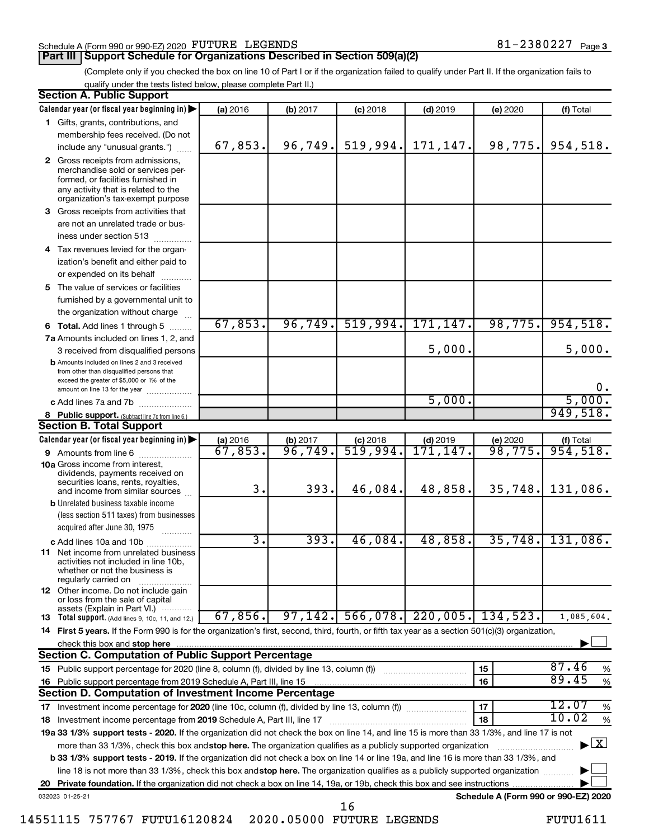# Schedule A (Form 990 or 990-EZ) 2020 Page FUTURE LEGENDS 81-2380227

(Complete only if you checked the box on line 10 of Part I or if the organization failed to qualify under Part II. If the organization fails to qualify under the tests listed below, please complete Part II.)

|    | <b>Section A. Public Support</b>                                                                                                                                                         |                     |                                   |                        |                        |                                      |                                          |
|----|------------------------------------------------------------------------------------------------------------------------------------------------------------------------------------------|---------------------|-----------------------------------|------------------------|------------------------|--------------------------------------|------------------------------------------|
|    | Calendar year (or fiscal year beginning in)                                                                                                                                              | (a) 2016            | (b) 2017                          | $(c)$ 2018             | $(d)$ 2019             | (e) 2020                             | (f) Total                                |
|    | 1 Gifts, grants, contributions, and                                                                                                                                                      |                     |                                   |                        |                        |                                      |                                          |
|    | membership fees received. (Do not                                                                                                                                                        |                     |                                   |                        |                        |                                      |                                          |
|    | include any "unusual grants.")                                                                                                                                                           | 67,853.             | 96, 749.                          | 519,994.               | 171,147.               | 98,775.                              | 954,518.                                 |
|    | 2 Gross receipts from admissions,<br>merchandise sold or services per-<br>formed, or facilities furnished in<br>any activity that is related to the<br>organization's tax-exempt purpose |                     |                                   |                        |                        |                                      |                                          |
|    | 3 Gross receipts from activities that                                                                                                                                                    |                     |                                   |                        |                        |                                      |                                          |
|    | are not an unrelated trade or bus-                                                                                                                                                       |                     |                                   |                        |                        |                                      |                                          |
|    | iness under section 513                                                                                                                                                                  |                     |                                   |                        |                        |                                      |                                          |
|    | 4 Tax revenues levied for the organ-                                                                                                                                                     |                     |                                   |                        |                        |                                      |                                          |
|    | ization's benefit and either paid to                                                                                                                                                     |                     |                                   |                        |                        |                                      |                                          |
|    | or expended on its behalf                                                                                                                                                                |                     |                                   |                        |                        |                                      |                                          |
|    | 5 The value of services or facilities                                                                                                                                                    |                     |                                   |                        |                        |                                      |                                          |
|    | furnished by a governmental unit to                                                                                                                                                      |                     |                                   |                        |                        |                                      |                                          |
|    | the organization without charge                                                                                                                                                          |                     |                                   |                        |                        |                                      |                                          |
|    | <b>6 Total.</b> Add lines 1 through 5                                                                                                                                                    | 67,853.             | 96, 749.                          | 519,994.               | 171, 147.              | 98,775.                              | 954,518.                                 |
|    | 7a Amounts included on lines 1, 2, and                                                                                                                                                   |                     |                                   |                        |                        |                                      |                                          |
|    | 3 received from disqualified persons                                                                                                                                                     |                     |                                   |                        | 5,000.                 |                                      | 5,000.                                   |
|    | <b>b</b> Amounts included on lines 2 and 3 received<br>from other than disqualified persons that<br>exceed the greater of \$5,000 or 1% of the                                           |                     |                                   |                        |                        |                                      |                                          |
|    | amount on line 13 for the year                                                                                                                                                           |                     |                                   |                        |                        |                                      | $0$ .                                    |
|    | c Add lines 7a and 7b                                                                                                                                                                    |                     |                                   |                        | 5,000.                 |                                      | 5,000.                                   |
|    | 8 Public support. (Subtract line 7c from line 6.)                                                                                                                                        |                     |                                   |                        |                        |                                      | 949,518.                                 |
|    | <b>Section B. Total Support</b>                                                                                                                                                          |                     |                                   |                        |                        |                                      |                                          |
|    | Calendar year (or fiscal year beginning in)                                                                                                                                              | (a) 2016<br>67,853. | (b) 2017<br>$\overline{96,749}$ . | $(c)$ 2018<br>519,994. | $(d)$ 2019<br>171,147. | (e) 2020<br>98,775.                  | (f) Total<br>954,518.                    |
|    | 9 Amounts from line 6<br><b>10a</b> Gross income from interest,                                                                                                                          |                     |                                   |                        |                        |                                      |                                          |
|    | dividends, payments received on<br>securities loans, rents, royalties,<br>and income from similar sources                                                                                | 3.                  | 393.                              | 46,084.                | 48,858.                | 35,748.                              | 131,086.                                 |
|    | <b>b</b> Unrelated business taxable income<br>(less section 511 taxes) from businesses<br>acquired after June 30, 1975                                                                   |                     |                                   |                        |                        |                                      |                                          |
|    | c Add lines 10a and 10b                                                                                                                                                                  | 3.                  | 393.                              | 46,084.                | 48,858.                | 35,748.                              | 131,086.                                 |
|    | <b>11</b> Net income from unrelated business<br>activities not included in line 10b,<br>whether or not the business is<br>regularly carried on                                           |                     |                                   |                        |                        |                                      |                                          |
|    | <b>12</b> Other income. Do not include gain<br>or loss from the sale of capital<br>assets (Explain in Part VI.)                                                                          |                     |                                   |                        |                        |                                      |                                          |
|    | <b>13</b> Total support. (Add lines 9, 10c, 11, and 12.)                                                                                                                                 | 67,856.             | 97, 142.                          |                        | $566,078$ , 220,005.   | 134,523.                             | 1,085,604.                               |
|    | 14 First 5 years. If the Form 990 is for the organization's first, second, third, fourth, or fifth tax year as a section 501(c)(3) organization,                                         |                     |                                   |                        |                        |                                      |                                          |
|    | check this box and stop here                                                                                                                                                             |                     |                                   |                        |                        |                                      |                                          |
|    | <b>Section C. Computation of Public Support Percentage</b>                                                                                                                               |                     |                                   |                        |                        |                                      |                                          |
|    |                                                                                                                                                                                          |                     |                                   |                        |                        | 15                                   | 87.46<br>%                               |
|    | 16 Public support percentage from 2019 Schedule A, Part III, line 15                                                                                                                     |                     |                                   |                        |                        | 16                                   | 89.45<br>$\%$                            |
|    | Section D. Computation of Investment Income Percentage                                                                                                                                   |                     |                                   |                        |                        |                                      |                                          |
|    | 17 Investment income percentage for 2020 (line 10c, column (f), divided by line 13, column (f))                                                                                          |                     |                                   |                        |                        | 17                                   | 12.07<br>$\%$                            |
|    | 18 Investment income percentage from 2019 Schedule A, Part III, line 17                                                                                                                  |                     |                                   |                        |                        | 18                                   | 10.02<br>%                               |
|    | 19a 33 1/3% support tests - 2020. If the organization did not check the box on line 14, and line 15 is more than 33 1/3%, and line 17 is not                                             |                     |                                   |                        |                        |                                      |                                          |
|    | more than 33 1/3%, check this box and stop here. The organization qualifies as a publicly supported organization                                                                         |                     |                                   |                        |                        |                                      | $\blacktriangleright$ $\boxed{\text{X}}$ |
|    | b 33 1/3% support tests - 2019. If the organization did not check a box on line 14 or line 19a, and line 16 is more than 33 1/3%, and                                                    |                     |                                   |                        |                        |                                      |                                          |
|    | line 18 is not more than 33 1/3%, check this box and stop here. The organization qualifies as a publicly supported organization                                                          |                     |                                   |                        |                        |                                      |                                          |
| 20 |                                                                                                                                                                                          |                     |                                   |                        |                        |                                      |                                          |
|    | 032023 01-25-21                                                                                                                                                                          |                     |                                   | 16                     |                        | Schedule A (Form 990 or 990-EZ) 2020 |                                          |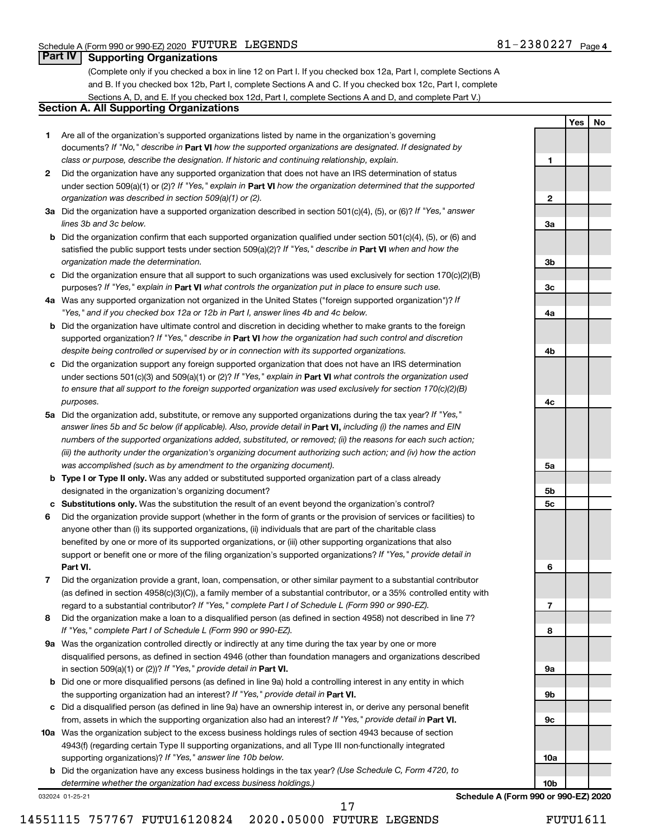**1**

**2**

**3a**

**3b**

**3c**

**4a**

**4b**

**4c**

**5a**

**5b 5c**

**6**

**7**

**8**

**9a**

**9b**

**9c**

**10a**

**10b**

**Yes No**

# **Part IV Supporting Organizations**

(Complete only if you checked a box in line 12 on Part I. If you checked box 12a, Part I, complete Sections A and B. If you checked box 12b, Part I, complete Sections A and C. If you checked box 12c, Part I, complete Sections A, D, and E. If you checked box 12d, Part I, complete Sections A and D, and complete Part V.)

# **Section A. All Supporting Organizations**

- **1** Are all of the organization's supported organizations listed by name in the organization's governing documents? If "No," describe in Part VI how the supported organizations are designated. If designated by *class or purpose, describe the designation. If historic and continuing relationship, explain.*
- **2** Did the organization have any supported organization that does not have an IRS determination of status under section 509(a)(1) or (2)? If "Yes," explain in Part **VI** how the organization determined that the supported *organization was described in section 509(a)(1) or (2).*
- **3a** Did the organization have a supported organization described in section 501(c)(4), (5), or (6)? If "Yes," answer *lines 3b and 3c below.*
- **b** Did the organization confirm that each supported organization qualified under section 501(c)(4), (5), or (6) and satisfied the public support tests under section 509(a)(2)? If "Yes," describe in Part VI when and how the *organization made the determination.*
- **c** Did the organization ensure that all support to such organizations was used exclusively for section 170(c)(2)(B) purposes? If "Yes," explain in Part VI what controls the organization put in place to ensure such use.
- **4 a** *If* Was any supported organization not organized in the United States ("foreign supported organization")? *"Yes," and if you checked box 12a or 12b in Part I, answer lines 4b and 4c below.*
- **b** Did the organization have ultimate control and discretion in deciding whether to make grants to the foreign supported organization? If "Yes," describe in Part VI how the organization had such control and discretion *despite being controlled or supervised by or in connection with its supported organizations.*
- **c** Did the organization support any foreign supported organization that does not have an IRS determination under sections 501(c)(3) and 509(a)(1) or (2)? If "Yes," explain in Part VI what controls the organization used *to ensure that all support to the foreign supported organization was used exclusively for section 170(c)(2)(B) purposes.*
- **5a** Did the organization add, substitute, or remove any supported organizations during the tax year? If "Yes," answer lines 5b and 5c below (if applicable). Also, provide detail in **Part VI,** including (i) the names and EIN *numbers of the supported organizations added, substituted, or removed; (ii) the reasons for each such action; (iii) the authority under the organization's organizing document authorizing such action; and (iv) how the action was accomplished (such as by amendment to the organizing document).*
- **b** Type I or Type II only. Was any added or substituted supported organization part of a class already designated in the organization's organizing document?
- **c Substitutions only.**  Was the substitution the result of an event beyond the organization's control?
- **6** Did the organization provide support (whether in the form of grants or the provision of services or facilities) to **Part VI.** support or benefit one or more of the filing organization's supported organizations? If "Yes," provide detail in anyone other than (i) its supported organizations, (ii) individuals that are part of the charitable class benefited by one or more of its supported organizations, or (iii) other supporting organizations that also
- **7** Did the organization provide a grant, loan, compensation, or other similar payment to a substantial contributor regard to a substantial contributor? If "Yes," complete Part I of Schedule L (Form 990 or 990-EZ). (as defined in section 4958(c)(3)(C)), a family member of a substantial contributor, or a 35% controlled entity with
- **8** Did the organization make a loan to a disqualified person (as defined in section 4958) not described in line 7? *If "Yes," complete Part I of Schedule L (Form 990 or 990-EZ).*
- **9 a** Was the organization controlled directly or indirectly at any time during the tax year by one or more in section 509(a)(1) or (2))? If "Yes," provide detail in **Part VI.** disqualified persons, as defined in section 4946 (other than foundation managers and organizations described
- **b** Did one or more disqualified persons (as defined in line 9a) hold a controlling interest in any entity in which the supporting organization had an interest? If "Yes," provide detail in Part VI.
- **c** Did a disqualified person (as defined in line 9a) have an ownership interest in, or derive any personal benefit from, assets in which the supporting organization also had an interest? If "Yes," provide detail in Part VI.
- **10 a** Was the organization subject to the excess business holdings rules of section 4943 because of section supporting organizations)? If "Yes," answer line 10b below. 4943(f) (regarding certain Type II supporting organizations, and all Type III non-functionally integrated
	- **b** Did the organization have any excess business holdings in the tax year? (Use Schedule C, Form 4720, to *determine whether the organization had excess business holdings.)*

17

032024 01-25-21

**Schedule A (Form 990 or 990-EZ) 2020**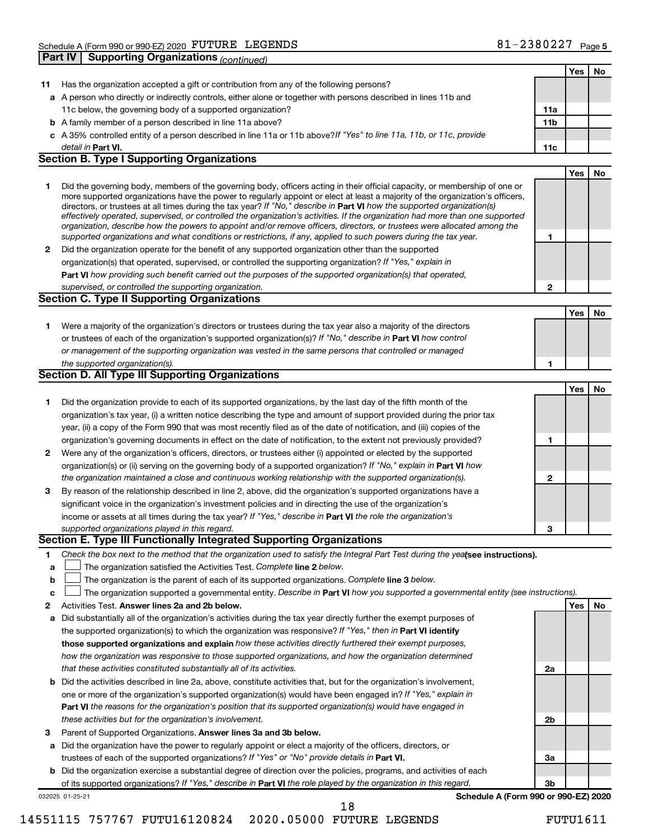|    | <b>Supporting Organizations (continued)</b><br>Part IV                                                                                                                                                                                       |                 |     |    |
|----|----------------------------------------------------------------------------------------------------------------------------------------------------------------------------------------------------------------------------------------------|-----------------|-----|----|
|    |                                                                                                                                                                                                                                              |                 | Yes | No |
| 11 | Has the organization accepted a gift or contribution from any of the following persons?                                                                                                                                                      |                 |     |    |
|    | a A person who directly or indirectly controls, either alone or together with persons described in lines 11b and                                                                                                                             |                 |     |    |
|    | 11c below, the governing body of a supported organization?                                                                                                                                                                                   | 11a             |     |    |
|    | <b>b</b> A family member of a person described in line 11a above?                                                                                                                                                                            | 11 <sub>b</sub> |     |    |
|    | c A 35% controlled entity of a person described in line 11a or 11b above?If "Yes" to line 11a, 11b, or 11c, provide                                                                                                                          |                 |     |    |
|    | detail in Part VI.                                                                                                                                                                                                                           | 11c             |     |    |
|    | <b>Section B. Type I Supporting Organizations</b>                                                                                                                                                                                            |                 |     |    |
|    |                                                                                                                                                                                                                                              |                 | Yes | No |
| 1  | Did the governing body, members of the governing body, officers acting in their official capacity, or membership of one or                                                                                                                   |                 |     |    |
|    | more supported organizations have the power to regularly appoint or elect at least a majority of the organization's officers,                                                                                                                |                 |     |    |
|    | directors, or trustees at all times during the tax year? If "No," describe in Part VI how the supported organization(s)                                                                                                                      |                 |     |    |
|    | effectively operated, supervised, or controlled the organization's activities. If the organization had more than one supported                                                                                                               |                 |     |    |
|    | organization, describe how the powers to appoint and/or remove officers, directors, or trustees were allocated among the<br>supported organizations and what conditions or restrictions, if any, applied to such powers during the tax year. | 1               |     |    |
| 2  | Did the organization operate for the benefit of any supported organization other than the supported                                                                                                                                          |                 |     |    |
|    |                                                                                                                                                                                                                                              |                 |     |    |
|    | organization(s) that operated, supervised, or controlled the supporting organization? If "Yes," explain in                                                                                                                                   |                 |     |    |
|    | Part VI how providing such benefit carried out the purposes of the supported organization(s) that operated,                                                                                                                                  |                 |     |    |
|    | supervised, or controlled the supporting organization.                                                                                                                                                                                       | $\mathbf{2}$    |     |    |
|    | <b>Section C. Type II Supporting Organizations</b>                                                                                                                                                                                           |                 |     |    |
|    |                                                                                                                                                                                                                                              |                 | Yes | No |
| 1  | Were a majority of the organization's directors or trustees during the tax year also a majority of the directors                                                                                                                             |                 |     |    |
|    | or trustees of each of the organization's supported organization(s)? If "No," describe in Part VI how control                                                                                                                                |                 |     |    |
|    | or management of the supporting organization was vested in the same persons that controlled or managed                                                                                                                                       |                 |     |    |
|    | the supported organization(s).                                                                                                                                                                                                               | 1               |     |    |
|    | <b>Section D. All Type III Supporting Organizations</b>                                                                                                                                                                                      |                 |     |    |
|    |                                                                                                                                                                                                                                              |                 | Yes | No |
| 1  | Did the organization provide to each of its supported organizations, by the last day of the fifth month of the                                                                                                                               |                 |     |    |
|    | organization's tax year, (i) a written notice describing the type and amount of support provided during the prior tax                                                                                                                        |                 |     |    |
|    | year, (ii) a copy of the Form 990 that was most recently filed as of the date of notification, and (iii) copies of the                                                                                                                       |                 |     |    |
|    | organization's governing documents in effect on the date of notification, to the extent not previously provided?                                                                                                                             | 1               |     |    |
| 2  | Were any of the organization's officers, directors, or trustees either (i) appointed or elected by the supported                                                                                                                             |                 |     |    |
|    | organization(s) or (ii) serving on the governing body of a supported organization? If "No," explain in Part VI how                                                                                                                           |                 |     |    |
|    | the organization maintained a close and continuous working relationship with the supported organization(s).                                                                                                                                  | $\mathbf{2}$    |     |    |
| 3  | By reason of the relationship described in line 2, above, did the organization's supported organizations have a                                                                                                                              |                 |     |    |
|    | significant voice in the organization's investment policies and in directing the use of the organization's                                                                                                                                   |                 |     |    |
|    | income or assets at all times during the tax year? If "Yes," describe in Part VI the role the organization's                                                                                                                                 |                 |     |    |
|    | supported organizations played in this regard.                                                                                                                                                                                               | з               |     |    |
|    | <b>Section E. Type III Functionally Integrated Supporting Organizations</b>                                                                                                                                                                  |                 |     |    |
| 1. | Check the box next to the method that the organization used to satisfy the Integral Part Test during the yealsee instructions).                                                                                                              |                 |     |    |
| a  | The organization satisfied the Activities Test. Complete line 2 below.                                                                                                                                                                       |                 |     |    |
| b  | The organization is the parent of each of its supported organizations. Complete line 3 below.                                                                                                                                                |                 |     |    |
| C  | The organization supported a governmental entity. Describe in Part VI how you supported a governmental entity (see instructions).                                                                                                            |                 |     |    |
| 2  | Activities Test. Answer lines 2a and 2b below.                                                                                                                                                                                               |                 | Yes | No |
| а  | Did substantially all of the organization's activities during the tax year directly further the exempt purposes of                                                                                                                           |                 |     |    |
|    | the supported organization(s) to which the organization was responsive? If "Yes," then in Part VI identify                                                                                                                                   |                 |     |    |
|    | those supported organizations and explain how these activities directly furthered their exempt purposes,                                                                                                                                     |                 |     |    |
|    | how the organization was responsive to those supported organizations, and how the organization determined                                                                                                                                    |                 |     |    |
|    | that these activities constituted substantially all of its activities.                                                                                                                                                                       | 2a              |     |    |
|    | <b>b</b> Did the activities described in line 2a, above, constitute activities that, but for the organization's involvement,                                                                                                                 |                 |     |    |
|    | one or more of the organization's supported organization(s) would have been engaged in? If "Yes," explain in                                                                                                                                 |                 |     |    |
|    | Part VI the reasons for the organization's position that its supported organization(s) would have engaged in                                                                                                                                 |                 |     |    |
|    | these activities but for the organization's involvement.                                                                                                                                                                                     | 2b              |     |    |
| 3  | Parent of Supported Organizations. Answer lines 3a and 3b below.                                                                                                                                                                             |                 |     |    |
|    |                                                                                                                                                                                                                                              |                 |     |    |
| а  | Did the organization have the power to regularly appoint or elect a majority of the officers, directors, or                                                                                                                                  |                 |     |    |
|    | trustees of each of the supported organizations? If "Yes" or "No" provide details in Part VI.                                                                                                                                                | За              |     |    |
|    | <b>b</b> Did the organization exercise a substantial degree of direction over the policies, programs, and activities of each                                                                                                                 |                 |     |    |
|    | of its supported organizations? If "Yes," describe in Part VI the role played by the organization in this regard.                                                                                                                            | Зb              |     |    |
|    | Schedule A (Form 990 or 990-EZ) 2020<br>032025 01-25-21<br>18                                                                                                                                                                                |                 |     |    |
|    |                                                                                                                                                                                                                                              |                 |     |    |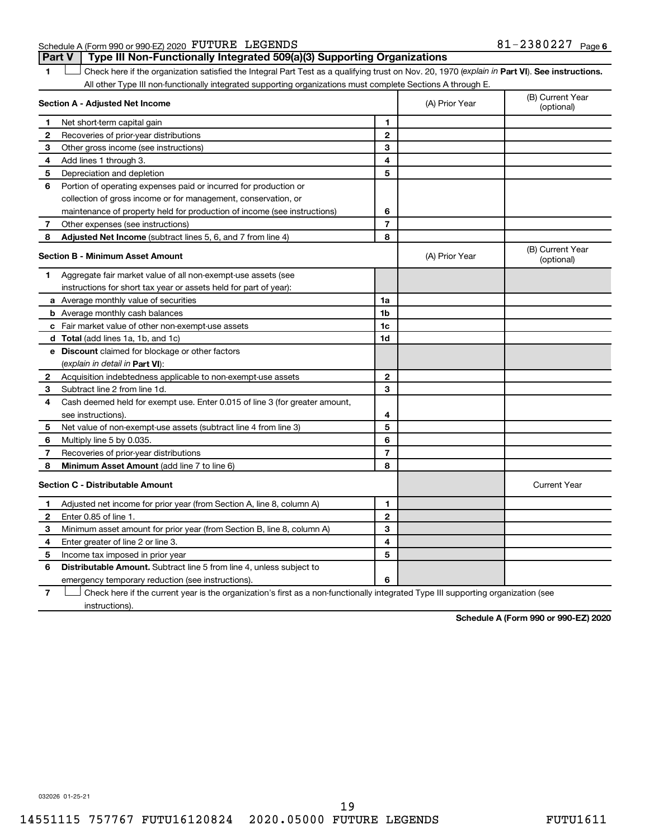Schedule A (Form 990 or 990-EZ) 2020 Page FUTURE LEGENDS 81-2380227 **Part V Type III Non-Functionally Integrated 509(a)(3) Supporting Organizations** 

1 **Letter See instructions.** Check here if the organization satisfied the Integral Part Test as a qualifying trust on Nov. 20, 1970 (*explain in* Part **VI**). See instructions. All other Type III non-functionally integrated supporting organizations must complete Sections A through E.

|                                         | Section A - Adjusted Net Income                                                                                                   | (A) Prior Year | (B) Current Year<br>(optional) |                                |  |
|-----------------------------------------|-----------------------------------------------------------------------------------------------------------------------------------|----------------|--------------------------------|--------------------------------|--|
| 1.                                      | Net short-term capital gain                                                                                                       | 1              |                                |                                |  |
| 2                                       | Recoveries of prior-year distributions                                                                                            | $\mathbf{2}$   |                                |                                |  |
| 3                                       | Other gross income (see instructions)                                                                                             | 3              |                                |                                |  |
| 4                                       | Add lines 1 through 3.                                                                                                            | 4              |                                |                                |  |
| 5                                       | Depreciation and depletion                                                                                                        | 5              |                                |                                |  |
| 6                                       | Portion of operating expenses paid or incurred for production or                                                                  |                |                                |                                |  |
|                                         | collection of gross income or for management, conservation, or                                                                    |                |                                |                                |  |
|                                         | maintenance of property held for production of income (see instructions)                                                          | 6              |                                |                                |  |
| 7                                       | Other expenses (see instructions)                                                                                                 | $\overline{7}$ |                                |                                |  |
| 8                                       | Adjusted Net Income (subtract lines 5, 6, and 7 from line 4)                                                                      | 8              |                                |                                |  |
|                                         | <b>Section B - Minimum Asset Amount</b>                                                                                           |                | (A) Prior Year                 | (B) Current Year<br>(optional) |  |
| 1                                       | Aggregate fair market value of all non-exempt-use assets (see                                                                     |                |                                |                                |  |
|                                         | instructions for short tax year or assets held for part of year):                                                                 |                |                                |                                |  |
|                                         | <b>a</b> Average monthly value of securities                                                                                      | 1a             |                                |                                |  |
|                                         | <b>b</b> Average monthly cash balances                                                                                            | 1 <sub>b</sub> |                                |                                |  |
|                                         | <b>c</b> Fair market value of other non-exempt-use assets                                                                         | 1c             |                                |                                |  |
|                                         | <b>d</b> Total (add lines 1a, 1b, and 1c)                                                                                         | 1d             |                                |                                |  |
|                                         | e Discount claimed for blockage or other factors                                                                                  |                |                                |                                |  |
|                                         | (explain in detail in <b>Part VI</b> ):                                                                                           |                |                                |                                |  |
| 2                                       | Acquisition indebtedness applicable to non-exempt-use assets                                                                      | $\mathbf{2}$   |                                |                                |  |
| 3                                       | Subtract line 2 from line 1d.                                                                                                     | 3              |                                |                                |  |
| 4                                       | Cash deemed held for exempt use. Enter 0.015 of line 3 (for greater amount,                                                       |                |                                |                                |  |
|                                         | see instructions).                                                                                                                | 4              |                                |                                |  |
| 5                                       | Net value of non-exempt-use assets (subtract line 4 from line 3)                                                                  | 5              |                                |                                |  |
| 6                                       | Multiply line 5 by 0.035.                                                                                                         | 6              |                                |                                |  |
| 7                                       | Recoveries of prior-year distributions                                                                                            | $\overline{7}$ |                                |                                |  |
| 8                                       | Minimum Asset Amount (add line 7 to line 6)                                                                                       | 8              |                                |                                |  |
| <b>Section C - Distributable Amount</b> |                                                                                                                                   |                |                                | <b>Current Year</b>            |  |
| 1.                                      | Adjusted net income for prior year (from Section A, line 8, column A)                                                             | 1              |                                |                                |  |
| 2                                       | Enter 0.85 of line 1.                                                                                                             | $\mathbf{2}$   |                                |                                |  |
| 3                                       | Minimum asset amount for prior year (from Section B, line 8, column A)                                                            | 3              |                                |                                |  |
| 4                                       | Enter greater of line 2 or line 3.                                                                                                | 4              |                                |                                |  |
| 5                                       | Income tax imposed in prior year                                                                                                  | 5              |                                |                                |  |
| 6                                       | <b>Distributable Amount.</b> Subtract line 5 from line 4, unless subject to                                                       |                |                                |                                |  |
|                                         | emergency temporary reduction (see instructions).                                                                                 | 6              |                                |                                |  |
| 7                                       | Check here if the current year is the organization's first as a non-functionally integrated Type III supporting organization (see |                |                                |                                |  |

instructions).

**Schedule A (Form 990 or 990-EZ) 2020**

032026 01-25-21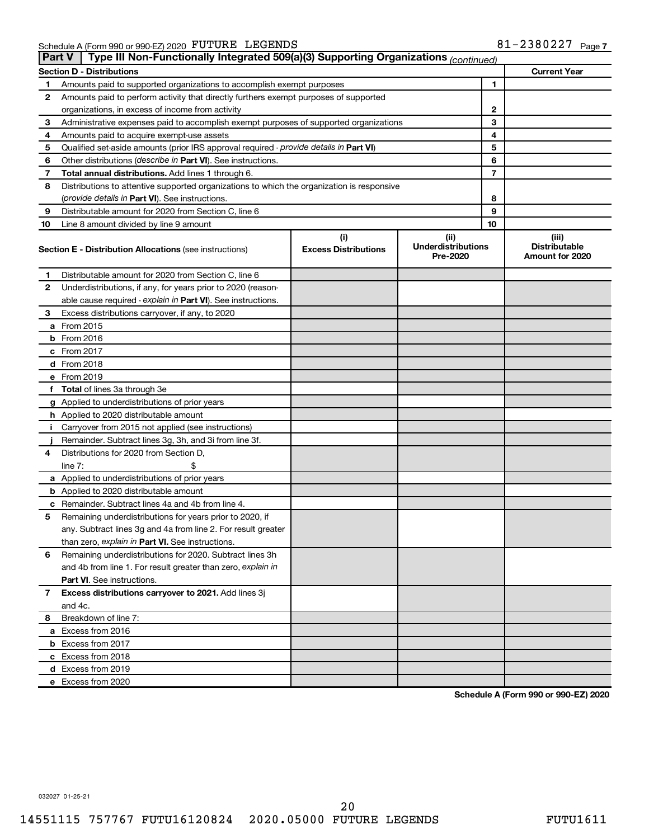| Part V | Type III Non-Functionally Integrated 509(a)(3) Supporting Organizations (continued)        |                                    |                                               |                                                  |
|--------|--------------------------------------------------------------------------------------------|------------------------------------|-----------------------------------------------|--------------------------------------------------|
|        | <b>Section D - Distributions</b>                                                           |                                    |                                               | <b>Current Year</b>                              |
| 1      | Amounts paid to supported organizations to accomplish exempt purposes                      | 1                                  |                                               |                                                  |
| 2      | Amounts paid to perform activity that directly furthers exempt purposes of supported       |                                    |                                               |                                                  |
|        | organizations, in excess of income from activity                                           | 2                                  |                                               |                                                  |
| 3      | Administrative expenses paid to accomplish exempt purposes of supported organizations      |                                    | 3                                             |                                                  |
| 4      | Amounts paid to acquire exempt-use assets                                                  |                                    | 4                                             |                                                  |
| 5      | Qualified set-aside amounts (prior IRS approval required - provide details in Part VI)     |                                    | 5                                             |                                                  |
| 6      | Other distributions ( <i>describe in Part VI</i> ). See instructions.                      |                                    | 6                                             |                                                  |
| 7      | Total annual distributions. Add lines 1 through 6.                                         |                                    | 7                                             |                                                  |
| 8      | Distributions to attentive supported organizations to which the organization is responsive |                                    |                                               |                                                  |
|        | ( <i>provide details in Part VI</i> ). See instructions.                                   |                                    | 8                                             |                                                  |
| 9      | Distributable amount for 2020 from Section C, line 6                                       |                                    | 9                                             |                                                  |
| 10     | Line 8 amount divided by line 9 amount                                                     |                                    | 10                                            |                                                  |
|        | <b>Section E - Distribution Allocations (see instructions)</b>                             | (i)<br><b>Excess Distributions</b> | (ii)<br><b>Underdistributions</b><br>Pre-2020 | (iii)<br><b>Distributable</b><br>Amount for 2020 |
| 1      | Distributable amount for 2020 from Section C, line 6                                       |                                    |                                               |                                                  |
| 2      | Underdistributions, if any, for years prior to 2020 (reason-                               |                                    |                                               |                                                  |
|        | able cause required - explain in Part VI). See instructions.                               |                                    |                                               |                                                  |
| 3      | Excess distributions carryover, if any, to 2020                                            |                                    |                                               |                                                  |
|        | a From 2015                                                                                |                                    |                                               |                                                  |
|        | $b$ From 2016                                                                              |                                    |                                               |                                                  |
|        | c From 2017                                                                                |                                    |                                               |                                                  |
|        | <b>d</b> From 2018                                                                         |                                    |                                               |                                                  |
|        | e From 2019                                                                                |                                    |                                               |                                                  |
|        | f Total of lines 3a through 3e                                                             |                                    |                                               |                                                  |
|        | g Applied to underdistributions of prior years                                             |                                    |                                               |                                                  |
|        | h Applied to 2020 distributable amount                                                     |                                    |                                               |                                                  |
| Ť.     | Carryover from 2015 not applied (see instructions)                                         |                                    |                                               |                                                  |
|        | Remainder. Subtract lines 3g, 3h, and 3i from line 3f.                                     |                                    |                                               |                                                  |
| 4      | Distributions for 2020 from Section D,                                                     |                                    |                                               |                                                  |
|        | line $7:$                                                                                  |                                    |                                               |                                                  |
|        | a Applied to underdistributions of prior years                                             |                                    |                                               |                                                  |
|        | <b>b</b> Applied to 2020 distributable amount                                              |                                    |                                               |                                                  |
|        | c Remainder. Subtract lines 4a and 4b from line 4.                                         |                                    |                                               |                                                  |
| 5      | Remaining underdistributions for years prior to 2020, if                                   |                                    |                                               |                                                  |
|        | any. Subtract lines 3g and 4a from line 2. For result greater                              |                                    |                                               |                                                  |
|        | than zero, explain in Part VI. See instructions.                                           |                                    |                                               |                                                  |
| 6      | Remaining underdistributions for 2020. Subtract lines 3h                                   |                                    |                                               |                                                  |
|        | and 4b from line 1. For result greater than zero, explain in                               |                                    |                                               |                                                  |
|        | <b>Part VI.</b> See instructions.                                                          |                                    |                                               |                                                  |
| 7      | Excess distributions carryover to 2021. Add lines 3j                                       |                                    |                                               |                                                  |
|        | and 4c.                                                                                    |                                    |                                               |                                                  |
| 8      | Breakdown of line 7:                                                                       |                                    |                                               |                                                  |
|        | a Excess from 2016                                                                         |                                    |                                               |                                                  |
|        | <b>b</b> Excess from 2017                                                                  |                                    |                                               |                                                  |
|        | c Excess from 2018                                                                         |                                    |                                               |                                                  |
|        | d Excess from 2019                                                                         |                                    |                                               |                                                  |
|        | e Excess from 2020                                                                         |                                    |                                               |                                                  |

**Schedule A (Form 990 or 990-EZ) 2020**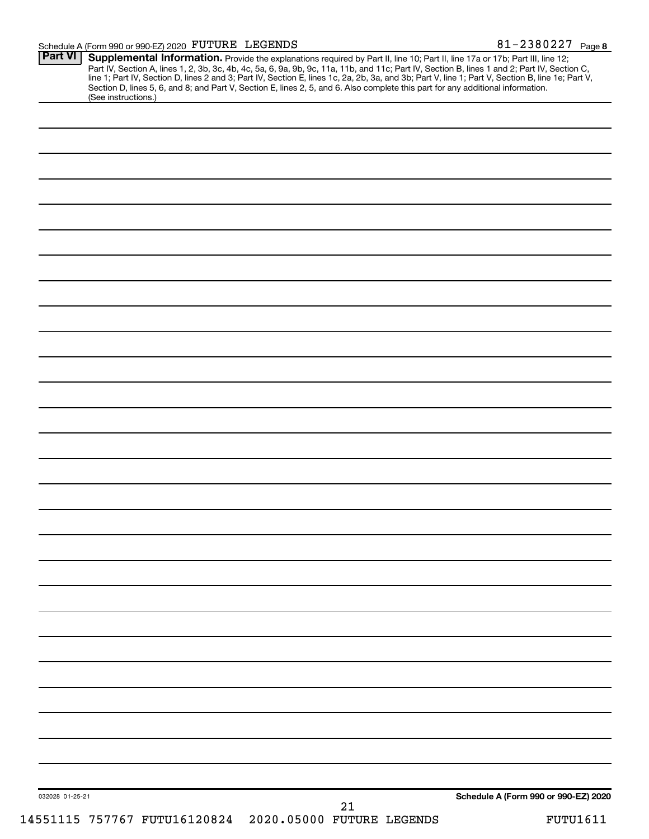### $S$ chedule A (Form 990 or 990-EZ) 2020 PUTUKE LEGENDS  $\sigma$  and  $\sigma$  and  $\sigma$  are  $\sigma$  and  $\sigma$   $\sigma$   $\sim$   $\sigma$   $\sim$   $\sigma$   $\sim$   $\sigma$   $\sim$   $\sigma$ FUTURE LEGENDS 81-2380227

| 032028 01-25-21 |  |  | Schedule A (Form 990 or 990-EZ) 2020 |
|-----------------|--|--|--------------------------------------|
|                 |  |  |                                      |
|                 |  |  |                                      |
|                 |  |  |                                      |
|                 |  |  |                                      |
|                 |  |  |                                      |
|                 |  |  |                                      |
|                 |  |  |                                      |
|                 |  |  |                                      |
|                 |  |  |                                      |
|                 |  |  |                                      |
|                 |  |  |                                      |
|                 |  |  |                                      |
|                 |  |  |                                      |
|                 |  |  |                                      |
|                 |  |  |                                      |
|                 |  |  |                                      |
|                 |  |  |                                      |
|                 |  |  |                                      |
|                 |  |  |                                      |
|                 |  |  |                                      |
|                 |  |  |                                      |
|                 |  |  |                                      |
|                 |  |  |                                      |
|                 |  |  |                                      |
|                 |  |  |                                      |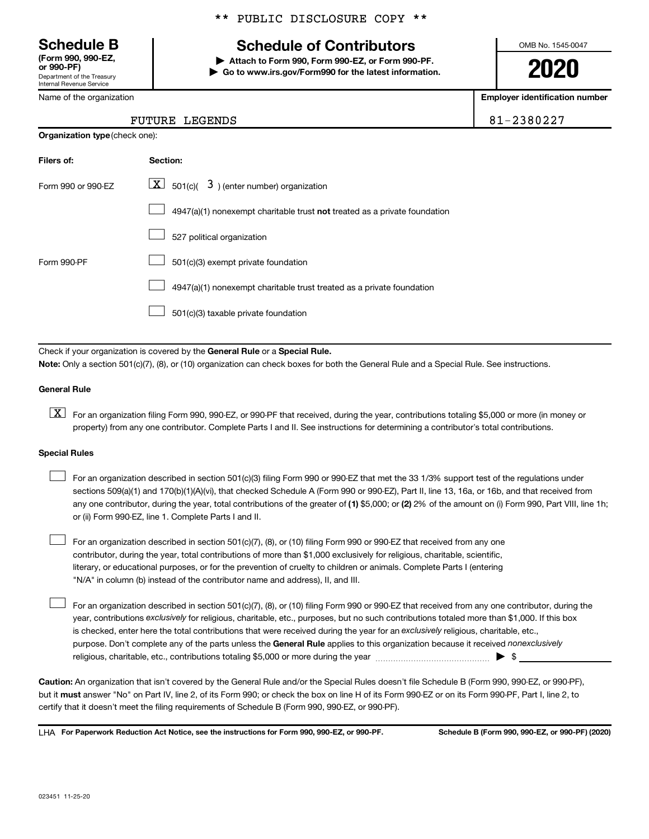Department of the Treasury Internal Revenue Service **(Form 990, 990-EZ,**

Name of the organization

\*\* PUBLIC DISCLOSURE COPY \*\*

# **Schedule B Schedule of Contributors**

**or 990-PF) | Attach to Form 990, Form 990-EZ, or Form 990-PF. | Go to www.irs.gov/Form990 for the latest information.** OMB No. 1545-0047

**2020**

**Employer identification number**

|  |  |  |  | 31-2380227 |  |
|--|--|--|--|------------|--|
|  |  |  |  |            |  |

| <b>FUTURE LEGENDS</b> | 81-2380227 |
|-----------------------|------------|
|                       |            |

| <b>Organization type (check one):</b> |                                                                           |  |  |  |
|---------------------------------------|---------------------------------------------------------------------------|--|--|--|
| Filers of:                            | Section:                                                                  |  |  |  |
| Form 990 or 990-EZ                    | $\boxed{\textbf{X}}$ 501(c)( 3) (enter number) organization               |  |  |  |
|                                       | 4947(a)(1) nonexempt charitable trust not treated as a private foundation |  |  |  |
|                                       | 527 political organization                                                |  |  |  |
| Form 990-PF                           | 501(c)(3) exempt private foundation                                       |  |  |  |
|                                       | 4947(a)(1) nonexempt charitable trust treated as a private foundation     |  |  |  |
|                                       | 501(c)(3) taxable private foundation                                      |  |  |  |

Check if your organization is covered by the General Rule or a Special Rule.

**Note:**  Only a section 501(c)(7), (8), or (10) organization can check boxes for both the General Rule and a Special Rule. See instructions.

## **General Rule**

**K** For an organization filing Form 990, 990-EZ, or 990-PF that received, during the year, contributions totaling \$5,000 or more (in money or property) from any one contributor. Complete Parts I and II. See instructions for determining a contributor's total contributions.

### **Special Rules**

 $\Box$ 

any one contributor, during the year, total contributions of the greater of (1) \$5,000; or (2) 2% of the amount on (i) Form 990, Part VIII, line 1h; For an organization described in section 501(c)(3) filing Form 990 or 990-EZ that met the 33 1/3% support test of the regulations under sections 509(a)(1) and 170(b)(1)(A)(vi), that checked Schedule A (Form 990 or 990-EZ), Part II, line 13, 16a, or 16b, and that received from or (ii) Form 990-EZ, line 1. Complete Parts I and II.  $\Box$ 

For an organization described in section 501(c)(7), (8), or (10) filing Form 990 or 990-EZ that received from any one contributor, during the year, total contributions of more than \$1,000 exclusively for religious, charitable, scientific, literary, or educational purposes, or for the prevention of cruelty to children or animals. Complete Parts I (entering "N/A" in column (b) instead of the contributor name and address), II, and III.  $\Box$ 

purpose. Don't complete any of the parts unless the General Rule applies to this organization because it received nonexclusively year, contributions exclusively for religious, charitable, etc., purposes, but no such contributions totaled more than \$1,000. If this box is checked, enter here the total contributions that were received during the year for an exclusively religious, charitable, etc., For an organization described in section 501(c)(7), (8), or (10) filing Form 990 or 990-EZ that received from any one contributor, during the religious, charitable, etc., contributions totaling \$5,000 or more during the year  $~\ldots\ldots\ldots\ldots\ldots\ldots\ldots\ldots\blacktriangleright~$ \$

**Caution:**  An organization that isn't covered by the General Rule and/or the Special Rules doesn't file Schedule B (Form 990, 990-EZ, or 990-PF),  **must** but it answer "No" on Part IV, line 2, of its Form 990; or check the box on line H of its Form 990-EZ or on its Form 990-PF, Part I, line 2, to certify that it doesn't meet the filing requirements of Schedule B (Form 990, 990-EZ, or 990-PF).

**For Paperwork Reduction Act Notice, see the instructions for Form 990, 990-EZ, or 990-PF. Schedule B (Form 990, 990-EZ, or 990-PF) (2020)** LHA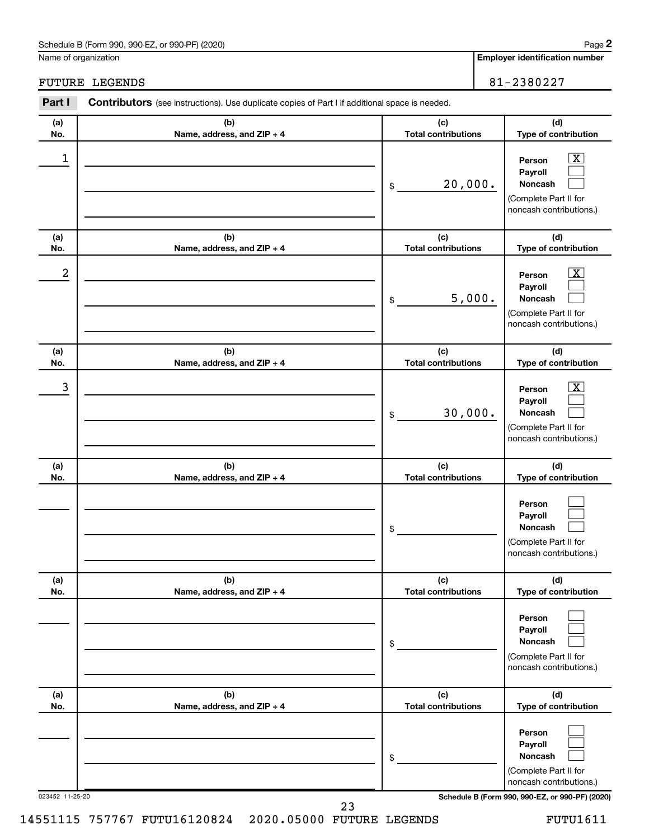# Schedule B (Form 990, 990-EZ, or 990-PF) (2020)

Name of organization

# FUTURE LEGENDS 81-2380227

| Part I          | Contributors (see instructions). Use duplicate copies of Part I if additional space is needed. |                                   |                                                                                                             |
|-----------------|------------------------------------------------------------------------------------------------|-----------------------------------|-------------------------------------------------------------------------------------------------------------|
| (a)             | (b)                                                                                            | (c)                               | (d)                                                                                                         |
| No.             | Name, address, and ZIP + 4                                                                     | <b>Total contributions</b>        | Type of contribution                                                                                        |
| 1               |                                                                                                | 20,000.<br>\$                     | $\overline{\mathbf{X}}$<br>Person<br>Payroll<br>Noncash<br>(Complete Part II for<br>noncash contributions.) |
| (a)             | (b)                                                                                            | (c)<br><b>Total contributions</b> | (d)                                                                                                         |
| No.             | Name, address, and ZIP + 4                                                                     |                                   | Type of contribution                                                                                        |
| 2               |                                                                                                | 5,000.<br>\$                      | $\mathbf{X}$<br>Person<br>Payroll<br>Noncash<br>(Complete Part II for<br>noncash contributions.)            |
| (a)<br>No.      | (b)<br>Name, address, and ZIP + 4                                                              | (c)<br><b>Total contributions</b> | (d)<br>Type of contribution                                                                                 |
| 3               |                                                                                                | 30,000.<br>\$                     | $\overline{\text{X}}$<br>Person<br>Payroll<br>Noncash<br>(Complete Part II for<br>noncash contributions.)   |
| (a)<br>No.      | (b)<br>Name, address, and ZIP + 4                                                              | (c)<br><b>Total contributions</b> | (d)<br>Type of contribution                                                                                 |
|                 |                                                                                                | \$                                | Person<br>Payroll<br>Noncash<br>(Complete Part II for<br>noncash contributions.)                            |
| (a)<br>No.      | (b)<br>Name, address, and ZIP + 4                                                              | (c)<br><b>Total contributions</b> | (d)<br>Type of contribution                                                                                 |
|                 |                                                                                                | \$                                | Person<br>Payroll<br>Noncash<br>(Complete Part II for<br>noncash contributions.)                            |
| (a)<br>No.      | (b)<br>Name, address, and ZIP + 4                                                              | (c)<br><b>Total contributions</b> | (d)<br>Type of contribution                                                                                 |
|                 |                                                                                                | \$                                | Person<br>Payroll<br>Noncash<br>(Complete Part II for<br>noncash contributions.)                            |
| 023452 11-25-20 |                                                                                                |                                   | Schedule B (Form 990, 990-EZ, or 990-PF) (2020)                                                             |

14551115 757767 FUTU16120824 2020.05000 FUTURE LEGENDS FUTU1611

23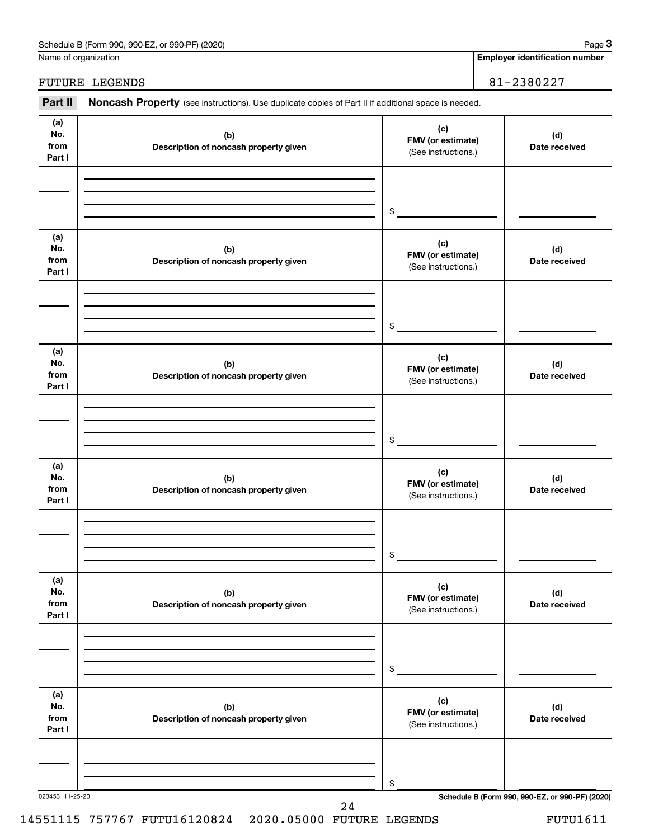| (2020)<br>or 990-PF)<br>Schedule B (Form 990,<br>990-EZ | Paɑe |
|---------------------------------------------------------|------|
|                                                         |      |

Name of organization

**Employer identification number**

FUTURE LEGENDS 81-2380227

| Part II                      | Noncash Property (see instructions). Use duplicate copies of Part II if additional space is needed. |                                                 |                                                 |
|------------------------------|-----------------------------------------------------------------------------------------------------|-------------------------------------------------|-------------------------------------------------|
| (a)<br>No.<br>from<br>Part I | (b)<br>Description of noncash property given                                                        | (c)<br>FMV (or estimate)<br>(See instructions.) | (d)<br>Date received                            |
|                              |                                                                                                     | \$                                              |                                                 |
| (a)<br>No.<br>from<br>Part I | (b)<br>Description of noncash property given                                                        | (c)<br>FMV (or estimate)<br>(See instructions.) | (d)<br>Date received                            |
|                              |                                                                                                     | \$                                              |                                                 |
| (a)<br>No.<br>from<br>Part I | (b)<br>Description of noncash property given                                                        | (c)<br>FMV (or estimate)<br>(See instructions.) | (d)<br>Date received                            |
|                              |                                                                                                     | \$                                              |                                                 |
| (a)<br>No.<br>from<br>Part I | (b)<br>Description of noncash property given                                                        | (c)<br>FMV (or estimate)<br>(See instructions.) | (d)<br>Date received                            |
|                              |                                                                                                     | \$                                              |                                                 |
| (a)<br>No.<br>from<br>Part I | (b)<br>Description of noncash property given                                                        | (c)<br>FMV (or estimate)<br>(See instructions.) | (d)<br>Date received                            |
|                              |                                                                                                     | \$                                              |                                                 |
| (a)<br>No.<br>from<br>Part I | (b)<br>Description of noncash property given                                                        | (c)<br>FMV (or estimate)<br>(See instructions.) | (d)<br>Date received                            |
|                              |                                                                                                     | \$                                              |                                                 |
| 023453 11-25-20              | 24                                                                                                  |                                                 | Schedule B (Form 990, 990-EZ, or 990-PF) (2020) |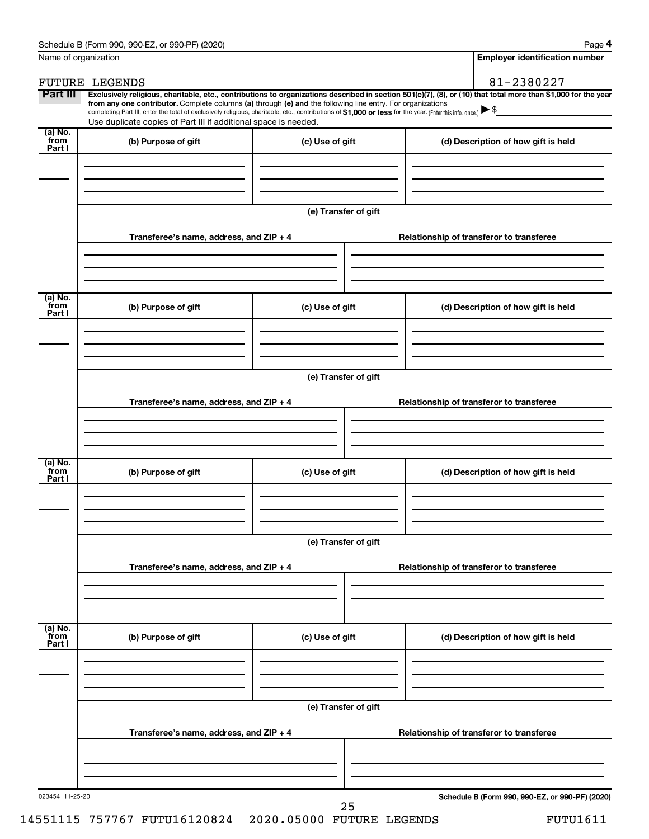| Name of organization      |                                                                                                                                                                                                                                                                                                                                           | <b>Employer identification number</b>    |                                                                                                                                                                |  |  |  |  |
|---------------------------|-------------------------------------------------------------------------------------------------------------------------------------------------------------------------------------------------------------------------------------------------------------------------------------------------------------------------------------------|------------------------------------------|----------------------------------------------------------------------------------------------------------------------------------------------------------------|--|--|--|--|
|                           | <b>FUTURE LEGENDS</b>                                                                                                                                                                                                                                                                                                                     |                                          | 81-2380227                                                                                                                                                     |  |  |  |  |
| Part III                  | from any one contributor. Complete columns (a) through (e) and the following line entry. For organizations<br>completing Part III, enter the total of exclusively religious, charitable, etc., contributions of \$1,000 or less for the year. (Enter this info. once.)<br>Use duplicate copies of Part III if additional space is needed. |                                          | Exclusively religious, charitable, etc., contributions to organizations described in section 501(c)(7), (8), or (10) that total more than \$1,000 for the year |  |  |  |  |
| (a) No.<br>from           | (b) Purpose of gift                                                                                                                                                                                                                                                                                                                       | (c) Use of gift                          | (d) Description of how gift is held                                                                                                                            |  |  |  |  |
| Part I                    |                                                                                                                                                                                                                                                                                                                                           |                                          |                                                                                                                                                                |  |  |  |  |
|                           |                                                                                                                                                                                                                                                                                                                                           | (e) Transfer of gift                     |                                                                                                                                                                |  |  |  |  |
|                           | Transferee's name, address, and ZIP + 4                                                                                                                                                                                                                                                                                                   |                                          | Relationship of transferor to transferee                                                                                                                       |  |  |  |  |
|                           |                                                                                                                                                                                                                                                                                                                                           |                                          |                                                                                                                                                                |  |  |  |  |
| (a) No.<br>from<br>Part I | (b) Purpose of gift                                                                                                                                                                                                                                                                                                                       | (c) Use of gift                          | (d) Description of how gift is held                                                                                                                            |  |  |  |  |
|                           |                                                                                                                                                                                                                                                                                                                                           |                                          |                                                                                                                                                                |  |  |  |  |
|                           | (e) Transfer of gift                                                                                                                                                                                                                                                                                                                      |                                          |                                                                                                                                                                |  |  |  |  |
|                           | Transferee's name, address, and ZIP + 4                                                                                                                                                                                                                                                                                                   |                                          | Relationship of transferor to transferee                                                                                                                       |  |  |  |  |
|                           |                                                                                                                                                                                                                                                                                                                                           |                                          |                                                                                                                                                                |  |  |  |  |
| (a) No.<br>from<br>Part I | (b) Purpose of gift                                                                                                                                                                                                                                                                                                                       | (c) Use of gift                          | (d) Description of how gift is held                                                                                                                            |  |  |  |  |
|                           |                                                                                                                                                                                                                                                                                                                                           |                                          |                                                                                                                                                                |  |  |  |  |
|                           | (e) Transfer of gift                                                                                                                                                                                                                                                                                                                      |                                          |                                                                                                                                                                |  |  |  |  |
|                           | Transferee's name, address, and ZIP + 4                                                                                                                                                                                                                                                                                                   |                                          | Relationship of transferor to transferee                                                                                                                       |  |  |  |  |
|                           |                                                                                                                                                                                                                                                                                                                                           |                                          |                                                                                                                                                                |  |  |  |  |
| (a) No.<br>from<br>Part I | (b) Purpose of gift                                                                                                                                                                                                                                                                                                                       | (c) Use of gift                          | (d) Description of how gift is held                                                                                                                            |  |  |  |  |
|                           |                                                                                                                                                                                                                                                                                                                                           |                                          |                                                                                                                                                                |  |  |  |  |
|                           | (e) Transfer of gift                                                                                                                                                                                                                                                                                                                      |                                          |                                                                                                                                                                |  |  |  |  |
|                           | Transferee's name, address, and ZIP + 4                                                                                                                                                                                                                                                                                                   | Relationship of transferor to transferee |                                                                                                                                                                |  |  |  |  |
|                           |                                                                                                                                                                                                                                                                                                                                           |                                          |                                                                                                                                                                |  |  |  |  |
| 023454 11-25-20           |                                                                                                                                                                                                                                                                                                                                           | 25                                       | Schedule B (Form 990, 990-EZ, or 990-PF) (2020)                                                                                                                |  |  |  |  |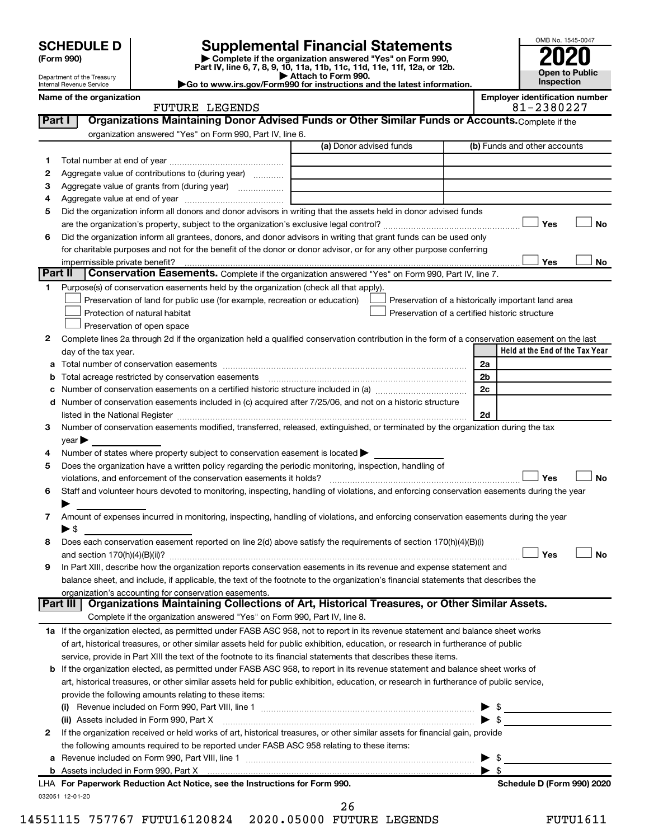| (Form 990) |  |
|------------|--|
|------------|--|

# **SCHEDULE D Supplemental Financial Statements**<br> **Form 990 2020**<br> **Part IV** line 6.7.8.9.10, 11a, 11b, 11d, 11d, 11d, 11d, 11d, 12a, 0r, 12b

**(Form 990) | Complete if the organization answered "Yes" on Form 990, Part IV, line 6, 7, 8, 9, 10, 11a, 11b, 11c, 11d, 11e, 11f, 12a, or 12b.**

**| Attach to Form 990. |Go to www.irs.gov/Form990 for instructions and the latest information.**



Department of the Treasury Internal Revenue Service

**Name of the organization Employer identification number**

| Part I       | Organizations Maintaining Donor Advised Funds or Other Similar Funds or Accounts. Complete if the                                                                                                                                                                               |                         |                                                    |
|--------------|---------------------------------------------------------------------------------------------------------------------------------------------------------------------------------------------------------------------------------------------------------------------------------|-------------------------|----------------------------------------------------|
|              | organization answered "Yes" on Form 990, Part IV, line 6.                                                                                                                                                                                                                       | (a) Donor advised funds | (b) Funds and other accounts                       |
|              |                                                                                                                                                                                                                                                                                 |                         |                                                    |
| 1.           |                                                                                                                                                                                                                                                                                 |                         |                                                    |
| 2            | Aggregate value of contributions to (during year)                                                                                                                                                                                                                               |                         |                                                    |
| з<br>4       | Aggregate value of grants from (during year)                                                                                                                                                                                                                                    |                         |                                                    |
| 5            | Did the organization inform all donors and donor advisors in writing that the assets held in donor advised funds                                                                                                                                                                |                         |                                                    |
|              |                                                                                                                                                                                                                                                                                 |                         | Yes<br>No                                          |
| 6            | Did the organization inform all grantees, donors, and donor advisors in writing that grant funds can be used only                                                                                                                                                               |                         |                                                    |
|              | for charitable purposes and not for the benefit of the donor or donor advisor, or for any other purpose conferring                                                                                                                                                              |                         |                                                    |
|              |                                                                                                                                                                                                                                                                                 |                         | Yes<br>No                                          |
| Part II      | Conservation Easements. Complete if the organization answered "Yes" on Form 990, Part IV, line 7.                                                                                                                                                                               |                         |                                                    |
| 1            | Purpose(s) of conservation easements held by the organization (check all that apply).                                                                                                                                                                                           |                         |                                                    |
|              | Preservation of land for public use (for example, recreation or education)                                                                                                                                                                                                      |                         | Preservation of a historically important land area |
|              | Protection of natural habitat                                                                                                                                                                                                                                                   |                         | Preservation of a certified historic structure     |
|              | Preservation of open space                                                                                                                                                                                                                                                      |                         |                                                    |
| 2            | Complete lines 2a through 2d if the organization held a qualified conservation contribution in the form of a conservation easement on the last                                                                                                                                  |                         |                                                    |
|              | day of the tax year.                                                                                                                                                                                                                                                            |                         | Held at the End of the Tax Year                    |
| а            |                                                                                                                                                                                                                                                                                 |                         | 2a                                                 |
| b            |                                                                                                                                                                                                                                                                                 |                         | 2b                                                 |
| с            |                                                                                                                                                                                                                                                                                 |                         | 2c                                                 |
| d            | Number of conservation easements included in (c) acquired after 7/25/06, and not on a historic structure                                                                                                                                                                        |                         |                                                    |
|              |                                                                                                                                                                                                                                                                                 |                         | 2d                                                 |
| 3            | Number of conservation easements modified, transferred, released, extinguished, or terminated by the organization during the tax                                                                                                                                                |                         |                                                    |
|              | $year \triangleright$                                                                                                                                                                                                                                                           |                         |                                                    |
| 4            | Number of states where property subject to conservation easement is located >                                                                                                                                                                                                   |                         |                                                    |
| 5            | Does the organization have a written policy regarding the periodic monitoring, inspection, handling of                                                                                                                                                                          |                         |                                                    |
|              | violations, and enforcement of the conservation easements it holds?                                                                                                                                                                                                             |                         | Yes<br><b>No</b>                                   |
| 6            | Staff and volunteer hours devoted to monitoring, inspecting, handling of violations, and enforcing conservation easements during the year                                                                                                                                       |                         |                                                    |
|              |                                                                                                                                                                                                                                                                                 |                         |                                                    |
| 7            | Amount of expenses incurred in monitoring, inspecting, handling of violations, and enforcing conservation easements during the year                                                                                                                                             |                         |                                                    |
|              | $\blacktriangleright$ s                                                                                                                                                                                                                                                         |                         |                                                    |
| 8            | Does each conservation easement reported on line 2(d) above satisfy the requirements of section 170(h)(4)(B)(i)                                                                                                                                                                 |                         |                                                    |
|              |                                                                                                                                                                                                                                                                                 |                         | Yes<br>No                                          |
| 9            | In Part XIII, describe how the organization reports conservation easements in its revenue and expense statement and                                                                                                                                                             |                         |                                                    |
|              | balance sheet, and include, if applicable, the text of the footnote to the organization's financial statements that describes the                                                                                                                                               |                         |                                                    |
|              | organization's accounting for conservation easements.<br>Organizations Maintaining Collections of Art, Historical Treasures, or Other Similar Assets.<br>Part III                                                                                                               |                         |                                                    |
|              | Complete if the organization answered "Yes" on Form 990, Part IV, line 8.                                                                                                                                                                                                       |                         |                                                    |
|              | 1a If the organization elected, as permitted under FASB ASC 958, not to report in its revenue statement and balance sheet works                                                                                                                                                 |                         |                                                    |
|              | of art, historical treasures, or other similar assets held for public exhibition, education, or research in furtherance of public                                                                                                                                               |                         |                                                    |
|              | service, provide in Part XIII the text of the footnote to its financial statements that describes these items.                                                                                                                                                                  |                         |                                                    |
|              |                                                                                                                                                                                                                                                                                 |                         |                                                    |
|              | <b>b</b> If the organization elected, as permitted under FASB ASC 958, to report in its revenue statement and balance sheet works of<br>art, historical treasures, or other similar assets held for public exhibition, education, or research in furtherance of public service, |                         |                                                    |
|              |                                                                                                                                                                                                                                                                                 |                         |                                                    |
|              | provide the following amounts relating to these items:                                                                                                                                                                                                                          |                         |                                                    |
|              | (i)<br>(ii) Assets included in Form 990, Part X                                                                                                                                                                                                                                 |                         | $\frac{1}{2}$<br>$\blacktriangleright$ \$          |
| $\mathbf{2}$ | If the organization received or held works of art, historical treasures, or other similar assets for financial gain, provide                                                                                                                                                    |                         |                                                    |
|              | the following amounts required to be reported under FASB ASC 958 relating to these items:                                                                                                                                                                                       |                         |                                                    |
| а            | Revenue included on Form 990, Part VIII, line 1 [2000] [2000] [2000] [2000] [3000] [3000] [3000] [3000] [3000                                                                                                                                                                   |                         | -\$                                                |
|              |                                                                                                                                                                                                                                                                                 |                         |                                                    |
|              |                                                                                                                                                                                                                                                                                 |                         |                                                    |

| LHA For Paperwork Reduction Act Notice, see the Instructions for Form 990. |  |
|----------------------------------------------------------------------------|--|
| 032051 12-01-20                                                            |  |

**Schedule D (Form 990) 2020** 

26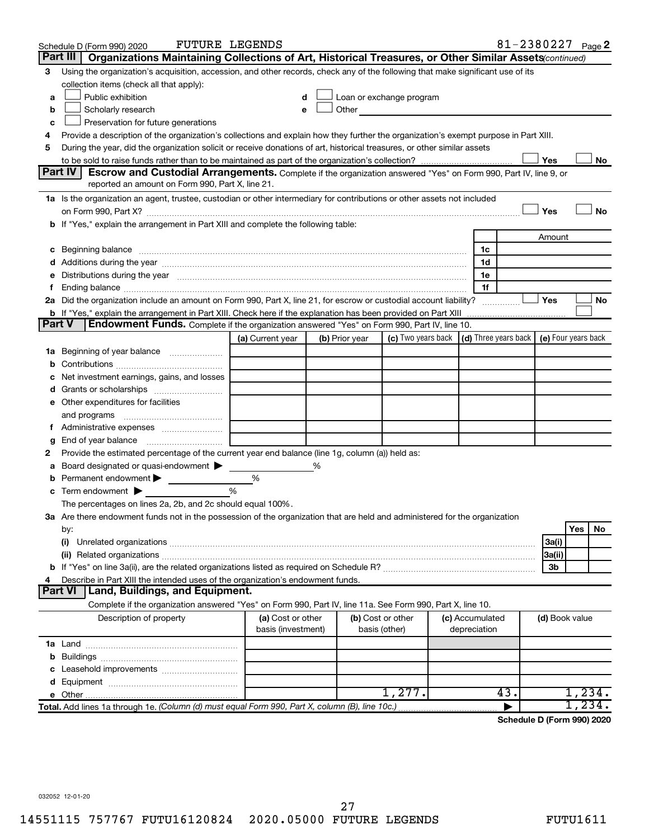|               | <b>FUTURE LEGENDS</b><br>Schedule D (Form 990) 2020                                                                                                                                                                                 |                    |   |                |                                                                                                                                                                                                                               |                 | 81-2380227 Page 2          |        |        |
|---------------|-------------------------------------------------------------------------------------------------------------------------------------------------------------------------------------------------------------------------------------|--------------------|---|----------------|-------------------------------------------------------------------------------------------------------------------------------------------------------------------------------------------------------------------------------|-----------------|----------------------------|--------|--------|
|               | Part III<br>Organizations Maintaining Collections of Art, Historical Treasures, or Other Similar Assets (continued)                                                                                                                 |                    |   |                |                                                                                                                                                                                                                               |                 |                            |        |        |
| 3             | Using the organization's acquisition, accession, and other records, check any of the following that make significant use of its                                                                                                     |                    |   |                |                                                                                                                                                                                                                               |                 |                            |        |        |
|               | collection items (check all that apply):                                                                                                                                                                                            |                    |   |                |                                                                                                                                                                                                                               |                 |                            |        |        |
| a             | Public exhibition                                                                                                                                                                                                                   |                    |   |                | Loan or exchange program                                                                                                                                                                                                      |                 |                            |        |        |
| b             | Scholarly research                                                                                                                                                                                                                  |                    |   |                | Other and the contract of the contract of the contract of the contract of the contract of the contract of the contract of the contract of the contract of the contract of the contract of the contract of the contract of the |                 |                            |        |        |
| с             | Preservation for future generations                                                                                                                                                                                                 |                    |   |                |                                                                                                                                                                                                                               |                 |                            |        |        |
| 4             | Provide a description of the organization's collections and explain how they further the organization's exempt purpose in Part XIII.                                                                                                |                    |   |                |                                                                                                                                                                                                                               |                 |                            |        |        |
| 5             | During the year, did the organization solicit or receive donations of art, historical treasures, or other similar assets                                                                                                            |                    |   |                |                                                                                                                                                                                                                               |                 |                            |        |        |
|               |                                                                                                                                                                                                                                     |                    |   |                |                                                                                                                                                                                                                               |                 | Yes                        |        | No     |
|               | Part IV<br><b>Escrow and Custodial Arrangements.</b> Complete if the organization answered "Yes" on Form 990, Part IV, line 9, or                                                                                                   |                    |   |                |                                                                                                                                                                                                                               |                 |                            |        |        |
|               | reported an amount on Form 990, Part X, line 21.                                                                                                                                                                                    |                    |   |                |                                                                                                                                                                                                                               |                 |                            |        |        |
|               | 1a Is the organization an agent, trustee, custodian or other intermediary for contributions or other assets not included                                                                                                            |                    |   |                |                                                                                                                                                                                                                               |                 |                            |        |        |
|               |                                                                                                                                                                                                                                     |                    |   |                |                                                                                                                                                                                                                               |                 | Yes                        |        | No     |
|               | b If "Yes," explain the arrangement in Part XIII and complete the following table:                                                                                                                                                  |                    |   |                |                                                                                                                                                                                                                               |                 |                            |        |        |
|               |                                                                                                                                                                                                                                     |                    |   |                |                                                                                                                                                                                                                               |                 | Amount                     |        |        |
|               | c Beginning balance <b>communications</b> and a construction of the construction of the construction of the construction of the construction of the construction of the construction of the construction of the construction of the |                    |   |                |                                                                                                                                                                                                                               | 1c<br>1d        |                            |        |        |
|               |                                                                                                                                                                                                                                     |                    |   |                |                                                                                                                                                                                                                               | 1е              |                            |        |        |
| Ť.            | e Distributions during the year manufactured and continuum control of the control of the control of the state of the state of the control of the control of the control of the control of the control of the control of the co      |                    |   |                |                                                                                                                                                                                                                               | 1f              |                            |        |        |
|               | 2a Did the organization include an amount on Form 990, Part X, line 21, for escrow or custodial account liability?                                                                                                                  |                    |   |                |                                                                                                                                                                                                                               |                 | Yes                        |        | No     |
|               |                                                                                                                                                                                                                                     |                    |   |                |                                                                                                                                                                                                                               |                 |                            |        |        |
| <b>Part V</b> | <b>Endowment Funds.</b> Complete if the organization answered "Yes" on Form 990, Part IV, line 10.                                                                                                                                  |                    |   |                |                                                                                                                                                                                                                               |                 |                            |        |        |
|               |                                                                                                                                                                                                                                     | (a) Current year   |   | (b) Prior year | (c) Two years back $\vert$ (d) Three years back $\vert$ (e) Four years back                                                                                                                                                   |                 |                            |        |        |
|               | 1a Beginning of year balance                                                                                                                                                                                                        |                    |   |                |                                                                                                                                                                                                                               |                 |                            |        |        |
| b             |                                                                                                                                                                                                                                     |                    |   |                |                                                                                                                                                                                                                               |                 |                            |        |        |
|               | Net investment earnings, gains, and losses                                                                                                                                                                                          |                    |   |                |                                                                                                                                                                                                                               |                 |                            |        |        |
|               | Grants or scholarships                                                                                                                                                                                                              |                    |   |                |                                                                                                                                                                                                                               |                 |                            |        |        |
|               | e Other expenditures for facilities                                                                                                                                                                                                 |                    |   |                |                                                                                                                                                                                                                               |                 |                            |        |        |
|               | and programs                                                                                                                                                                                                                        |                    |   |                |                                                                                                                                                                                                                               |                 |                            |        |        |
|               |                                                                                                                                                                                                                                     |                    |   |                |                                                                                                                                                                                                                               |                 |                            |        |        |
| g             |                                                                                                                                                                                                                                     |                    |   |                |                                                                                                                                                                                                                               |                 |                            |        |        |
| 2             | Provide the estimated percentage of the current year end balance (line 1g, column (a)) held as:                                                                                                                                     |                    |   |                |                                                                                                                                                                                                                               |                 |                            |        |        |
| а             | Board designated or quasi-endowment >                                                                                                                                                                                               |                    | % |                |                                                                                                                                                                                                                               |                 |                            |        |        |
| b             | Permanent endowment                                                                                                                                                                                                                 | %                  |   |                |                                                                                                                                                                                                                               |                 |                            |        |        |
|               | <b>c</b> Term endowment $\blacktriangleright$                                                                                                                                                                                       | %                  |   |                |                                                                                                                                                                                                                               |                 |                            |        |        |
|               | The percentages on lines 2a, 2b, and 2c should equal 100%.                                                                                                                                                                          |                    |   |                |                                                                                                                                                                                                                               |                 |                            |        |        |
|               | 3a Are there endowment funds not in the possession of the organization that are held and administered for the organization                                                                                                          |                    |   |                |                                                                                                                                                                                                                               |                 |                            |        |        |
|               | by:                                                                                                                                                                                                                                 |                    |   |                |                                                                                                                                                                                                                               |                 |                            | Yes    | No     |
|               | (i)                                                                                                                                                                                                                                 |                    |   |                |                                                                                                                                                                                                                               |                 | 3a(i)                      |        |        |
|               |                                                                                                                                                                                                                                     |                    |   |                |                                                                                                                                                                                                                               |                 | 3a(ii)                     |        |        |
|               |                                                                                                                                                                                                                                     |                    |   |                |                                                                                                                                                                                                                               |                 | 3b                         |        |        |
| 4             | Describe in Part XIII the intended uses of the organization's endowment funds.                                                                                                                                                      |                    |   |                |                                                                                                                                                                                                                               |                 |                            |        |        |
|               | <b>Part VI</b><br>Land, Buildings, and Equipment.                                                                                                                                                                                   |                    |   |                |                                                                                                                                                                                                                               |                 |                            |        |        |
|               | Complete if the organization answered "Yes" on Form 990, Part IV, line 11a. See Form 990, Part X, line 10.                                                                                                                          |                    |   |                |                                                                                                                                                                                                                               |                 |                            |        |        |
|               | Description of property                                                                                                                                                                                                             | (a) Cost or other  |   |                | (b) Cost or other                                                                                                                                                                                                             | (c) Accumulated | (d) Book value             |        |        |
|               |                                                                                                                                                                                                                                     | basis (investment) |   |                | basis (other)                                                                                                                                                                                                                 | depreciation    |                            |        |        |
|               |                                                                                                                                                                                                                                     |                    |   |                |                                                                                                                                                                                                                               |                 |                            |        |        |
| b             |                                                                                                                                                                                                                                     |                    |   |                |                                                                                                                                                                                                                               |                 |                            |        |        |
| c             | Leasehold improvements                                                                                                                                                                                                              |                    |   |                |                                                                                                                                                                                                                               |                 |                            |        |        |
|               |                                                                                                                                                                                                                                     |                    |   |                |                                                                                                                                                                                                                               |                 |                            |        |        |
|               |                                                                                                                                                                                                                                     |                    |   |                | 1,277.                                                                                                                                                                                                                        | 43.             |                            |        | 1,234. |
|               | Total. Add lines 1a through 1e. (Column (d) must equal Form 990, Part X, column (B), line 10c.)                                                                                                                                     |                    |   |                |                                                                                                                                                                                                                               |                 |                            | 1,234. |        |
|               |                                                                                                                                                                                                                                     |                    |   |                |                                                                                                                                                                                                                               |                 | Schedule D (Form 990) 2020 |        |        |

032052 12-01-20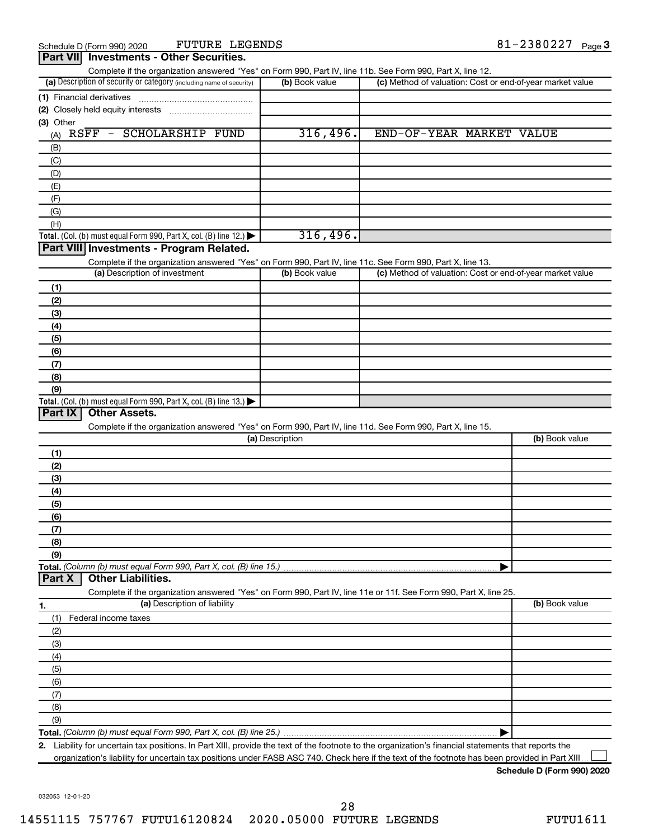| 2380227<br>LEGENDS<br><b>FUTURE</b><br>Schedule D (Form 990) 2020<br>- | <del>9 Page</del> | o |
|------------------------------------------------------------------------|-------------------|---|
|------------------------------------------------------------------------|-------------------|---|

| Part VII Investments - Other Securities.                                                                                                                                           |                 |                                                           |                |
|------------------------------------------------------------------------------------------------------------------------------------------------------------------------------------|-----------------|-----------------------------------------------------------|----------------|
| Complete if the organization answered "Yes" on Form 990, Part IV, line 11b. See Form 990, Part X, line 12.<br>(a) Description of security or category (including name of security) | (b) Book value  | (c) Method of valuation: Cost or end-of-year market value |                |
|                                                                                                                                                                                    |                 |                                                           |                |
| (1) Financial derivatives                                                                                                                                                          |                 |                                                           |                |
|                                                                                                                                                                                    |                 |                                                           |                |
| (3) Other<br>(A) RSFF - SCHOLARSHIP FUND                                                                                                                                           | 316,496.        | END-OF-YEAR MARKET VALUE                                  |                |
| (B)                                                                                                                                                                                |                 |                                                           |                |
| (C)                                                                                                                                                                                |                 |                                                           |                |
| (D)                                                                                                                                                                                |                 |                                                           |                |
| (E)                                                                                                                                                                                |                 |                                                           |                |
| (F)                                                                                                                                                                                |                 |                                                           |                |
| (G)                                                                                                                                                                                |                 |                                                           |                |
| (H)                                                                                                                                                                                |                 |                                                           |                |
| Total. (Col. (b) must equal Form 990, Part X, col. (B) line 12.)                                                                                                                   | 316,496.        |                                                           |                |
| Part VIII Investments - Program Related.                                                                                                                                           |                 |                                                           |                |
| Complete if the organization answered "Yes" on Form 990, Part IV, line 11c. See Form 990, Part X, line 13.                                                                         |                 |                                                           |                |
| (a) Description of investment                                                                                                                                                      | (b) Book value  | (c) Method of valuation: Cost or end-of-year market value |                |
| (1)                                                                                                                                                                                |                 |                                                           |                |
| (2)                                                                                                                                                                                |                 |                                                           |                |
| (3)                                                                                                                                                                                |                 |                                                           |                |
| (4)                                                                                                                                                                                |                 |                                                           |                |
| (5)                                                                                                                                                                                |                 |                                                           |                |
| (6)                                                                                                                                                                                |                 |                                                           |                |
| (7)                                                                                                                                                                                |                 |                                                           |                |
| (8)                                                                                                                                                                                |                 |                                                           |                |
| (9)                                                                                                                                                                                |                 |                                                           |                |
| Total. (Col. (b) must equal Form 990, Part X, col. (B) line 13.)                                                                                                                   |                 |                                                           |                |
| <b>Other Assets.</b><br>Part IX                                                                                                                                                    |                 |                                                           |                |
| Complete if the organization answered "Yes" on Form 990, Part IV, line 11d. See Form 990, Part X, line 15.                                                                         | (a) Description |                                                           | (b) Book value |
|                                                                                                                                                                                    |                 |                                                           |                |
| (1)                                                                                                                                                                                |                 |                                                           |                |
| (2)<br>(3)                                                                                                                                                                         |                 |                                                           |                |
| (4)                                                                                                                                                                                |                 |                                                           |                |
| (5)                                                                                                                                                                                |                 |                                                           |                |
| (6)                                                                                                                                                                                |                 |                                                           |                |
| (7)                                                                                                                                                                                |                 |                                                           |                |
| (8)                                                                                                                                                                                |                 |                                                           |                |
| (9)                                                                                                                                                                                |                 |                                                           |                |
| Total. (Column (b) must equal Form 990, Part X, col. (B) line 15.)                                                                                                                 |                 |                                                           |                |
| <b>Other Liabilities.</b><br><b>Part X</b>                                                                                                                                         |                 |                                                           |                |
| Complete if the organization answered "Yes" on Form 990, Part IV, line 11e or 11f. See Form 990, Part X, line 25.                                                                  |                 |                                                           |                |
| (a) Description of liability<br>1.                                                                                                                                                 |                 |                                                           | (b) Book value |
| (1)<br>Federal income taxes                                                                                                                                                        |                 |                                                           |                |
| (2)                                                                                                                                                                                |                 |                                                           |                |
| (3)                                                                                                                                                                                |                 |                                                           |                |
| (4)                                                                                                                                                                                |                 |                                                           |                |
| (5)                                                                                                                                                                                |                 |                                                           |                |
| (6)                                                                                                                                                                                |                 |                                                           |                |
| (7)                                                                                                                                                                                |                 |                                                           |                |
| (8)                                                                                                                                                                                |                 |                                                           |                |
| (9)                                                                                                                                                                                |                 |                                                           |                |
| Total. (Column (b) must equal Form 990, Part X, col. (B) line 25.)                                                                                                                 |                 | ▶                                                         |                |

**2.** Liability for uncertain tax positions. In Part XIII, provide the text of the footnote to the organization's financial statements that reports the organization's liability for uncertain tax positions under FASB ASC 740. Check here if the text of the footnote has been provided in Part XIII  $\perp$ 

**Schedule D (Form 990) 2020**

032053 12-01-20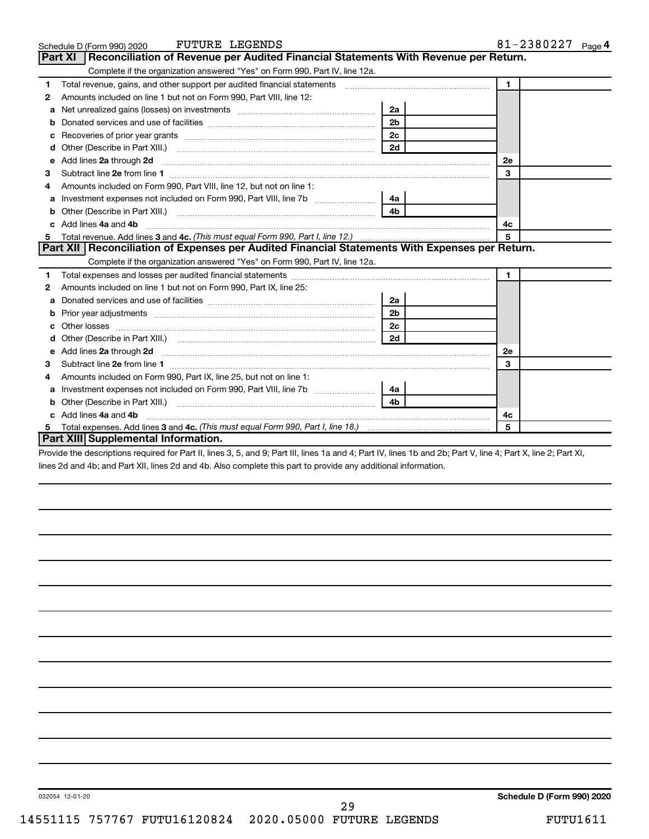| Schedule D (Form 990) 2020                                                                       | <b>FUTURE LEGENDS</b>                                                                                                                                                                                                                |                | 81-2380227 Page 4 |  |
|--------------------------------------------------------------------------------------------------|--------------------------------------------------------------------------------------------------------------------------------------------------------------------------------------------------------------------------------------|----------------|-------------------|--|
| <b>Part XI</b>                                                                                   | Reconciliation of Revenue per Audited Financial Statements With Revenue per Return.                                                                                                                                                  |                |                   |  |
|                                                                                                  | Complete if the organization answered "Yes" on Form 990, Part IV, line 12a.                                                                                                                                                          |                |                   |  |
| 1                                                                                                | Total revenue, gains, and other support per audited financial statements [[[[[[[[[[[[[[[[[[[[[[[[]]]]]]]]]]]]                                                                                                                        |                | $\mathbf{1}$      |  |
| Amounts included on line 1 but not on Form 990, Part VIII, line 12:<br>2                         |                                                                                                                                                                                                                                      |                |                   |  |
|                                                                                                  | Net unrealized gains (losses) on investments [111] [12] matter and the unrealized gains (losses) on investments                                                                                                                      | 2a             |                   |  |
| b                                                                                                |                                                                                                                                                                                                                                      | 2 <sub>b</sub> |                   |  |
| с                                                                                                |                                                                                                                                                                                                                                      | 2c             |                   |  |
| d                                                                                                |                                                                                                                                                                                                                                      | 2d             |                   |  |
| e                                                                                                | Add lines 2a through 2d <b>Martin Martin Martin Martin Martin Martin Martin Martin Martin Martin Martin Martin Martin Martin Martin Martin Martin Martin Martin Martin Martin Martin Martin Martin Martin Martin Martin Martin M</b> |                | 2е                |  |
| з                                                                                                |                                                                                                                                                                                                                                      |                | 3                 |  |
| Amounts included on Form 990, Part VIII, line 12, but not on line 1:                             |                                                                                                                                                                                                                                      |                |                   |  |
| a                                                                                                | Investment expenses not included on Form 990, Part VIII, line 7b                                                                                                                                                                     | 4a             |                   |  |
| b                                                                                                |                                                                                                                                                                                                                                      | 4 <sub>b</sub> |                   |  |
| Add lines 4a and 4b<br>c                                                                         |                                                                                                                                                                                                                                      |                | 4c                |  |
| 5                                                                                                |                                                                                                                                                                                                                                      |                | 5                 |  |
| Part XII   Reconciliation of Expenses per Audited Financial Statements With Expenses per Return. | Complete if the organization answered "Yes" on Form 990, Part IV, line 12a.                                                                                                                                                          |                |                   |  |
| 1.                                                                                               |                                                                                                                                                                                                                                      |                | $\blacksquare$    |  |
| Amounts included on line 1 but not on Form 990, Part IX, line 25:<br>2                           |                                                                                                                                                                                                                                      |                |                   |  |
| а                                                                                                |                                                                                                                                                                                                                                      | 2a             |                   |  |
| b                                                                                                |                                                                                                                                                                                                                                      | 2 <sub>b</sub> |                   |  |
| c                                                                                                |                                                                                                                                                                                                                                      | 2 <sub>c</sub> |                   |  |
|                                                                                                  |                                                                                                                                                                                                                                      | 2d             |                   |  |
| е                                                                                                | Add lines 2a through 2d <b>contract and a contract and a contract a</b> contract a contract and a contract a contract a                                                                                                              |                | 2е                |  |
| З                                                                                                |                                                                                                                                                                                                                                      |                | 3                 |  |
| Amounts included on Form 990, Part IX, line 25, but not on line 1:<br>4                          |                                                                                                                                                                                                                                      |                |                   |  |
| а                                                                                                |                                                                                                                                                                                                                                      | 4a             |                   |  |
| b                                                                                                |                                                                                                                                                                                                                                      | 4b             |                   |  |
| Add lines 4a and 4b                                                                              |                                                                                                                                                                                                                                      |                | 4с                |  |
|                                                                                                  |                                                                                                                                                                                                                                      |                | 5                 |  |
|                                                                                                  |                                                                                                                                                                                                                                      |                |                   |  |

Provide the descriptions required for Part II, lines 3, 5, and 9; Part III, lines 1a and 4; Part IV, lines 1b and 2b; Part V, line 4; Part X, line 2; Part XI, lines 2d and 4b; and Part XII, lines 2d and 4b. Also complete this part to provide any additional information.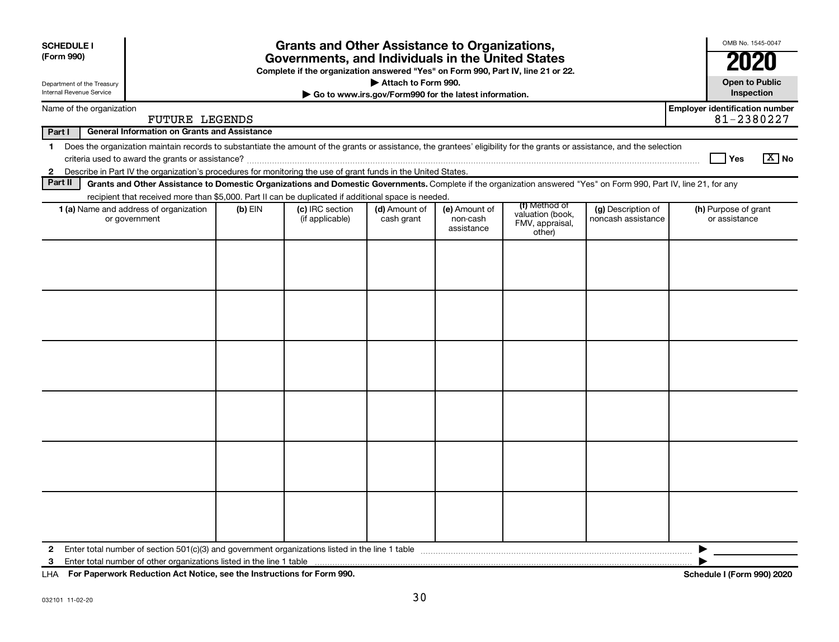| <b>Grants and Other Assistance to Organizations,</b><br><b>SCHEDULE I</b><br>(Form 990)<br>Governments, and Individuals in the United States<br>Complete if the organization answered "Yes" on Form 990, Part IV, line 21 or 22. |                                                                                                                                                                                                                                 |                                    |                             |                                         |                                                                |                                          |                                       |                       |  |  |  |  |  |
|----------------------------------------------------------------------------------------------------------------------------------------------------------------------------------------------------------------------------------|---------------------------------------------------------------------------------------------------------------------------------------------------------------------------------------------------------------------------------|------------------------------------|-----------------------------|-----------------------------------------|----------------------------------------------------------------|------------------------------------------|---------------------------------------|-----------------------|--|--|--|--|--|
| Attach to Form 990.<br>Department of the Treasury<br><b>Internal Revenue Service</b><br>Go to www.irs.gov/Form990 for the latest information.                                                                                    |                                                                                                                                                                                                                                 |                                    |                             |                                         |                                                                |                                          |                                       |                       |  |  |  |  |  |
| <b>Employer identification number</b><br>Name of the organization<br>81-2380227<br><b>FUTURE LEGENDS</b>                                                                                                                         |                                                                                                                                                                                                                                 |                                    |                             |                                         |                                                                |                                          |                                       |                       |  |  |  |  |  |
| Part I                                                                                                                                                                                                                           | <b>General Information on Grants and Assistance</b><br>Does the organization maintain records to substantiate the amount of the grants or assistance, the grantees' eligibility for the grants or assistance, and the selection |                                    |                             |                                         |                                                                |                                          |                                       |                       |  |  |  |  |  |
| $\mathbf 1$<br>Describe in Part IV the organization's procedures for monitoring the use of grant funds in the United States.<br>$\mathbf{2}$                                                                                     |                                                                                                                                                                                                                                 |                                    |                             |                                         |                                                                |                                          | Yes                                   | $\boxed{\text{X}}$ No |  |  |  |  |  |
| Part II<br>Grants and Other Assistance to Domestic Organizations and Domestic Governments. Complete if the organization answered "Yes" on Form 990, Part IV, line 21, for any                                                    |                                                                                                                                                                                                                                 |                                    |                             |                                         |                                                                |                                          |                                       |                       |  |  |  |  |  |
| recipient that received more than \$5,000. Part II can be duplicated if additional space is needed.                                                                                                                              |                                                                                                                                                                                                                                 |                                    |                             |                                         |                                                                |                                          |                                       |                       |  |  |  |  |  |
| <b>1 (a)</b> Name and address of organization<br>or government                                                                                                                                                                   | $(b)$ EIN                                                                                                                                                                                                                       | (c) IRC section<br>(if applicable) | (d) Amount of<br>cash grant | (e) Amount of<br>non-cash<br>assistance | (f) Method of<br>valuation (book,<br>FMV, appraisal,<br>other) | (g) Description of<br>noncash assistance | (h) Purpose of grant<br>or assistance |                       |  |  |  |  |  |
|                                                                                                                                                                                                                                  |                                                                                                                                                                                                                                 |                                    |                             |                                         |                                                                |                                          |                                       |                       |  |  |  |  |  |
|                                                                                                                                                                                                                                  |                                                                                                                                                                                                                                 |                                    |                             |                                         |                                                                |                                          |                                       |                       |  |  |  |  |  |
|                                                                                                                                                                                                                                  |                                                                                                                                                                                                                                 |                                    |                             |                                         |                                                                |                                          |                                       |                       |  |  |  |  |  |
|                                                                                                                                                                                                                                  |                                                                                                                                                                                                                                 |                                    |                             |                                         |                                                                |                                          |                                       |                       |  |  |  |  |  |
|                                                                                                                                                                                                                                  |                                                                                                                                                                                                                                 |                                    |                             |                                         |                                                                |                                          |                                       |                       |  |  |  |  |  |
|                                                                                                                                                                                                                                  |                                                                                                                                                                                                                                 |                                    |                             |                                         |                                                                |                                          |                                       |                       |  |  |  |  |  |
| 2<br>3                                                                                                                                                                                                                           |                                                                                                                                                                                                                                 |                                    |                             |                                         |                                                                |                                          |                                       |                       |  |  |  |  |  |

**For Paperwork Reduction Act Notice, see the Instructions for Form 990. Schedule I (Form 990) 2020** LHA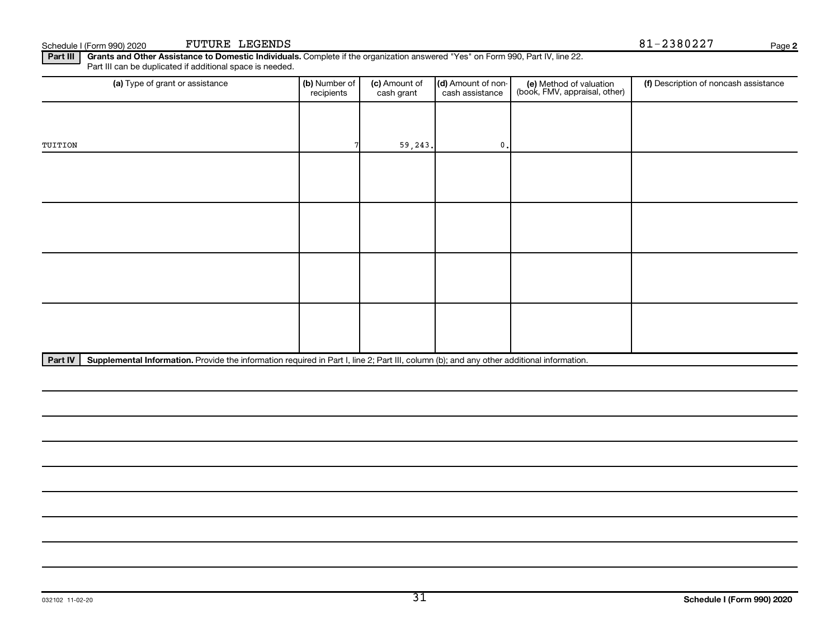**2** Schedule I (Form 990) 2020 FUTURE LEGENDS 81-2380227 Page

Part III | Grants and Other Assistance to Domestic Individuals. Complete if the organization answered "Yes" on Form 990, Part IV, line 22. Part III can be duplicated if additional space is needed.

| (a) Type of grant or assistance | (b) Number of<br>recipients | (c) Amount of<br>cash grant | (d) Amount of non-<br>cash assistance | (e) Method of valuation<br>(book, FMV, appraisal, other) | (f) Description of noncash assistance |
|---------------------------------|-----------------------------|-----------------------------|---------------------------------------|----------------------------------------------------------|---------------------------------------|
|                                 |                             |                             |                                       |                                                          |                                       |
| TUITION                         |                             | 59,243.                     | $\mathbf{0}$ .                        |                                                          |                                       |
|                                 |                             |                             |                                       |                                                          |                                       |
|                                 |                             |                             |                                       |                                                          |                                       |
|                                 |                             |                             |                                       |                                                          |                                       |
|                                 |                             |                             |                                       |                                                          |                                       |
|                                 |                             |                             |                                       |                                                          |                                       |
|                                 |                             |                             |                                       |                                                          |                                       |
|                                 |                             |                             |                                       |                                                          |                                       |
|                                 |                             |                             |                                       |                                                          |                                       |
| _ I _<br>$\sim$ $\sim$<br>.     |                             |                             |                                       |                                                          |                                       |

Part IV | Supplemental Information. Provide the information required in Part I, line 2; Part III, column (b); and any other additional information.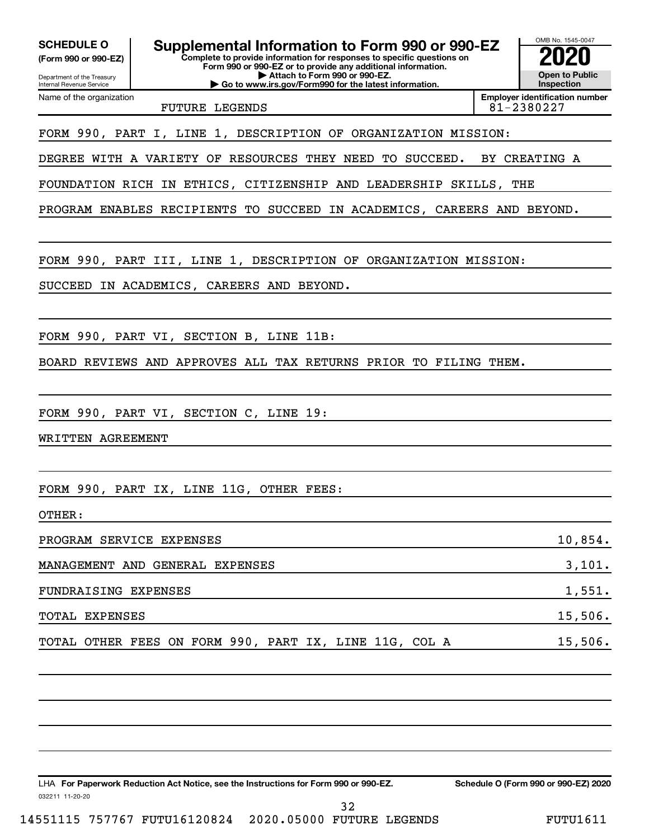| <b>SCHEDULE O</b> |  |
|-------------------|--|
|                   |  |

Department of the Treasury **(Form 990 or 990-EZ)**

Name of the organization

Internal Revenue Service

**Complete to provide information for responses to specific questions on Form 990 or 990-EZ or to provide any additional information. | Attach to Form 990 or 990-EZ. | Go to www.irs.gov/Form990 for the latest information. Supplemental Information to Form 990 or 990-EZ**<br>Complete to provide information for responses to specific questions on



FUTURE LEGENDS 81-2380227

FORM 990, PART I, LINE 1, DESCRIPTION OF ORGANIZATION MISSION:

DEGREE WITH A VARIETY OF RESOURCES THEY NEED TO SUCCEED. BY CREATING A

FOUNDATION RICH IN ETHICS, CITIZENSHIP AND LEADERSHIP SKILLS, THE

PROGRAM ENABLES RECIPIENTS TO SUCCEED IN ACADEMICS, CAREERS AND BEYOND.

FORM 990, PART III, LINE 1, DESCRIPTION OF ORGANIZATION MISSION:

SUCCEED IN ACADEMICS, CAREERS AND BEYOND.

FORM 990, PART VI, SECTION B, LINE 11B:

BOARD REVIEWS AND APPROVES ALL TAX RETURNS PRIOR TO FILING THEM.

FORM 990, PART VI, SECTION C, LINE 19:

WRITTEN AGREEMENT

FORM 990, PART IX, LINE 11G, OTHER FEES:

OTHER:

| PROGRAM SERVICE EXPENSES                               | 10,854. |
|--------------------------------------------------------|---------|
| MANAGEMENT AND GENERAL EXPENSES                        | 3,101.  |
| FUNDRAISING EXPENSES                                   | 1,551.  |
| TOTAL EXPENSES                                         | 15,506. |
| TOTAL OTHER FEES ON FORM 990, PART IX, LINE 11G, COL A | 15,506. |

032211 11-20-20 **For Paperwork Reduction Act Notice, see the Instructions for Form 990 or 990-EZ. Schedule O (Form 990 or 990-EZ) 2020** LHA